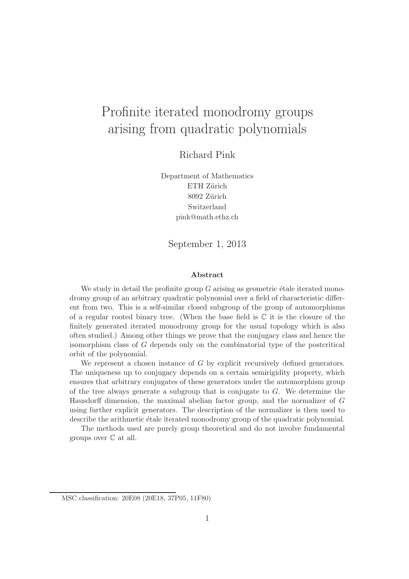# Profinite iterated monodromy groups arising from quadratic polynomials

Richard Pink

Department of Mathematics ETH Zürich 8092 Zürich Switzerland pink@math.ethz.ch

September 1, 2013

#### Abstract

We study in detail the profinite group  $G$  arising as geometric étale iterated monodromy group of an arbitrary quadratic polynomial over a field of characteristic different from two. This is a self-similar closed subgroup of the group of automorphisms of a regular rooted binary tree. (When the base field is  $\mathbb C$  it is the closure of the finitely generated iterated monodromy group for the usual topology which is also often studied.) Among other things we prove that the conjugacy class and hence the isomorphism class of G depends only on the combinatorial type of the postcritical orbit of the polynomial.

We represent a chosen instance of G by explicit recursively defined generators. The uniqueness up to conjugacy depends on a certain semirigidity property, which ensures that arbitrary conjugates of these generators under the automorphism group of the tree always generate a subgroup that is conjugate to G. We determine the Hausdorff dimension, the maximal abelian factor group, and the normalizer of G using further explicit generators. The description of the normalizer is then used to describe the arithmetic étale iterated monodromy group of the quadratic polynomial.

The methods used are purely group theoretical and do not involve fundamental groups over C at all.

MSC classification: 20E08 (20E18, 37P05, 11F80)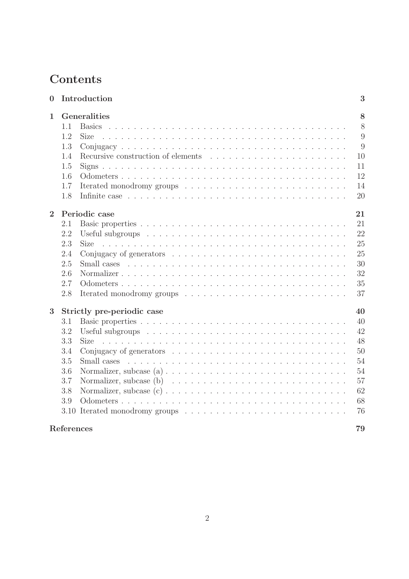## Contents

| $\bf{0}$       |                                  | Introduction                       | 3     |
|----------------|----------------------------------|------------------------------------|-------|
| 1              | Generalities<br>8                |                                    |       |
|                | 1.1                              |                                    | $8\,$ |
|                | 1.2                              | <b>Size</b>                        | 9     |
|                | 1.3                              |                                    | 9     |
|                | 1.4                              | Recursive construction of elements | 10    |
|                | 1.5                              |                                    | 11    |
|                | 1.6                              |                                    | 12    |
|                | 1.7                              |                                    | 14    |
|                | 1.8                              |                                    | 20    |
| $\overline{2}$ | Periodic case<br>21              |                                    |       |
|                | 2.1                              |                                    | 21    |
|                | 2.2                              |                                    | 22    |
|                | 2.3                              |                                    | 25    |
|                | 2.4                              |                                    | 25    |
|                | 2.5                              |                                    | 30    |
|                | 2.6                              |                                    | 32    |
|                | 2.7                              |                                    | 35    |
|                | 2.8                              |                                    | 37    |
| 3              | Strictly pre-periodic case<br>40 |                                    |       |
|                | 3.1                              |                                    | 40    |
|                | 3.2                              |                                    | 42    |
|                | 3.3                              | <b>Size</b>                        | 48    |
|                | 3.4                              |                                    | 50    |
|                | 3.5                              |                                    | 54    |
|                | 3.6                              |                                    | 54    |
|                | 3.7                              |                                    | 57    |
|                | 3.8                              |                                    | 62    |
|                | 3.9                              |                                    | 68    |
|                |                                  |                                    | 76    |
| References     |                                  |                                    | 79    |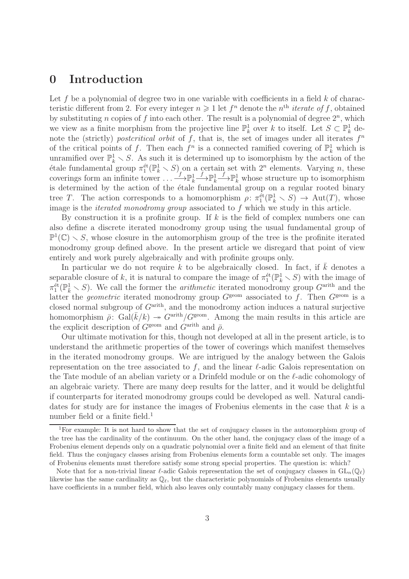## 0 Introduction

Let f be a polynomial of degree two in one variable with coefficients in a field  $k$  of characteristic different from 2. For every integer  $n \geq 1$  let  $f^n$  denote the  $n<sup>th</sup>$  *iterate of f*, obtained by substituting *n* copies of f into each other. The result is a polynomial of degree  $2^n$ , which we view as a finite morphism from the projective line  $\mathbb{P}_k^1$  over k to itself. Let  $S \subset \mathbb{P}_k^1$  denote the (strictly) postcritical orbit of f, that is, the set of images under all iterates  $f<sup>n</sup>$ of the critical points of f. Then each  $f^n$  is a connected ramified covering of  $\mathbb{P}^1_k$  which is unramified over  $\mathbb{P}_k^1 \setminus S$ . As such it is determined up to isomorphism by the action of the étale fundamental group  $\pi_1^{\text{\'et}}(\mathbb{P}_k^1 \setminus S)$  on a certain set with  $2^n$  elements. Varying n, these coverings form an infinite tower  $\dots \xrightarrow{f} \mathbb{P}^1_k$  $\xrightarrow{f} \mathbb{P}^1_k$  $f \rightarrow \mathbb{P}_k^1$  whose structure up to isomorphism is determined by the action of the étale fundamental group on a regular rooted binary tree T. The action corresponds to a homomorphism  $\rho: \pi_1^{\text{\'et}}(\mathbb{P}_k^1 \setminus S) \to \text{Aut}(T)$ , whose image is the iterated monodromy group associated to f which we study in this article.

By construction it is a profinite group. If  $k$  is the field of complex numbers one can also define a discrete iterated monodromy group using the usual fundamental group of  $\mathbb{P}^1(\mathbb{C}) \setminus S$ , whose closure in the automorphism group of the tree is the profinite iterated monodromy group defined above. In the present article we disregard that point of view entirely and work purely algebraically and with profinite groups only.

In particular we do not require k to be algebraically closed. In fact, if  $\overline{k}$  denotes a separable closure of k, it is natural to compare the image of  $\pi_1^{\text{\'et}}(\mathbb{P}_k^1 \setminus S)$  with the image of  $\pi_1^{\text{\'et}}(\mathbb{P}^1_{\bar{k}} \setminus S)$ . We call the former the *arithmetic* iterated monodromy group  $G^{\text{arith}}$  and the latter the *geometric* iterated monodromy group  $G^{\text{geom}}$  associated to f. Then  $G^{\text{geom}}$  is a closed normal subgroup of  $G<sup>arith</sup>$ , and the monodromy action induces a natural surjective homomorphism  $\bar{\rho}$ : Gal $(\bar{k}/k) \rightarrow G^{\text{arith}}/G^{\text{geom}}$ . Among the main results in this article are the explicit description of  $G^{\text{geom}}$  and  $G^{\text{arith}}$  and  $\bar{\rho}$ .

Our ultimate motivation for this, though not developed at all in the present article, is to understand the arithmetic properties of the tower of coverings which manifest themselves in the iterated monodromy groups. We are intrigued by the analogy between the Galois representation on the tree associated to f, and the linear  $\ell$ -adic Galois representation on the Tate module of an abelian variety or a Drinfeld module or on the  $\ell$ -adic cohomology of an algebraic variety. There are many deep results for the latter, and it would be delightful if counterparts for iterated monodromy groups could be developed as well. Natural candidates for study are for instance the images of Frobenius elements in the case that  $k$  is a number field or a finite field.<sup>1</sup>

<sup>1</sup>For example: It is not hard to show that the set of conjugacy classes in the automorphism group of the tree has the cardinality of the continuum. On the other hand, the conjugacy class of the image of a Frobenius element depends only on a quadratic polynomial over a finite field and an element of that finite field. Thus the conjugacy classes arising from Frobenius elements form a countable set only. The images of Frobenius elements must therefore satisfy some strong special properties. The question is: which?

Note that for a non-trivial linear  $\ell$ -adic Galois representation the set of conjugacy classes in  $GL_n(\mathbb{Q}_\ell)$ likewise has the same cardinality as  $\mathbb{Q}_{\ell}$ , but the characteristic polynomials of Frobenius elements usually have coefficients in a number field, which also leaves only countably many conjugacy classes for them.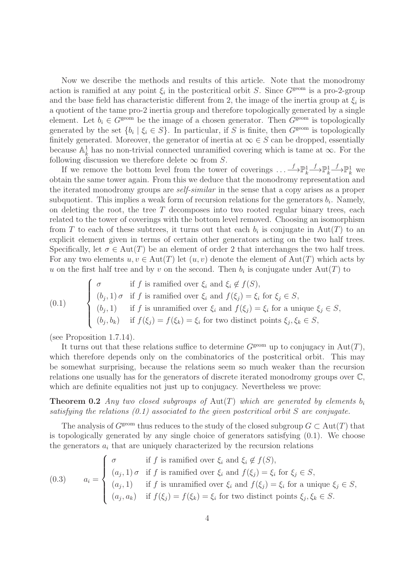Now we describe the methods and results of this article. Note that the monodromy action is ramified at any point  $\xi_i$  in the postcritical orbit S. Since  $G^{\text{geom}}$  is a pro-2-group and the base field has characteristic different from 2, the image of the inertia group at  $\xi_i$  is a quotient of the tame pro-2 inertia group and therefore topologically generated by a single element. Let  $b_i \in G^{\text{geom}}$  be the image of a chosen generator. Then  $G^{\text{geom}}$  is topologically generated by the set  $\{b_i \mid \xi_i \in S\}$ . In particular, if S is finite, then  $G^{\text{geom}}$  is topologically finitely generated. Moreover, the generator of inertia at  $\infty \in S$  can be dropped, essentially because  $\mathbb{A}_{\overline{k}}^1$  has no non-trivial connected unramified covering which is tame at  $\infty$ . For the following discussion we therefore delete  $\infty$  from S.

If we remove the bottom level from the tower of coverings  $\dots \longrightarrow \mathbb{P}_k^1$  $\mathop{\longrightarrow}\limits^f\mathbb{P}^1_k$  $\xrightarrow{f} \mathbb{P}^1_k$  we obtain the same tower again. From this we deduce that the monodromy representation and the iterated monodromy groups are self-similar in the sense that a copy arises as a proper subquotient. This implies a weak form of recursion relations for the generators  $b_i$ . Namely, on deleting the root, the tree  $T$  decomposes into two rooted regular binary trees, each related to the tower of coverings with the bottom level removed. Choosing an isomorphism from T to each of these subtrees, it turns out that each  $b_i$  is conjugate in  $Aut(T)$  to an explicit element given in terms of certain other generators acting on the two half trees. Specifically, let  $\sigma \in \text{Aut}(T)$  be an element of order 2 that interchanges the two half trees. For any two elements  $u, v \in Aut(T)$  let  $(u, v)$  denote the element of  $Aut(T)$  which acts by u on the first half tree and by v on the second. Then  $b_i$  is conjugate under  $Aut(T)$  to

(0.1) 
$$
\begin{cases} \sigma & \text{if } f \text{ is ramified over } \xi_i \text{ and } \xi_i \notin f(S), \\ (b_j, 1) \sigma & \text{if } f \text{ is ramified over } \xi_i \text{ and } f(\xi_j) = \xi_i \text{ for } \xi_j \in S, \\ (b_j, 1) & \text{if } f \text{ is unramified over } \xi_i \text{ and } f(\xi_j) = \xi_i \text{ for a unique } \xi_j \in S, \\ (b_j, b_k) & \text{if } f(\xi_j) = f(\xi_k) = \xi_i \text{ for two distinct points } \xi_j, \xi_k \in S, \end{cases}
$$

(see Proposition 1.7.14).

It turns out that these relations suffice to determine  $G^{\text{geom}}$  up to conjugacy in Aut(T), which therefore depends only on the combinatorics of the postcritical orbit. This may be somewhat surprising, because the relations seem so much weaker than the recursion relations one usually has for the generators of discrete iterated monodromy groups over C, which are definite equalities not just up to conjugacy. Nevertheless we prove:

**Theorem 0.2** Any two closed subgroups of Aut(T) which are generated by elements  $b_i$ satisfying the relations  $(0.1)$  associated to the given postcritical orbit S are conjugate.

The analysis of  $G^{\text{geom}}$  thus reduces to the study of the closed subgroup  $G \subset \text{Aut}(T)$  that is topologically generated by any single choice of generators satisfying (0.1). We choose the generators  $a_i$  that are uniquely characterized by the recursion relations

(0.3) 
$$
a_i = \begin{cases} \sigma & \text{if } f \text{ is ramified over } \xi_i \text{ and } \xi_i \notin f(S), \\ (a_j, 1) \sigma & \text{if } f \text{ is ramified over } \xi_i \text{ and } f(\xi_j) = \xi_i \text{ for } \xi_j \in S, \\ (a_j, 1) & \text{if } f \text{ is unramified over } \xi_i \text{ and } f(\xi_j) = \xi_i \text{ for a unique } \xi_j \in S, \\ (a_j, a_k) & \text{if } f(\xi_j) = f(\xi_k) = \xi_i \text{ for two distinct points } \xi_j, \xi_k \in S. \end{cases}
$$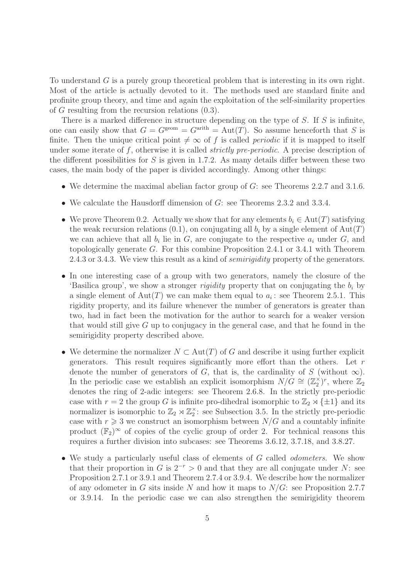To understand G is a purely group theoretical problem that is interesting in its own right. Most of the article is actually devoted to it. The methods used are standard finite and profinite group theory, and time and again the exploitation of the self-similarity properties of G resulting from the recursion relations (0.3).

There is a marked difference in structure depending on the type of  $S$ . If  $S$  is infinite, one can easily show that  $G = G^{\text{geom}} = G^{\text{arith}} = \text{Aut}(T)$ . So assume henceforth that S is finite. Then the unique critical point  $\neq \infty$  of f is called *periodic* if it is mapped to itself under some iterate of  $f$ , otherwise it is called *strictly pre-periodic*. A precise description of the different possibilities for  $S$  is given in 1.7.2. As many details differ between these two cases, the main body of the paper is divided accordingly. Among other things:

- We determine the maximal abelian factor group of G: see Theorems 2.2.7 and 3.1.6.
- We calculate the Hausdorff dimension of G: see Theorems 2.3.2 and 3.3.4.
- We prove Theorem 0.2. Actually we show that for any elements  $b_i \in Aut(T)$  satisfying the weak recursion relations (0.1), on conjugating all  $b_i$  by a single element of Aut(T) we can achieve that all  $b_i$  lie in  $G$ , are conjugate to the respective  $a_i$  under  $G$ , and topologically generate G. For this combine Proposition 2.4.1 or 3.4.1 with Theorem 2.4.3 or 3.4.3. We view this result as a kind of *semirigidity* property of the generators.
- In one interesting case of a group with two generators, namely the closure of the 'Basilica group', we show a stronger *rigidity* property that on conjugating the  $b_i$  by a single element of  $\text{Aut}(T)$  we can make them equal to  $a_i$ : see Theorem 2.5.1. This rigidity property, and its failure whenever the number of generators is greater than two, had in fact been the motivation for the author to search for a weaker version that would still give G up to conjugacy in the general case, and that he found in the semirigidity property described above.
- We determine the normalizer  $N \subset Aut(T)$  of G and describe it using further explicit generators. This result requires significantly more effort than the others. Let  $r$ denote the number of generators of G, that is, the cardinality of S (without  $\infty$ ). In the periodic case we establish an explicit isomorphism  $N/G \cong (\mathbb{Z}_2^{\times})^r$ , where  $\mathbb{Z}_2$ denotes the ring of 2-adic integers: see Theorem 2.6.8. In the strictly pre-periodic case with  $r = 2$  the group G is infinite pro-dihedral isomorphic to  $\mathbb{Z}_2 \rtimes {\pm 1}$  and its normalizer is isomorphic to  $\mathbb{Z}_2 \rtimes \mathbb{Z}_2^{\times}$ : see Subsection 3.5. In the strictly pre-periodic case with  $r \geq 3$  we construct an isomorphism between  $N/G$  and a countably infinite product  $(\mathbb{F}_2)^\infty$  of copies of the cyclic group of order 2. For technical reasons this requires a further division into subcases: see Theorems 3.6.12, 3.7.18, and 3.8.27.
- We study a particularly useful class of elements of G called *odometers*. We show that their proportion in G is  $2^{-r} > 0$  and that they are all conjugate under N: see Proposition 2.7.1 or 3.9.1 and Theorem 2.7.4 or 3.9.4. We describe how the normalizer of any odometer in G sits inside N and how it maps to  $N/G$ : see Proposition 2.7.7 or 3.9.14. In the periodic case we can also strengthen the semirigidity theorem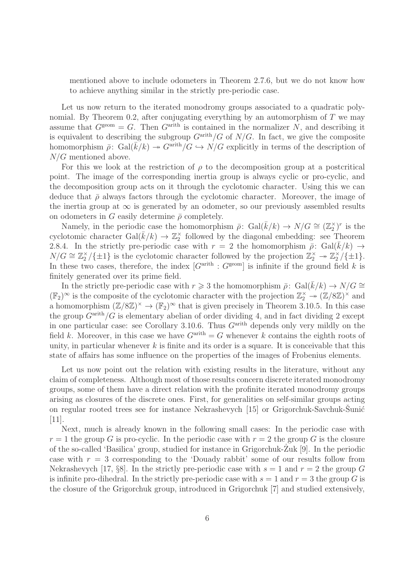mentioned above to include odometers in Theorem 2.7.6, but we do not know how to achieve anything similar in the strictly pre-periodic case.

Let us now return to the iterated monodromy groups associated to a quadratic polynomial. By Theorem 0.2, after conjugating everything by an automorphism of  $T$  we may assume that  $G^{\text{geom}} = G$ . Then  $G^{\text{arith}}$  is contained in the normalizer N, and describing it is equivalent to describing the subgroup  $G^{\text{arith}}/G$  of  $N/G$ . In fact, we give the composite homomorphism  $\bar{\rho}$ : Gal( $\bar{k}/k$ )  $\rightarrow$  G<sup>arith</sup>/ $G \rightarrow N/G$  explicitly in terms of the description of N/G mentioned above.

For this we look at the restriction of  $\rho$  to the decomposition group at a postcritical point. The image of the corresponding inertia group is always cyclic or pro-cyclic, and the decomposition group acts on it through the cyclotomic character. Using this we can deduce that  $\bar{\rho}$  always factors through the cyclotomic character. Moreover, the image of the inertia group at  $\infty$  is generated by an odometer, so our previously assembled results on odometers in G easily determine  $\bar{\rho}$  completely.

Namely, in the periodic case the homomorphism  $\bar{\rho}$ : Gal $(\bar{k}/k) \rightarrow N/G \cong (\mathbb{Z}_2^{\times})^r$  is the cyclotomic character Gal $(\bar{k}/k) \to \mathbb{Z}_2^{\times}$  followed by the diagonal embedding: see Theorem 2.8.4. In the strictly pre-periodic case with  $r = 2$  the homomorphism  $\bar{\rho}$ : Gal( $\bar{k}/k$ )  $\rightarrow$  $N/G \cong \mathbb{Z}_2^{\times}/\{\pm 1\}$  is the cyclotomic character followed by the projection  $\mathbb{Z}_2^{\times} \to \mathbb{Z}_2^{\times}/\{\pm 1\}$ . In these two cases, therefore, the index  $[G<sup>arith</sup> : G<sup>geom</sup>]$  is infinite if the ground field k is finitely generated over its prime field.

In the strictly pre-periodic case with  $r \geq 3$  the homomorphism  $\bar{\rho}$ : Gal( $k/k$ )  $\rightarrow N/G \cong$  $(\mathbb{F}_2)^\infty$  is the composite of the cyclotomic character with the projection  $\mathbb{Z}_2^\times \to (\mathbb{Z}/8\mathbb{Z})^\times$  and a homomorphism  $(\mathbb{Z}/8\mathbb{Z})^{\times} \to (\mathbb{F}_2)^{\infty}$  that is given precisely in Theorem 3.10.5. In this case the group  $G^{\text{arith}}/G$  is elementary abelian of order dividing 4, and in fact dividing 2 except in one particular case: see Corollary 3.10.6. Thus  $G<sup>arith</sup>$  depends only very mildly on the field k. Moreover, in this case we have  $G^{\text{arith}} = G$  whenever k contains the eighth roots of unity, in particular whenever  $k$  is finite and its order is a square. It is conceivable that this state of affairs has some influence on the properties of the images of Frobenius elements.

Let us now point out the relation with existing results in the literature, without any claim of completeness. Although most of those results concern discrete iterated monodromy groups, some of them have a direct relation with the profinite iterated monodromy groups arising as closures of the discrete ones. First, for generalities on self-similar groups acting on regular rooted trees see for instance Nekrashevych [15] or Grigorchuk-Savchuk-Šunić [11].

Next, much is already known in the following small cases: In the periodic case with  $r = 1$  the group G is pro-cyclic. In the periodic case with  $r = 2$  the group G is the closure of the so-called 'Basilica' group, studied for instance in Grigorchuk-Zuk  $[9]$ . In the periodic case with  $r = 3$  corresponding to the 'Douady rabbit' some of our results follow from Nekrashevych [17, §8]. In the strictly pre-periodic case with  $s = 1$  and  $r = 2$  the group G is infinite pro-dihedral. In the strictly pre-periodic case with  $s = 1$  and  $r = 3$  the group G is the closure of the Grigorchuk group, introduced in Grigorchuk [7] and studied extensively,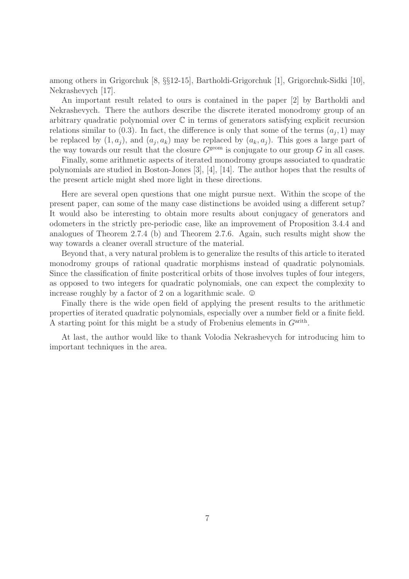among others in Grigorchuk [8, §§12-15], Bartholdi-Grigorchuk [1], Grigorchuk-Sidki [10], Nekrashevych [17].

An important result related to ours is contained in the paper [2] by Bartholdi and Nekrashevych. There the authors describe the discrete iterated monodromy group of an arbitrary quadratic polynomial over C in terms of generators satisfying explicit recursion relations similar to  $(0.3)$ . In fact, the difference is only that some of the terms  $(a_j, 1)$  may be replaced by  $(1, a_j)$ , and  $(a_j, a_k)$  may be replaced by  $(a_k, a_j)$ . This goes a large part of the way towards our result that the closure  $G^{\text{geom}}$  is conjugate to our group G in all cases.

Finally, some arithmetic aspects of iterated monodromy groups associated to quadratic polynomials are studied in Boston-Jones [3], [4], [14]. The author hopes that the results of the present article might shed more light in these directions.

Here are several open questions that one might pursue next. Within the scope of the present paper, can some of the many case distinctions be avoided using a different setup? It would also be interesting to obtain more results about conjugacy of generators and odometers in the strictly pre-periodic case, like an improvement of Proposition 3.4.4 and analogues of Theorem 2.7.4 (b) and Theorem 2.7.6. Again, such results might show the way towards a cleaner overall structure of the material.

Beyond that, a very natural problem is to generalize the results of this article to iterated monodromy groups of rational quadratic morphisms instead of quadratic polynomials. Since the classification of finite postcritical orbits of those involves tuples of four integers, as opposed to two integers for quadratic polynomials, one can expect the complexity to increase roughly by a factor of 2 on a logarithmic scale.  $\odot$ 

Finally there is the wide open field of applying the present results to the arithmetic properties of iterated quadratic polynomials, especially over a number field or a finite field. A starting point for this might be a study of Frobenius elements in  $G<sup>arith</sup>$ .

At last, the author would like to thank Volodia Nekrashevych for introducing him to important techniques in the area.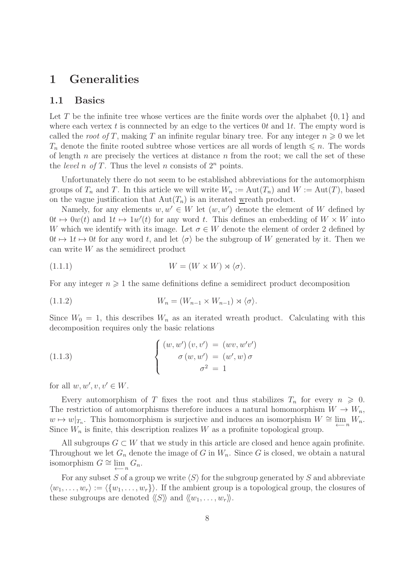## 1 Generalities

#### 1.1 Basics

Let T be the infinite tree whose vertices are the finite words over the alphabet  $\{0, 1\}$  and where each vertex t is connnected by an edge to the vertices  $0t$  and  $1t$ . The empty word is called the root of T, making T an infinite regular binary tree. For any integer  $n \geq 0$  we let  $T_n$  denote the finite rooted subtree whose vertices are all words of length  $\leq n$ . The words of length  $n$  are precisely the vertices at distance  $n$  from the root; we call the set of these the *level* n of T. Thus the level n consists of  $2^n$  points.

Unfortunately there do not seem to be established abbreviations for the automorphism groups of  $T_n$  and T. In this article we will write  $W_n := Aut(T_n)$  and  $W := Aut(T)$ , based on the vague justification that  $Aut(T_n)$  is an iterated wreath product.

Namely, for any elements  $w, w' \in W$  let  $(w, w')$  denote the element of W defined by  $0t \mapsto 0w(t)$  and  $1t \mapsto 1w'(t)$  for any word t. This defines an embedding of  $W \times W$  into W which we identify with its image. Let  $\sigma \in W$  denote the element of order 2 defined by  $0t \mapsto 1t \mapsto 0t$  for any word t, and let  $\langle \sigma \rangle$  be the subgroup of W generated by it. Then we can write W as the semidirect product

$$
(1.1.1) \t\t W = (W \times W) \rtimes \langle \sigma \rangle.
$$

For any integer  $n \geqslant 1$  the same definitions define a semidirect product decomposition

$$
(1.1.2) \t\t W_n = (W_{n-1} \times W_{n-1}) \rtimes \langle \sigma \rangle.
$$

Since  $W_0 = 1$ , this describes  $W_n$  as an iterated wreath product. Calculating with this decomposition requires only the basic relations

(1.1.3) 
$$
\begin{cases} (w, w') (v, v') = (wv, w'v') \\ \sigma (w, w') = (w', w) \sigma \\ \sigma^2 = 1 \end{cases}
$$

for all  $w, w', v, v' \in W$ .

Every automorphism of T fixes the root and thus stabilizes  $T_n$  for every  $n \geq 0$ . The restriction of automorphisms therefore induces a natural homomorphism  $W \to W_n$ ,  $w \mapsto w|_{T_n}$ . This homomorphism is surjective and induces an isomorphism  $W \cong \lim_{\leftarrow n} W_n$ . Since  $W_n$  is finite, this description realizes W as a profinite topological group.

All subgroups  $G \subset W$  that we study in this article are closed and hence again profinite. Throughout we let  $G_n$  denote the image of G in  $W_n$ . Since G is closed, we obtain a natural isomorphism  $G \cong \lim_{n \to \infty} G_n$ .

For any subset S of a group we write  $\langle S \rangle$  for the subgroup generated by S and abbreviate  $\langle w_1, \ldots, w_r \rangle := \langle \{w_1, \ldots, w_r\} \rangle$ . If the ambient group is a topological group, the closures of these subgroups are denoted  $\langle\langle S \rangle\rangle$  and  $\langle\langle w_1, \ldots, w_r \rangle\rangle$ .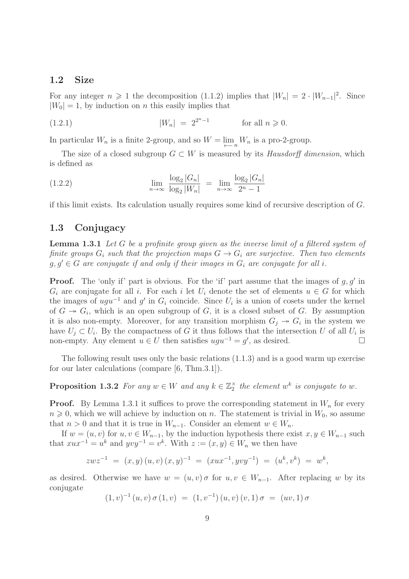#### 1.2 Size

For any integer  $n \geq 1$  the decomposition (1.1.2) implies that  $|W_n| = 2 \cdot |W_{n-1}|^2$ . Since  $|W_0| = 1$ , by induction on *n* this easily implies that

 $|W_n| = 2^{2^n - 1}$ for all  $n \geqslant 0$ .

In particular  $W_n$  is a finite 2-group, and so  $W = \lim_{n \to \infty} W_n$  is a pro-2-group.

The size of a closed subgroup  $G \subset W$  is measured by its Hausdorff dimension, which is defined as

(1.2.2) 
$$
\lim_{n \to \infty} \frac{\log_2 |G_n|}{\log_2 |W_n|} = \lim_{n \to \infty} \frac{\log_2 |G_n|}{2^n - 1}
$$

if this limit exists. Its calculation usually requires some kind of recursive description of G.

#### 1.3 Conjugacy

**Lemma 1.3.1** Let G be a profinite group given as the inverse limit of a filtered system of finite groups  $G_i$  such that the projection maps  $G \to G_i$  are surjective. Then two elements  $g, g' \in G$  are conjugate if and only if their images in  $G_i$  are conjugate for all i.

**Proof.** The 'only if' part is obvious. For the 'if' part assume that the images of  $g, g'$  in  $G_i$  are conjugate for all i. For each i let  $U_i$  denote the set of elements  $u \in G$  for which the images of  $ugu^{-1}$  and  $g'$  in  $G_i$  coincide. Since  $U_i$  is a union of cosets under the kernel of  $G \rightarrow G_i$ , which is an open subgroup of G, it is a closed subset of G. By assumption it is also non-empty. Moreover, for any transition morphism  $G_j \rightarrow G_i$  in the system we have  $U_j \subset U_i$ . By the compactness of G it thus follows that the intersection U of all  $U_i$  is non-empty. Any element  $u \in U$  then satisfies  $ugu^{-1} = g'$ , as desired.  $□$ 

The following result uses only the basic relations (1.1.3) and is a good warm up exercise for our later calculations (compare [6, Thm.3.1]).

## **Proposition 1.3.2** For any  $w \in W$  and any  $k \in \mathbb{Z}_2^{\times}$  the element  $w^k$  is conjugate to  $w$ .

**Proof.** By Lemma 1.3.1 it suffices to prove the corresponding statement in  $W_n$  for every  $n \geq 0$ , which we will achieve by induction on n. The statement is trivial in  $W_0$ , so assume that  $n > 0$  and that it is true in  $W_{n-1}$ . Consider an element  $w \in W_n$ .

If  $w = (u, v)$  for  $u, v \in W_{n-1}$ , by the induction hypothesis there exist  $x, y \in W_{n-1}$  such that  $xux^{-1} = u^k$  and  $yvy^{-1} = v^k$ . With  $z := (x, y) \in W_n$  we then have

$$
z w z^{-1} = (x, y) (u, v) (x, y)^{-1} = (x u x^{-1}, y v y^{-1}) = (u^k, v^k) = w^k,
$$

as desired. Otherwise we have  $w = (u, v) \sigma$  for  $u, v \in W_{n-1}$ . After replacing w by its conjugate

$$
(1, v)^{-1} (u, v) \sigma (1, v) = (1, v^{-1}) (u, v) (v, 1) \sigma = (uv, 1) \sigma
$$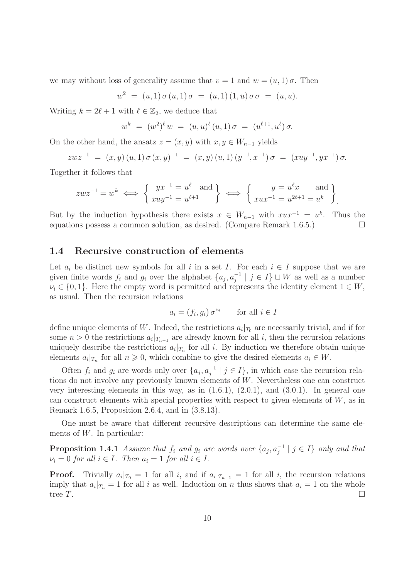we may without loss of generality assume that  $v = 1$  and  $w = (u, 1) \sigma$ . Then

$$
w^{2} = (u, 1) \sigma (u, 1) \sigma = (u, 1) (1, u) \sigma \sigma = (u, u).
$$

Writing  $k = 2\ell + 1$  with  $\ell \in \mathbb{Z}_2$ , we deduce that

$$
w^{k} = (w^{2})^{\ell} w = (u, u)^{\ell} (u, 1) \sigma = (u^{\ell+1}, u^{\ell}) \sigma.
$$

On the other hand, the ansatz  $z = (x, y)$  with  $x, y \in W_{n-1}$  yields

$$
zwz^{-1} = (x, y) (u, 1) \sigma (x, y)^{-1} = (x, y) (u, 1) (y^{-1}, x^{-1}) \sigma = (xuy^{-1}, yx^{-1}) \sigma.
$$

Together it follows that

$$
zwz^{-1} = w^k \iff \begin{cases} yx^{-1} = u^{\ell} \text{ and } \\ xuy^{-1} = u^{\ell+1} \end{cases} \iff \begin{cases} y = u^{\ell}x \text{ and } \\ xux^{-1} = u^{2\ell+1} = u^k \end{cases}
$$

But by the induction hypothesis there exists  $x \in W_{n-1}$  with  $xux^{-1} = u^k$ . Thus the equations possess a common solution, as desired. (Compare Remark 1.6.5.)  $\Box$ 

#### 1.4 Recursive construction of elements

Let  $a_i$  be distinct new symbols for all i in a set I. For each  $i \in I$  suppose that we are given finite words  $f_i$  and  $g_i$  over the alphabet  $\{a_j, a_j^{-1} \mid j \in I\} \sqcup W$  as well as a number  $\nu_i \in \{0, 1\}$ . Here the empty word is permitted and represents the identity element  $1 \in W$ , as usual. Then the recursion relations

$$
a_i = (f_i, g_i) \sigma^{\nu_i} \qquad \text{for all } i \in I
$$

define unique elements of W. Indeed, the restrictions  $a_i|_{T_0}$  are necessarily trivial, and if for some  $n > 0$  the restrictions  $a_i |_{T_{n-1}}$  are already known for all i, then the recursion relations uniquely describe the restrictions  $a_i|_{T_n}$  for all i. By induction we therefore obtain unique elements  $a_i|_{T_n}$  for all  $n \geq 0$ , which combine to give the desired elements  $a_i \in W$ .

Often  $f_i$  and  $g_i$  are words only over  $\{a_j, a_j^{-1} \mid j \in I\}$ , in which case the recursion relations do not involve any previously known elements of W. Nevertheless one can construct very interesting elements in this way, as in  $(1.6.1)$ ,  $(2.0.1)$ , and  $(3.0.1)$ . In general one can construct elements with special properties with respect to given elements of  $W$ , as in Remark 1.6.5, Proposition 2.6.4, and in (3.8.13).

One must be aware that different recursive descriptions can determine the same elements of W. In particular:

**Proposition 1.4.1** Assume that  $f_i$  and  $g_i$  are words over  $\{a_j, a_j^{-1} \mid j \in I\}$  only and that  $\nu_i = 0$  for all  $i \in I$ . Then  $a_i = 1$  for all  $i \in I$ .

**Proof.** Trivially  $a_i|_{T_0} = 1$  for all i, and if  $a_i|_{T_{n-1}} = 1$  for all i, the recursion relations imply that  $a_i|_{T_n} = 1$  for all i as well. Induction on n thus shows that  $a_i = 1$  on the whole tree  $T$ .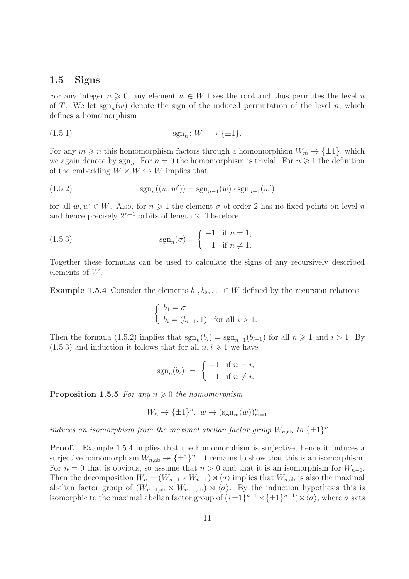#### 1.5 Signs

For any integer  $n \geq 0$ , any element  $w \in W$  fixes the root and thus permutes the level n of T. We let  $sgn_n(w)$  denote the sign of the induced permutation of the level n, which defines a homomorphism

$$
\operatorname{sgn}_n: W \longrightarrow \{\pm 1\}.
$$

For any  $m \geq n$  this homomorphism factors through a homomorphism  $W_m \to {\pm 1}$ , which we again denote by  $sgn_n$ . For  $n=0$  the homomorphism is trivial. For  $n \geq 1$  the definition of the embedding  $W \times W \hookrightarrow W$  implies that

(1.5.2) 
$$
sgn_n((w, w')) = sgn_{n-1}(w) \cdot sgn_{n-1}(w')
$$

for all  $w, w' \in W$ . Also, for  $n \geq 1$  the element  $\sigma$  of order 2 has no fixed points on level n and hence precisely  $2^{n-1}$  orbits of length 2. Therefore

(1.5.3) 
$$
\operatorname{sgn}_n(\sigma) = \begin{cases} -1 & \text{if } n = 1, \\ 1 & \text{if } n \neq 1. \end{cases}
$$

Together these formulas can be used to calculate the signs of any recursively described elements of W.

**Example 1.5.4** Consider the elements  $b_1, b_2, \ldots \in W$  defined by the recursion relations

$$
\begin{cases} b_1 = \sigma \\ b_i = (b_{i-1}, 1) \text{ for all } i > 1. \end{cases}
$$

Then the formula (1.5.2) implies that  $sgn_n(b_i) = sgn_{n-1}(b_{i-1})$  for all  $n \ge 1$  and  $i > 1$ . By  $(1.5.3)$  and induction it follows that for all  $n, i \geq 1$  we have

$$
sgn_n(b_i) = \begin{cases} -1 & \text{if } n = i, \\ 1 & \text{if } n \neq i. \end{cases}
$$

**Proposition 1.5.5** For any  $n \geq 0$  the homomorphism

$$
W_n \to \{\pm 1\}^n, \ w \mapsto (\operatorname{sgn}_m(w))_{m=1}^n
$$

induces an isomorphism from the maximal abelian factor group  $W_{n,ab}$  to  $\{\pm 1\}^n$ .

**Proof.** Example 1.5.4 implies that the homomorphism is surjective; hence it induces a surjective homomorphism  $W_{n,ab} \to {\pm 1}^n$ . It remains to show that this is an isomorphism. For  $n = 0$  that is obvious, so assume that  $n > 0$  and that it is an isomorphism for  $W_{n-1}$ . Then the decomposition  $W_n = (W_{n-1} \times W_{n-1}) \rtimes \langle \sigma \rangle$  implies that  $W_{n,ab}$  is also the maximal abelian factor group of  $(W_{n-1,ab} \times W_{n-1,ab}) \rtimes \langle \sigma \rangle$ . By the induction hypothesis this is isomorphic to the maximal abelian factor group of  $(\{\pm 1\}^{n-1} \times \{\pm 1\}^{n-1}) \rtimes \langle \sigma \rangle$ , where  $\sigma$  acts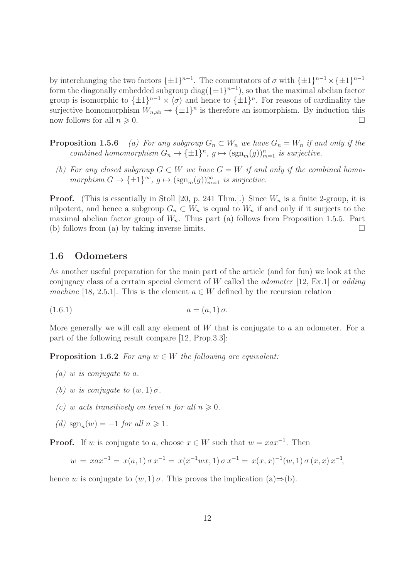by interchanging the two factors  $\{\pm 1\}^{n-1}$ . The commutators of  $\sigma$  with  $\{\pm 1\}^{n-1} \times \{\pm 1\}^{n-1}$ form the diagonally embedded subgroup  $\text{diag}(\{\pm 1\}^{n-1})$ , so that the maximal abelian factor group is isomorphic to  $\{\pm 1\}^{n-1} \times \langle \sigma \rangle$  and hence to  $\{\pm 1\}^n$ . For reasons of cardinality the surjective homomorphism  $W_{n,ab} \to {\pm 1}^n$  is therefore an isomorphism. By induction this now follows for all  $n \geqslant 0$ .

**Proposition 1.5.6** (a) For any subgroup  $G_n \subset W_n$  we have  $G_n = W_n$  if and only if the combined homomorphism  $G_n \to {\{\pm 1\}}^n$ ,  $g \mapsto (\text{sgn}_m(g))_{m=1}^n$  is surjective.

(b) For any closed subgroup  $G \subset W$  we have  $G = W$  if and only if the combined homomorphism  $G \to {\{\pm 1\}}^{\infty}$ ,  $g \mapsto (\text{sgn}_m(g))_{m=1}^{\infty}$  is surjective.

**Proof.** (This is essentially in Stoll [20, p. 241 Thm.].) Since  $W_n$  is a finite 2-group, it is nilpotent, and hence a subgroup  $G_n \subset W_n$  is equal to  $W_n$  if and only if it surjects to the maximal abelian factor group of  $W_n$ . Thus part (a) follows from Proposition 1.5.5. Part (b) follows from (a) by taking inverse limits.  $\square$ 

#### 1.6 Odometers

As another useful preparation for the main part of the article (and for fun) we look at the conjugacy class of a certain special element of W called the *odometer* [12, Ex.1] or *adding* machine [18, 2.5.1]. This is the element  $a \in W$  defined by the recursion relation

(1.6.1) 
$$
a = (a, 1) \sigma.
$$

More generally we will call any element of  $W$  that is conjugate to  $a$  an odometer. For a part of the following result compare [12, Prop.3.3]:

**Proposition 1.6.2** For any  $w \in W$  the following are equivalent:

- $(a)$  w is conjugate to a.
- (b) w is conjugate to  $(w, 1)$   $\sigma$ .
- (c) w acts transitively on level n for all  $n \geq 0$ .
- (d)  $sgn_n(w) = -1$  for all  $n \ge 1$ .

**Proof.** If w is conjugate to a, choose  $x \in W$  such that  $w = xax^{-1}$ . Then

$$
w = xax^{-1} = x(a, 1)\sigma x^{-1} = x(x^{-1}wx, 1)\sigma x^{-1} = x(x, x)^{-1}(w, 1)\sigma(x, x)x^{-1},
$$

hence w is conjugate to  $(w, 1)$   $\sigma$ . This proves the implication  $(a) \Rightarrow (b)$ .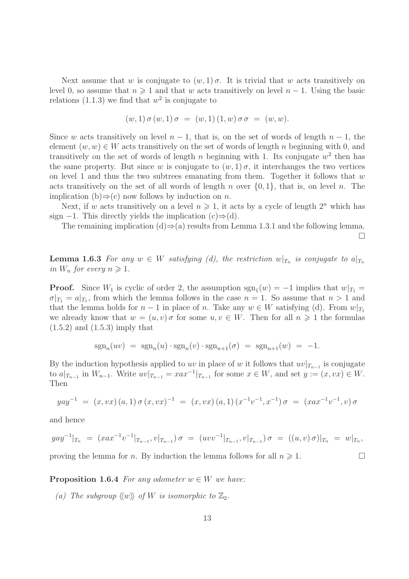Next assume that w is conjugate to  $(w, 1)$   $\sigma$ . It is trivial that w acts transitively on level 0, so assume that  $n \geq 1$  and that w acts transitively on level  $n-1$ . Using the basic relations (1.1.3) we find that  $w^2$  is conjugate to

$$
(w,1)\,\sigma\,(w,1)\,\sigma\ =\ (w,1)\,(1,w)\,\sigma\,\sigma\ =\ (w,w).
$$

Since w acts transitively on level  $n-1$ , that is, on the set of words of length  $n-1$ , the element  $(w, w) \in W$  acts transitively on the set of words of length n beginning with 0, and transitively on the set of words of length n beginning with 1. Its conjugate  $w^2$  then has the same property. But since w is conjugate to  $(w, 1)$ , it interchanges the two vertices on level 1 and thus the two subtrees emanating from them. Together it follows that  $w$ acts transitively on the set of all words of length n over  $\{0, 1\}$ , that is, on level n. The implication (b) $\Rightarrow$ (c) now follows by induction on *n*.

Next, if w acts transitively on a level  $n \geq 1$ , it acts by a cycle of length  $2^n$  which has sign  $-1$ . This directly yields the implication  $(c) \Rightarrow d$ .

The remaining implication (d) $\Rightarrow$ (a) results from Lemma 1.3.1 and the following lemma.

 $\Box$ 

**Lemma 1.6.3** For any  $w \in W$  satisfying (d), the restriction  $w|_{T_n}$  is conjugate to  $a|_{T_n}$ in  $W_n$  for every  $n \geq 1$ .

**Proof.** Since  $W_1$  is cyclic of order 2, the assumption  $sgn_1(w) = -1$  implies that  $w|_{T_1} =$  $\sigma|_{T_1} = a|_{T_1}$ , from which the lemma follows in the case  $n = 1$ . So assume that  $n > 1$  and that the lemma holds for  $n-1$  in place of n. Take any  $w \in W$  satisfying (d). From  $w|_{T_1}$ we already know that  $w = (u, v) \sigma$  for some  $u, v \in W$ . Then for all  $n \geq 1$  the formulas  $(1.5.2)$  and  $(1.5.3)$  imply that

$$
\operatorname{sgn}_n(uv) = \operatorname{sgn}_n(u) \cdot \operatorname{sgn}_n(v) \cdot \operatorname{sgn}_{n+1}(\sigma) = \operatorname{sgn}_{n+1}(w) = -1.
$$

By the induction hypothesis applied to uv in place of w it follows that  $uv|_{T_{n-1}}$  is conjugate to  $a|_{T_{n-1}}$  in  $W_{n-1}$ . Write  $uv|_{T_{n-1}} = xax^{-1}|_{T_{n-1}}$  for some  $x \in W$ , and set  $y := (x, vx) \in W$ . Then

$$
yay^{-1} = (x, vx) (a, 1) \sigma (x, vx)^{-1} = (x, vx) (a, 1) (x^{-1}v^{-1}, x^{-1}) \sigma = (xax^{-1}v^{-1}, v) \sigma
$$

and hence

$$
yay^{-1}|_{T_n} = (xax^{-1}v^{-1}|_{T_{n-1}}, v|_{T_{n-1}}) \sigma = (uvv^{-1}|_{T_{n-1}}, v|_{T_{n-1}}) \sigma = ((u, v) \sigma)|_{T_n} = w|_{T_n},
$$
  
proving the lemma for *n*. By induction the lemma follows for all  $n \ge 1$ .

**Proposition 1.6.4** For any odometer  $w \in W$  we have:

(a) The subgroup  $\langle w \rangle$  of W is isomorphic to  $\mathbb{Z}_2$ .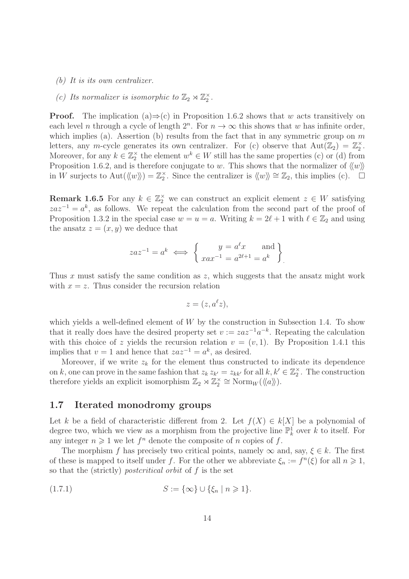- (b) It is its own centralizer.
- (c) Its normalizer is isomorphic to  $\mathbb{Z}_2 \rtimes \mathbb{Z}_2^{\times}$ .

**Proof.** The implication (a) $\Rightarrow$ (c) in Proposition 1.6.2 shows that w acts transitively on each level *n* through a cycle of length  $2^n$ . For  $n \to \infty$  this shows that *w* has infinite order, which implies (a). Assertion (b) results from the fact that in any symmetric group on  $m$ letters, any m-cycle generates its own centralizer. For (c) observe that  $Aut(\mathbb{Z}_2) = \mathbb{Z}_2^{\times}$ . Moreover, for any  $k \in \mathbb{Z}_2^{\times}$  the element  $w^k \in W$  still has the same properties (c) or (d) from Proposition 1.6.2, and is therefore conjugate to w. This shows that the normalizer of  $\langle w \rangle$ in W surjects to Aut $(\langle w \rangle) = \mathbb{Z}_2^{\times}$ . Since the centralizer is  $\langle w \rangle \approx \mathbb{Z}_2$ , this implies (c). □

**Remark 1.6.5** For any  $k \in \mathbb{Z}_2^{\times}$  we can construct an explicit element  $z \in W$  satisfying  $zaz^{-1} = a^k$ , as follows. We repeat the calculation from the second part of the proof of Proposition 1.3.2 in the special case  $w = u = a$ . Writing  $k = 2\ell + 1$  with  $\ell \in \mathbb{Z}_2$  and using the ansatz  $z = (x, y)$  we deduce that

$$
zaz^{-1} = a^k \iff \begin{cases} y = a^{\ell}x \text{ and } \\ xax^{-1} = a^{2\ell+1} = a^k \end{cases}
$$

Thus x must satisfy the same condition as  $z$ , which suggests that the ansatz might work with  $x = z$ . Thus consider the recursion relation

$$
z=(z,a^{\ell}z),
$$

which yields a well-defined element of  $W$  by the construction in Subsection 1.4. To show that it really does have the desired property set  $v := za^{-1}a^{-k}$ . Repeating the calculation with this choice of z yields the recursion relation  $v = (v, 1)$ . By Proposition 1.4.1 this implies that  $v = 1$  and hence that  $zaz^{-1} = a^k$ , as desired.

Moreover, if we write  $z_k$  for the element thus constructed to indicate its dependence on k, one can prove in the same fashion that  $z_k z_{k'} = z_{kk'}$  for all  $k, k' \in \mathbb{Z}_2^{\times}$ . The construction therefore yields an explicit isomorphism  $\mathbb{Z}_2 \rtimes \mathbb{Z}_2^{\times} \cong \text{Norm}_W(\langle\!\langle a \rangle\!\rangle).$ 

#### 1.7 Iterated monodromy groups

Let k be a field of characteristic different from 2. Let  $f(X) \in k[X]$  be a polynomial of degree two, which we view as a morphism from the projective line  $\mathbb{P}^1_k$  over k to itself. For any integer  $n \geq 1$  we let  $f^n$  denote the composite of n copies of f.

The morphism f has precisely two critical points, namely  $\infty$  and, say,  $\xi \in k$ . The first of these is mapped to itself under f. For the other we abbreviate  $\xi_n := f^n(\xi)$  for all  $n \geq 1$ , so that the (strictly) postcritical orbit of f is the set

(1.7.1) 
$$
S := \{\infty\} \cup \{\xi_n \mid n \geq 1\}.
$$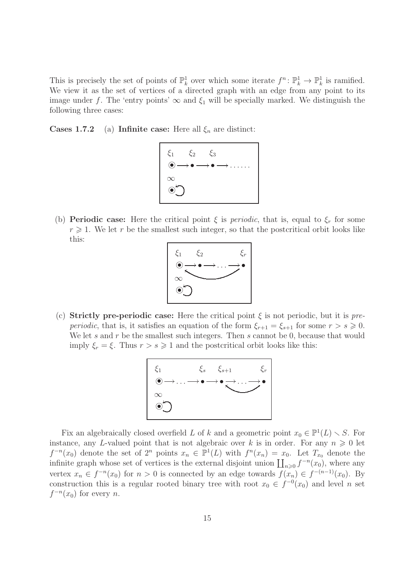This is precisely the set of points of  $\mathbb{P}_k^1$  over which some iterate  $f^n: \mathbb{P}_k^1 \to \mathbb{P}_k^1$  is ramified. We view it as the set of vertices of a directed graph with an edge from any point to its image under f. The 'entry points'  $\infty$  and  $\xi_1$  will be specially marked. We distinguish the following three cases:

**Cases 1.7.2** (a) Infinite case: Here all  $\xi_n$  are distinct:



(b) **Periodic case:** Here the critical point  $\xi$  is *periodic*, that is, equal to  $\xi_r$  for some  $r \geq 1$ . We let r be the smallest such integer, so that the postcritical orbit looks like this:



(c) Strictly pre-periodic case: Here the critical point  $\xi$  is not periodic, but it is pre*periodic*, that is, it satisfies an equation of the form  $\xi_{r+1} = \xi_{s+1}$  for some  $r > s \geqslant 0$ . We let s and r be the smallest such integers. Then s cannot be 0, because that would imply  $\xi_r = \xi$ . Thus  $r > s \geq 1$  and the postcritical orbit looks like this:



Fix an algebraically closed overfield L of k and a geometric point  $x_0 \in \mathbb{P}^1(L) \setminus S$ . For instance, any L-valued point that is not algebraic over k is in order. For any  $n \geq 0$  let  $f^{-n}(x_0)$  denote the set of  $2^n$  points  $x_n \in \mathbb{P}^1(L)$  with  $f^{n}(x_n) = x_0$ . Let  $T_{x_0}$  denote the infinite graph whose set of vertices is the external disjoint union  $\prod_{n\geqslant 0} f^{-n}(x_0)$ , where any vertex  $x_n \in f^{-n}(x_0)$  for  $n > 0$  is connected by an edge towards  $f(x_n) \in f^{-(n-1)}(x_0)$ . By construction this is a regular rooted binary tree with root  $x_0 \in f^{-0}(x_0)$  and level n set  $f^{-n}(x_0)$  for every n.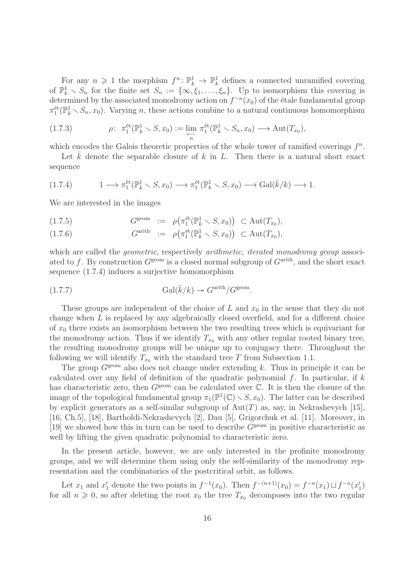For any  $n \geq 1$  the morphism  $f^n: \mathbb{P}_k^1 \to \mathbb{P}_k^1$  defines a connected unramified covering of  $\mathbb{P}_k^1 \setminus S_n$  for the finite set  $S_n := \{\infty, \xi_1, \ldots, \xi_n\}$ . Up to isomorphism this covering is determined by the associated monodromy action on  $f^{-n}(x_0)$  of the étale fundamental group  $\pi_1^{\text{\'et}}(\mathbb{P}_k^1 \setminus S_n, x_0)$ . Varying n, these actions combine to a natural continuous homomorphism

(1.7.3) 
$$
\rho: \ \pi_1^{\text{\'et}}(\mathbb{P}_k^1 \setminus S, x_0) := \varprojlim_n \ \pi_1^{\text{\'et}}(\mathbb{P}_k^1 \setminus S_n, x_0) \longrightarrow \text{Aut}(T_{x_0}),
$$

which encodes the Galois theoretic properties of the whole tower of ramified coverings  $f^n$ .

Let  $\overline{k}$  denote the separable closure of k in L. Then there is a natural short exact sequence

$$
(1.7.4) \t1 \longrightarrow \pi_1^{\text{\'et}}(\mathbb{P}_{\bar{k}}^1 \setminus S, x_0) \longrightarrow \pi_1^{\text{\'et}}(\mathbb{P}_{k}^1 \setminus S, x_0) \longrightarrow \text{Gal}(\bar{k}/k) \longrightarrow 1.
$$

We are interested in the images

(1.7.5) 
$$
G^{\text{geom}} := \rho\big(\pi_1^{\text{\'et}}(\mathbb{P}_{\bar{k}}^1 \setminus S, x_0)\big) \subset \text{Aut}(T_{x_0}),
$$

(1.7.6) 
$$
G^{\text{arith}} = \rho\big(\pi_1^{\text{\'et}}(\mathbb{P}_k^1 \setminus S, x_0)\big) \subset \text{Aut}(T_{x_0}),
$$

which are called the *geometric*, respectively *arithmetic, iterated monodromy group* associated to f. By construction  $G^{\text{geom}}$  is a closed normal subgroup of  $G^{\text{arith}}$ , and the short exact sequence (1.7.4) induces a surjective homomorphism

(1.7.7) 
$$
\mathrm{Gal}(\bar{k}/k) \twoheadrightarrow G^{\mathrm{arith}}/G^{\mathrm{geom}}.
$$

These groups are independent of the choice of L and  $x_0$  in the sense that they do not change when  $L$  is replaced by any algebraically closed overfield, and for a different choice of  $x_0$  there exists an isomorphism between the two resulting trees which is equivariant for the monodromy action. Thus if we identify  $T_{x_0}$  with any other regular rooted binary tree, the resulting monodromy groups will be unique up to conjugacy there. Throughout the following we will identify  $T_{x_0}$  with the standard tree T from Subsection 1.1.

The group  $G<sup>geom</sup>$  also does not change under extending k. Thus in principle it can be calculated over any field of definition of the quadratic polynomial  $f$ . In particular, if  $k$ has characteristic zero, then  $G^{\text{geom}}$  can be calculated over  $\mathbb C$ . It is then the closure of the image of the topological fundamental group  $\pi_1(\mathbb{P}^1(\mathbb{C}) \setminus S, x_0)$ . The latter can be described by explicit generators as a self-similar subgroup of  $Aut(T)$  as, say, in Nekrashevych [15], [16, Ch.5], [18], Bartholdi-Nekrashevych [2], Dau [5], Grigorchuk et al. [11]. Moreover, in [19] we showed how this in turn can be used to describe  $G<sup>geom</sup>$  in positive characteristic as well by lifting the given quadratic polynomial to characteristic zero.

In the present article, however, we are only interested in the profinite monodromy groups, and we will determine them using only the self-similarity of the monodromy representation and the combinatorics of the postcritical orbit, as follows.

Let  $x_1$  and  $x'_1$  denote the two points in  $f^{-1}(x_0)$ . Then  $f^{-(n+1)}(x_0) = f^{-n}(x_1) \sqcup f^{-n}(x'_1)$ for all  $n \geq 0$ , so after deleting the root  $x_0$  the tree  $T_{x_0}$  decomposes into the two regular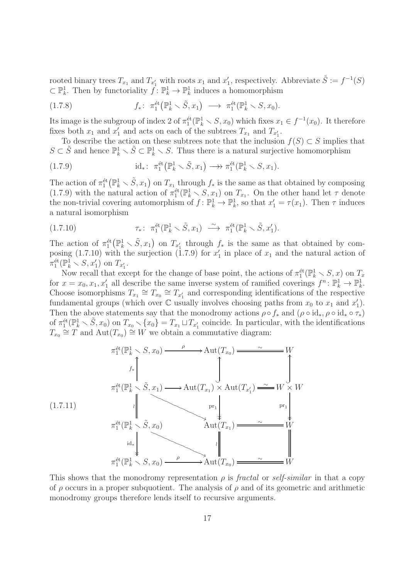rooted binary trees  $T_{x_1}$  and  $T_{x'_1}$  with roots  $x_1$  and  $x'_1$ , respectively. Abbreviate  $\tilde{S} := f^{-1}(S)$  $\subset \mathbb{P}_k^1$ . Then by functoriality  $f: \mathbb{P}_k^1 \to \mathbb{P}_k^1$  induces a homomorphism

(1.7.8) 
$$
f_*\colon \pi_1^{\text{\'et}}(\mathbb{P}_k^1\setminus \tilde{S},x_1) \longrightarrow \pi_1^{\text{\'et}}(\mathbb{P}_k^1\setminus S,x_0).
$$

Its image is the subgroup of index 2 of  $\pi_1^{\text{\'et}}(\mathbb{P}_k^1 \setminus S, x_0)$  which fixes  $x_1 \in f^{-1}(x_0)$ . It therefore fixes both  $x_1$  and  $x'_1$  and acts on each of the subtrees  $T_{x_1}$  and  $T_{x'_1}$ .

To describe the action on these subtrees note that the inclusion  $f(S) \subset S$  implies that  $S \subset \tilde{S}$  and hence  $\mathbb{P}_k^1 \setminus \tilde{S} \subset \mathbb{P}_k^1 \setminus S$ . Thus there is a natural surjective homomorphism

(1.7.9) 
$$
\mathrm{id}_*\colon \pi_1^{\mathrm{\acute{e}t}}(\mathbb{P}_k^1\smallsetminus \tilde{S},x_1)\longrightarrow \pi_1^{\mathrm{\acute{e}t}}(\mathbb{P}_k^1\smallsetminus S,x_1).
$$

The action of  $\pi_1^{\text{\'et}}(\mathbb{P}_k^1 \setminus \tilde{S}, x_1)$  on  $T_{x_1}$  through  $f_*$  is the same as that obtained by composing (1.7.9) with the natural action of  $\pi_1^{\text{\'et}}(\mathbb{P}_k^1 \setminus S, x_1)$  on  $T_{x_1}$ . On the other hand let  $\tau$  denote the non-trivial covering automorphism of  $f: \mathbb{P}_k^1 \to \mathbb{P}_k^1$ , so that  $x'_1 = \tau(x_1)$ . Then  $\tau$  induces a natural isomorphism

(1.7.10) 
$$
\tau_* \colon \pi_1^{\text{\'et}}(\mathbb{P}_k^1 \setminus \tilde{S}, x_1) \xrightarrow{\sim} \pi_1^{\text{\'et}}(\mathbb{P}_k^1 \setminus \tilde{S}, x_1').
$$

The action of  $\pi_1^{\text{\'et}}(\mathbb{P}_k^1 \setminus \tilde{S}, x_1)$  on  $T_{x'_1}$  through  $f_*$  is the same as that obtained by composing (1.7.10) with the surjection (1.7.9) for  $x'_1$  in place of  $x_1$  and the natural action of  $\pi_1^{\text{\'et}}(\mathbb{P}_k^1 \setminus S, x_1')$  on  $T_{x_1'}$ .

Now recall that except for the change of base point, the actions of  $\pi_1^{\text{\'et}}(\mathbb{P}_k^1 \setminus S, x)$  on  $T_x$ for  $x = x_0, x_1, x'_1$  all describe the same inverse system of ramified coverings  $f^n : \mathbb{P}_k^1 \to \mathbb{P}_k^1$ . Choose isomorphisms  $T_{x_1} \cong T_{x_0} \cong T_{x'_1}$  and corresponding identifications of the respective fundamental groups (which over  $\mathbb C$  usually involves choosing paths from  $x_0$  to  $x_1$  and  $x_1'$ ). Then the above statements say that the monodromy actions  $\rho \circ f_*$  and  $(\rho \circ id_*, \rho \circ id_* \circ \tau_*)$ of  $\pi_1^{\text{\'et}}(\mathbb{P}_k^1 \setminus \tilde{S}, x_0)$  on  $T_{x_0} \setminus \{x_0\} = T_{x_1} \sqcup T_{x_1}$  coincide. In particular, with the identifications  $T_{x_0} \cong T$  and  $\text{Aut}(T_{x_0}) \cong W$  we obtain a commutative diagram:

$$
\pi_1^{\text{\'et}}(\mathbb{P}_k^1 \setminus S, x_0) \xrightarrow{\rho} \text{Aut}(T_{x_0}) \xrightarrow{\sim} \widetilde{H}_{x_0}
$$
\n
$$
\pi_1^{\text{\'et}}(\mathbb{P}_k^1 \setminus \widetilde{S}, x_1) \longrightarrow \text{Aut}(T_{x_1}) \times \text{Aut}(T_{x_1'}) \xrightarrow{\sim} W \times W
$$
\n
$$
\pi_1^{\text{\'et}}(\mathbb{P}_k^1 \setminus \widetilde{S}, x_0) \longrightarrow \text{Aut}(T_{x_1}) \xrightarrow{\sim} W
$$
\n
$$
\pi_1^{\text{\'et}}(\mathbb{P}_k^1 \setminus S, x_0) \longrightarrow \text{Aut}(T_{x_0}) \xrightarrow{\sim} W
$$

This shows that the monodromy representation  $\rho$  is fractal or self-similar in that a copy of  $\rho$  occurs in a proper subquotient. The analysis of  $\rho$  and of its geometric and arithmetic monodromy groups therefore lends itself to recursive arguments.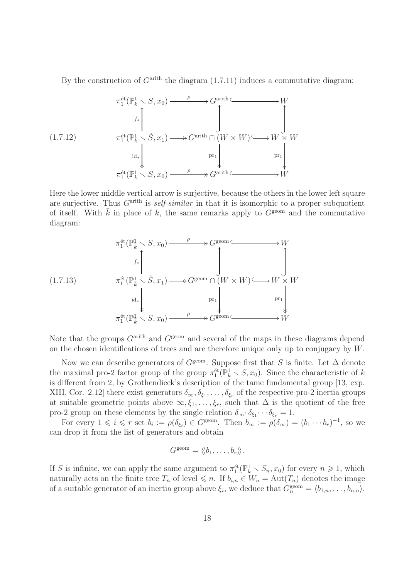By the construction of  $G<sup>arith</sup>$  the diagram  $(1.7.11)$  induces a commutative diagram:

$$
\pi_1^{\text{\'et}}(\mathbb{P}_k^1 \setminus S, x_0) \xrightarrow{\rho} G^{\text{arith}} \longrightarrow W
$$
\n
$$
f_* \uparrow \qquad \qquad \downarrow
$$
\n
$$
\pi_1^{\text{\'et}}(\mathbb{P}_k^1 \setminus \tilde{S}, x_1) \longrightarrow G^{\text{arith}} \cap (W \times W) \longrightarrow W \times W
$$
\n
$$
\text{ind}_* \downarrow \qquad \qquad \text{pr}_1 \downarrow \qquad \qquad \text{pr}_1 \downarrow \qquad \qquad \text{pr}_1 \downarrow \qquad \qquad \text{pr}_1 \downarrow \qquad \qquad \downarrow
$$
\n
$$
\pi_1^{\text{\'et}}(\mathbb{P}_k^1 \setminus S, x_0) \xrightarrow{\rho} \mathcal{G}^{\text{arith}} \subseteq \qquad \qquad \downarrow W
$$

Here the lower middle vertical arrow is surjective, because the others in the lower left square are surjective. Thus  $G<sup>arith</sup>$  is self-similar in that it is isomorphic to a proper subquotient of itself. With  $\bar{k}$  in place of k, the same remarks apply to  $G^{\text{geom}}$  and the commutative diagram:

$$
\pi_1^{\text{\'et}}(\mathbb{P}_{\bar{k}}^1 \setminus S, x_0) \xrightarrow{\rho} G^{\text{geom}} \xrightarrow{\phantom{\text{G}}^{\text{G}}^{\text{G}}} W
$$
\n
$$
f_* \uparrow \qquad \qquad \downarrow \qquad \qquad \downarrow
$$
\n
$$
\pi_1^{\text{\'et}}(\mathbb{P}_{\bar{k}}^1 \setminus \tilde{S}, x_1) \xrightarrow{\phantom{\text{G}}^{\text{G}}^{\text{G}}} G^{\text{G}} \cap (W \times W) \xrightarrow{\phantom{\text{G}}^{\text{G}}} W \times W
$$
\n
$$
\pi_1^{\text{\'et}}(\mathbb{P}_{\bar{k}}^1 \setminus S, x_0) \xrightarrow{\phantom{\text{G}}^{\text{G}}} \qquad \qquad \downarrow \qquad \qquad \text{pr}_1 \downarrow \qquad \qquad \text{pr}_1 \downarrow \qquad \qquad \downarrow \qquad \qquad \downarrow
$$
\n
$$
\pi_1^{\text{\'et}}(\mathbb{P}_{\bar{k}}^1 \setminus S, x_0) \xrightarrow{\phantom{\text{G}}^{\text{G}}} \qquad \qquad \downarrow \qquad \qquad \downarrow \qquad \qquad \downarrow
$$

Note that the groups  $G<sup>arith</sup>$  and  $G<sup>geom</sup>$  and several of the maps in these diagrams depend on the chosen identifications of trees and are therefore unique only up to conjugacy by W.

Now we can describe generators of  $G<sup>geom</sup>$ . Suppose first that S is finite. Let  $\Delta$  denote the maximal pro-2 factor group of the group  $\pi_1^{\text{\'et}}(\mathbb{P}_k^1 \setminus S, x_0)$ . Since the characteristic of k is different from 2, by Grothendieck's description of the tame fundamental group [13, exp. XIII, Cor. 2.12] there exist generators  $\delta_{\infty}, \delta_{\xi_1}, \ldots, \delta_{\xi_r}$  of the respective pro-2 inertia groups at suitable geometric points above  $\infty, \xi_1, \ldots, \xi_r$ , such that  $\Delta$  is the quotient of the free pro-2 group on these elements by the single relation  $\delta_{\infty} \cdot \delta_{\xi_1} \cdots \delta_{\xi_r} = 1$ .

For every  $1 \leqslant i \leqslant r$  set  $b_i := \rho(\delta_{\xi_i}) \in G^{\text{geom}}$ . Then  $b_{\infty} := \rho(\delta_{\infty}) = (b_1 \cdots b_r)^{-1}$ , so we can drop it from the list of generators and obtain

$$
G^{\text{geom}} = \langle\!\langle b_1, \ldots, b_r \rangle\!\rangle.
$$

If S is infinite, we can apply the same argument to  $\pi_1^{\text{\'et}}(\mathbb{P}_k^1 \setminus S_n, x_0)$  for every  $n \geq 1$ , which naturally acts on the finite tree  $T_n$  of level  $\leq n$ . If  $b_{i,n} \in W_n = \text{Aut}(T_n)$  denotes the image of a suitable generator of an inertia group above  $\xi_i$ , we deduce that  $G_n^{\text{geom}} = \langle b_{1,n}, \ldots, b_{n,n} \rangle$ .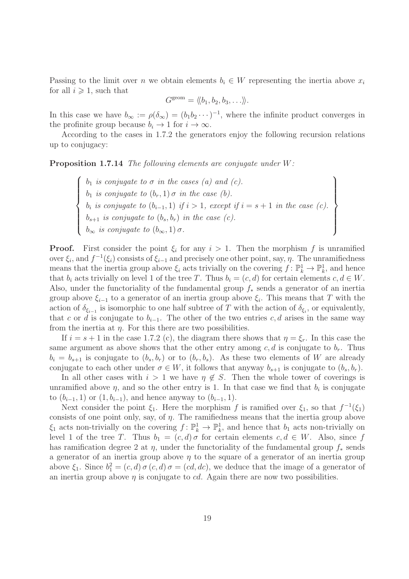Passing to the limit over n we obtain elements  $b_i \in W$  representing the inertia above  $x_i$ for all  $i \geqslant 1$ , such that

$$
G^{\text{geom}} = \langle\!\langle b_1, b_2, b_3, \ldots \rangle\!\rangle.
$$

In this case we have  $b_{\infty} := \rho(\delta_{\infty}) = (b_1 b_2 \cdots)^{-1}$ , where the infinite product converges in the profinite group because  $b_i \to 1$  for  $i \to \infty$ .

According to the cases in 1.7.2 the generators enjoy the following recursion relations up to conjugacy:

Proposition 1.7.14 The following elements are conjugate under W:

 $\sqrt{ }$  $\begin{matrix} \end{matrix}$  $\begin{array}{c} \end{array}$  $b_1$  is conjugate to  $\sigma$  in the cases (a) and (c).  $b_1$  is conjugate to  $(b_r, 1)$   $\sigma$  in the case (b).  $b_i$  is conjugate to  $(b_{i-1}, 1)$  if  $i > 1$ , except if  $i = s + 1$  in the case (c).  $b_{s+1}$  is conjugate to  $(b_s, b_r)$  in the case (c).  $b_{\infty}$  is conjugate to  $(b_{\infty}, 1)$   $\sigma$ .  $\mathcal{L}$  $\overline{\mathcal{L}}$  $\begin{array}{c} \end{array}$ 

**Proof.** First consider the point  $\xi_i$  for any  $i > 1$ . Then the morphism f is unramified over  $\xi_i$ , and  $f^{-1}(\xi_i)$  consists of  $\xi_{i-1}$  and precisely one other point, say,  $\eta$ . The unramifiedness means that the inertia group above  $\xi_i$  acts trivially on the covering  $f: \mathbb{P}_k^1 \to \mathbb{P}_k^1$ , and hence that  $b_i$  acts trivially on level 1 of the tree T. Thus  $b_i = (c, d)$  for certain elements  $c, d \in W$ . Also, under the functoriality of the fundamental group  $f_*$  sends a generator of an inertia group above  $\xi_{i-1}$  to a generator of an inertia group above  $\xi_i$ . This means that T with the action of  $\delta_{\xi_{i-1}}$  is isomorphic to one half subtree of T with the action of  $\delta_{\xi_i}$ , or equivalently, that c or d is conjugate to  $b_{i-1}$ . The other of the two entries c, d arises in the same way from the inertia at  $\eta$ . For this there are two possibilities.

If  $i = s + 1$  in the case 1.7.2 (c), the diagram there shows that  $\eta = \xi_r$ . In this case the same argument as above shows that the other entry among  $c, d$  is conjugate to  $b_r$ . Thus  $b_i = b_{s+1}$  is conjugate to  $(b_s, b_r)$  or to  $(b_r, b_s)$ . As these two elements of W are already conjugate to each other under  $\sigma \in W$ , it follows that anyway  $b_{s+1}$  is conjugate to  $(b_s, b_r)$ .

In all other cases with  $i > 1$  we have  $\eta \notin S$ . Then the whole tower of coverings is unramified above  $\eta$ , and so the other entry is 1. In that case we find that  $b_i$  is conjugate to  $(b_{i-1}, 1)$  or  $(1, b_{i-1})$ , and hence anyway to  $(b_{i-1}, 1)$ .

Next consider the point  $\xi_1$ . Here the morphism f is ramified over  $\xi_1$ , so that  $f^{-1}(\xi_1)$ consists of one point only, say, of  $\eta$ . The ramifiedness means that the inertia group above  $\xi_1$  acts non-trivially on the covering  $f: \mathbb{P}_k^1 \to \mathbb{P}_k^1$ , and hence that  $b_1$  acts non-trivially on level 1 of the tree T. Thus  $b_1 = (c, d) \sigma$  for certain elements  $c, d \in W$ . Also, since f has ramification degree 2 at  $\eta$ , under the functoriality of the fundamental group  $f_*$  sends a generator of an inertia group above  $\eta$  to the square of a generator of an inertia group above  $\xi_1$ . Since  $b_1^2 = (c, d) \sigma(c, d) \sigma = (cd, dc)$ , we deduce that the image of a generator of an inertia group above  $\eta$  is conjugate to *cd*. Again there are now two possibilities.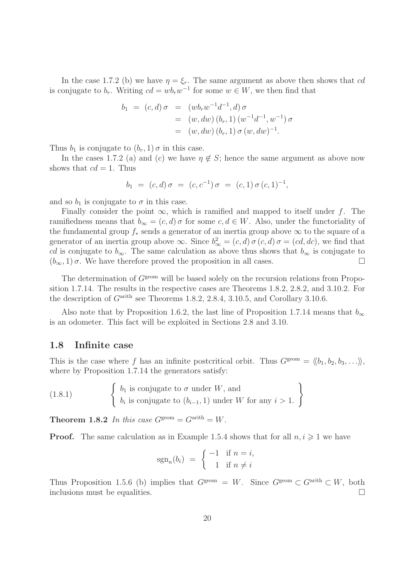In the case 1.7.2 (b) we have  $\eta = \xi_r$ . The same argument as above then shows that cd is conjugate to  $b_r$ . Writing  $cd = wb_r w^{-1}$  for some  $w \in W$ , we then find that

$$
b_1 = (c, d) \sigma = (wb_r w^{-1} d^{-1}, d) \sigma
$$
  
= (w, dw) (b<sub>r</sub>, 1) (w<sup>-1</sup> d<sup>-1</sup>, w<sup>-1</sup>)  $\sigma$   
= (w, dw) (b<sub>r</sub>, 1)  $\sigma$  (w, dw)<sup>-1</sup>.

Thus  $b_1$  is conjugate to  $(b_r, 1)$   $\sigma$  in this case.

In the cases 1.7.2 (a) and (c) we have  $\eta \notin S$ ; hence the same argument as above now shows that  $cd = 1$ . Thus

$$
b_1 = (c, d) \sigma = (c, c^{-1}) \sigma = (c, 1) \sigma (c, 1)^{-1},
$$

and so  $b_1$  is conjugate to  $\sigma$  in this case.

Finally consider the point  $\infty$ , which is ramified and mapped to itself under f. The ramifiedness means that  $b_{\infty} = (c, d) \sigma$  for some  $c, d \in W$ . Also, under the functoriality of the fundamental group  $f_*$  sends a generator of an inertia group above  $\infty$  to the square of a generator of an inertia group above  $\infty$ . Since  $b^2_{\infty} = (c, d) \sigma(c, d) \sigma = (cd, dc)$ , we find that cd is conjugate to  $b_{\infty}$ . The same calculation as above thus shows that  $b_{\infty}$  is conjugate to  $(b_{\infty}, 1)$   $\sigma$ . We have therefore proved the proposition in all cases.

The determination of  $G<sup>geom</sup>$  will be based solely on the recursion relations from Proposition 1.7.14. The results in the respective cases are Theorems 1.8.2, 2.8.2, and 3.10.2. For the description of  $G<sup>arith</sup>$  see Theorems 1.8.2, 2.8.4, 3.10.5, and Corollary 3.10.6.

Also note that by Proposition 1.6.2, the last line of Proposition 1.7.14 means that  $b_{\infty}$ is an odometer. This fact will be exploited in Sections 2.8 and 3.10.

#### 1.8 Infinite case

This is the case where f has an infinite postcritical orbit. Thus  $G^{\text{geom}} = \langle b_1, b_2, b_3, \ldots \rangle$ , where by Proposition 1.7.14 the generators satisfy:

 $(1.8.1)$  $b_1$  is conjugate to  $\sigma$  under W, and  $b_1$  is conjugate to σ under W, and<br>  $b_i$  is conjugate to  $(b_{i-1}, 1)$  under W for any  $i > 1$ .

**Theorem 1.8.2** In this case  $G^{\text{geom}} = G^{\text{arith}} = W$ .

**Proof.** The same calculation as in Example 1.5.4 shows that for all  $n, i \geq 1$  we have

$$
sgn_n(b_i) = \begin{cases} -1 & \text{if } n = i, \\ 1 & \text{if } n \neq i \end{cases}
$$

Thus Proposition 1.5.6 (b) implies that  $G^{\text{geom}} = W$ . Since  $G^{\text{geom}} \subset G^{\text{arith}} \subset W$ , both inclusions must be equalities.  $\Box$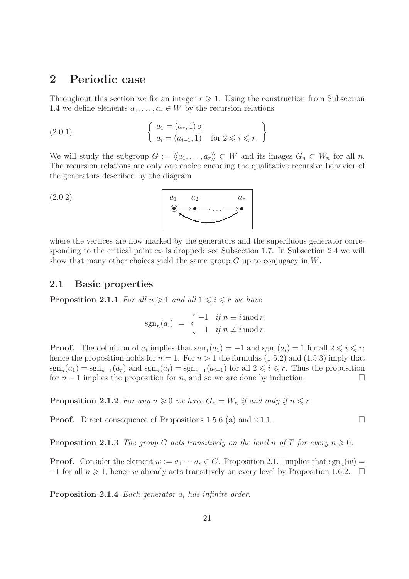## 2 Periodic case

Throughout this section we fix an integer  $r \geq 1$ . Using the construction from Subsection 1.4 we define elements  $a_1, \ldots, a_r \in W$  by the recursion relations

(2.0.1) 
$$
\begin{cases} a_1 = (a_r, 1) \sigma, \\ a_i = (a_{i-1}, 1) \text{ for } 2 \leq i \leq r. \end{cases}
$$

We will study the subgroup  $G := \langle\langle a_1, \ldots, a_r \rangle\rangle \subset W$  and its images  $G_n \subset W_n$  for all n. The recursion relations are only one choice encoding the qualitative recursive behavior of the generators described by the diagram

$$
(2.0.2) \qquad \qquad a_1 \qquad a_2 \qquad a_r
$$

where the vertices are now marked by the generators and the superfluous generator corresponding to the critical point  $\infty$  is dropped: see Subsection 1.7. In Subsection 2.4 we will show that many other choices yield the same group  $G$  up to conjugacy in  $W$ .

#### 2.1 Basic properties

**Proposition 2.1.1** For all  $n \geq 1$  and all  $1 \leq i \leq r$  we have

$$
sgn_n(a_i) = \begin{cases} -1 & \text{if } n \equiv i \bmod r, \\ 1 & \text{if } n \not\equiv i \bmod r. \end{cases}
$$

**Proof.** The definition of  $a_i$  implies that  $sgn_1(a_1) = -1$  and  $sgn_1(a_i) = 1$  for all  $2 \leq i \leq r$ ; hence the proposition holds for  $n = 1$ . For  $n > 1$  the formulas (1.5.2) and (1.5.3) imply that  $sgn_n(a_1) = sgn_{n-1}(a_r)$  and  $sgn_n(a_i) = sgn_{n-1}(a_{i-1})$  for all  $2 \leq i \leq r$ . Thus the proposition for  $n-1$  implies the proposition for n, and so we are done by induction.  $\Box$ 

**Proposition 2.1.2** For any  $n \geq 0$  we have  $G_n = W_n$  if and only if  $n \leq r$ .

**Proof.** Direct consequence of Propositions 1.5.6 (a) and 2.1.1.

**Proposition 2.1.3** The group G acts transitively on the level n of T for every  $n \geqslant 0$ .

**Proof.** Consider the element  $w := a_1 \cdots a_r \in G$ . Proposition 2.1.1 implies that  $sgn_n(w) =$  $-1$  for all  $n \geq 1$ ; hence w already acts transitively on every level by Proposition 1.6.2.  $\Box$ 

**Proposition 2.1.4** Each generator  $a_i$  has infinite order.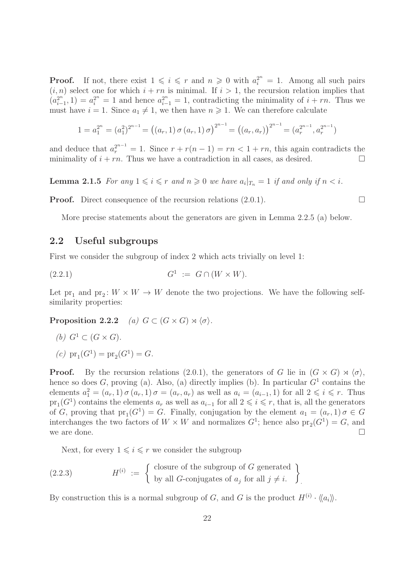**Proof.** If not, there exist  $1 \leq i \leq r$  and  $n \geq 0$  with  $a_i^{2^n} = 1$ . Among all such pairs  $(i, n)$  select one for which  $i + rn$  is minimal. If  $i > 1$ , the recursion relation implies that  $\left(a_i^{2^n}\right)$  $a_{i-1}^{2^n}$ , 1) =  $a_i^{2^n}$  = 1 and hence  $a_{i-1}^{2^n}$  = 1, contradicting the minimality of  $i + rn$ . Thus we must have  $i = 1$ . Since  $a_1 \neq 1$ , we then have  $n \geq 1$ . We can therefore calculate

$$
1 = a_1^{2^n} = (a_1^2)^{2^{n-1}} = ((a_r, 1) \sigma (a_r, 1) \sigma)^{2^{n-1}} = ((a_r, a_r))^{2^{n-1}} = (a_r^{2^{n-1}}, a_r^{2^{n-1}})
$$

and deduce that  $a_r^{2^{n-1}} = 1$ . Since  $r + r(n-1) = rn < 1 + rn$ , this again contradicts the minimality of  $i + rn$ . Thus we have a contradiction in all cases, as desired.

**Lemma 2.1.5** For any  $1 \leq i \leq r$  and  $n \geq 0$  we have  $a_i|_{T_n} = 1$  if and only if  $n < i$ .

**Proof.** Direct consequence of the recursion relations  $(2.0.1)$ .

More precise statements about the generators are given in Lemma 2.2.5 (a) below.

#### 2.2 Useful subgroups

First we consider the subgroup of index 2 which acts trivially on level 1:

$$
(2.2.1) \tG1 := G \cap (W \times W).
$$

Let  $pr_1$  and  $pr_2$ :  $W \times W \rightarrow W$  denote the two projections. We have the following selfsimilarity properties:

**Proposition 2.2.2** (a)  $G \subset (G \times G) \rtimes \langle \sigma \rangle$ .

(b) 
$$
G^1 \subset (G \times G)
$$
.

(c)  $pr_1(G^1) = pr_2(G^1) = G.$ 

**Proof.** By the recursion relations (2.0.1), the generators of G lie in  $(G \times G) \rtimes \langle \sigma \rangle$ , hence so does G, proving (a). Also, (a) directly implies (b). In particular  $G<sup>1</sup>$  contains the elements  $a_1^2 = (a_r, 1) \sigma (a_r, 1) \sigma = (a_r, a_r)$  as well as  $a_i = (a_{i-1}, 1)$  for all  $2 \leq i \leq r$ . Thus  $pr_1(G<sup>1</sup>)$  contains the elements  $a_r$  as well as  $a_{i-1}$  for all  $2 \leq i \leq r$ , that is, all the generators of G, proving that  $pr_1(G^1) = G$ . Finally, conjugation by the element  $a_1 = (a_r, 1) \sigma \in G$ interchanges the two factors of  $W \times W$  and normalizes  $G^1$ ; hence also  $pr_2(G^1) = G$ , and we are done.

Next, for every  $1 \leq i \leq r$  we consider the subgroup

(2.2.3) 
$$
H^{(i)} := \left\{ \begin{array}{l} \text{closure of the subgroup of } G \text{ generated} \\ \text{by all } G\text{-conjugates of } a_j \text{ for all } j \neq i. \end{array} \right\}
$$

By construction this is a normal subgroup of G, and G is the product  $H^{(i)} \cdot \langle\!\langle a_i \rangle\!\rangle$ .

.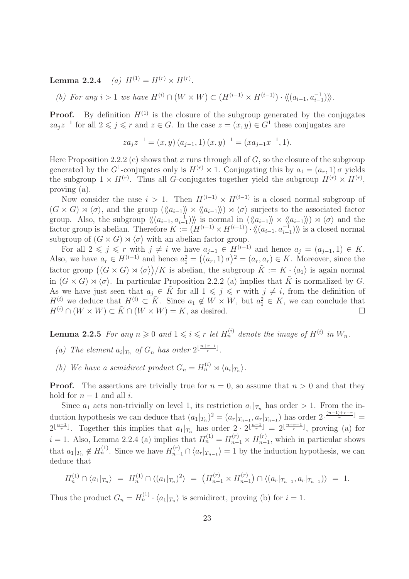Lemma 2.2.4 (a)  $H^{(1)} = H^{(r)} \times H^{(r)}$ .

(b) For any  $i > 1$  we have  $H^{(i)} \cap (W \times W) \subset (H^{(i-1)} \times H^{(i-1)}) \cdot \langle\langle (a_{i-1}, a_{i-1}^{-1}) \rangle\rangle$ .

**Proof.** By definition  $H^{(1)}$  is the closure of the subgroup generated by the conjugates  $z a_j z^{-1}$  for all  $2 \leq j \leq r$  and  $z \in G$ . In the case  $z = (x, y) \in G<sup>1</sup>$  these conjugates are

$$
za_j z^{-1} = (x, y) (a_{j-1}, 1) (x, y)^{-1} = (xa_{j-1}x^{-1}, 1).
$$

Here Proposition 2.2.2 (c) shows that x runs through all of  $G$ , so the closure of the subgroup generated by the  $G^1$ -conjugates only is  $H^{(r)} \times 1$ . Conjugating this by  $a_1 = (a_r, 1) \sigma$  yields the subgroup  $1 \times H^{(r)}$ . Thus all G-conjugates together yield the subgroup  $H^{(r)} \times H^{(r)}$ , proving (a).

Now consider the case  $i > 1$ . Then  $H^{(i-1)} \times H^{(i-1)}$  is a closed normal subgroup of  $(G \times G) \rtimes \langle \sigma \rangle$ , and the group  $(\langle \langle a_{i-1} \rangle \rangle \times \langle \langle a_{i-1} \rangle \rangle) \rtimes \langle \sigma \rangle$  surjects to the associated factor group. Also, the subgroup  $\langle\langle (a_{i-1}, a_{i-1}^{-1})\rangle\rangle$  is normal in  $(\langle\langle a_{i-1}\rangle\rangle \times \langle\langle a_{i-1}\rangle\rangle) \rtimes \langle\sigma\rangle$  and the factor group is abelian. Therefore  $K := (H^{(i-1)} \times H^{(i-1)}) \cdot \langle\langle (a_{i-1}, a_{i-1}^{-1}) \rangle\rangle$  is a closed normal subgroup of  $(G \times G) \rtimes \langle \sigma \rangle$  with an abelian factor group.

For all  $2 \leq j \leq r$  with  $j \neq i$  we have  $a_{j-1} \in H^{(i-1)}$  and hence  $a_j = (a_{j-1}, 1) \in K$ . Also, we have  $a_r \in H^{(i-1)}$  and hence  $a_1^2 = ((a_r, 1) \sigma)^2 = (a_r, a_r) \in K$ . Moreover, since the factor group  $((G \times G) \rtimes \langle \sigma \rangle)/K$  is abelian, the subgroup  $\tilde{K} := K \cdot \langle a_1 \rangle$  is again normal in  $(G \times G) \rtimes \langle \sigma \rangle$ . In particular Proposition 2.2.2 (a) implies that K is normalized by G. As we have just seen that  $a_j \in \tilde{K}$  for all  $1 \leqslant j \leqslant r$  with  $j \neq i$ , from the definition of  $H^{(i)}$  we deduce that  $H^{(i)} \subset \tilde{K}$ . Since  $a_1 \notin W \times W$ , but  $a_1^2 \in K$ , we can conclude that  $H^{(i)} \cap (W \times W) \subset \tilde{K} \cap (W \times W) = K$ , as desired.

**Lemma 2.2.5** For any  $n \ge 0$  and  $1 \le i \le r$  let  $H_n^{(i)}$  denote the image of  $H^{(i)}$  in  $W_n$ .

- (a) The element  $a_i|_{T_n}$  of  $G_n$  has order  $2^{\lfloor \frac{n+r-i}{r} \rfloor}$ .
- (b) We have a semidirect product  $G_n = H_n^{(i)} \rtimes \langle a_i |_{T_n} \rangle$ .

**Proof.** The assertions are trivially true for  $n = 0$ , so assume that  $n > 0$  and that they hold for  $n-1$  and all *i*.

Since  $a_1$  acts non-trivially on level 1, its restriction  $a_1|_{T_n}$  has order > 1. From the induction hypothesis we can deduce that  $(a_1|_{T_n})^2 = (a_r|_{T_{n-1}}, a_r|_{T_{n-1}})$  has order  $2^{\lfloor \frac{(n-1)+r-r}{r} \rfloor} =$  $2^{\lfloor \frac{n-1}{r} \rfloor}$ . Together this implies that  $a_1|_{T_n}$  has order  $2 \cdot 2^{\lfloor \frac{n-1}{r} \rfloor} = 2^{\lfloor \frac{n+r-1}{r} \rfloor}$ , proving (a) for  $i = 1$ . Also, Lemma 2.2.4 (a) implies that  $H_n^{(1)} = H_{n-1}^{(r)} \times H_{n-1}^{(r)}$  $_{n-1}^{(r)}$ , which in particular shows that  $a_1|_{T_n} \notin H_n^{(1)}$ . Since we have  $H_{n-1}^{(r)} \cap \langle a_r |_{T_{n-1}} \rangle = 1$  by the induction hypothesis, we can deduce that

$$
H_n^{(1)} \cap \langle a_1 |_{T_n} \rangle = H_n^{(1)} \cap \langle (a_1 |_{T_n})^2 \rangle = (H_{n-1}^{(r)} \times H_{n-1}^{(r)}) \cap \langle (a_r |_{T_{n-1}}, a_r |_{T_{n-1}}) \rangle = 1.
$$

Thus the product  $G_n = H_n^{(1)} \cdot \langle a_1 |_{T_n} \rangle$  is semidirect, proving (b) for  $i = 1$ .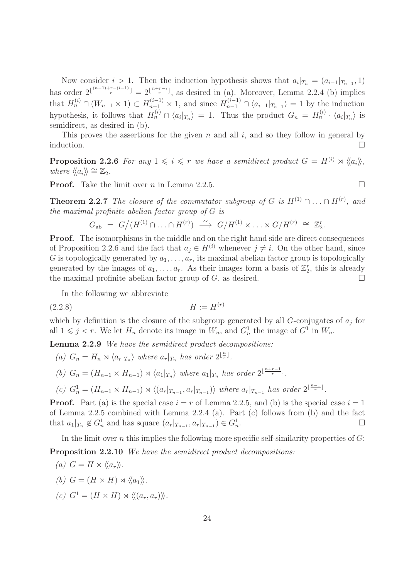Now consider  $i > 1$ . Then the induction hypothesis shows that  $a_i|_{T_n} = (a_{i-1}|_{T_{n-1}}, 1)$ has order  $2^{\lfloor \frac{(n-1)+r-(i-1)}{r} \rfloor} = 2^{\lfloor \frac{n+r-i}{r} \rfloor}$ , as desired in (a). Moreover, Lemma 2.2.4 (b) implies that  $H_n^{(i)} \cap (W_{n-1} \times 1) \subset H_{n-1}^{(i-1)} \times 1$ , and since  $H_{n-1}^{(i-1)} \cap \langle a_{i-1}|_{T_{n-1}} \rangle = 1$  by the induction hypothesis, it follows that  $H_n^{(i)} \cap \langle a_i |_{T_n} \rangle = 1$ . Thus the product  $G_n = H_n^{(i)} \cdot \langle a_i |_{T_n} \rangle$  is semidirect, as desired in (b).

This proves the assertions for the given  $n$  and all  $i$ , and so they follow in general by induction.  $\Box$ 

**Proposition 2.2.6** For any  $1 \leq i \leq r$  we have a semidirect product  $G = H^{(i)} \rtimes \langle\langle a_i \rangle\rangle$ , where  $\langle \langle a_i \rangle \rangle \cong \mathbb{Z}_2$ .

**Proof.** Take the limit over *n* in Lemma 2.2.5.

**Theorem 2.2.7** The closure of the commutator subgroup of G is  $H^{(1)} \cap \ldots \cap H^{(r)}$ , and the maximal profinite abelian factor group of G is

$$
G_{\rm ab} = G/(H^{(1)} \cap \ldots \cap H^{(r)}) \stackrel{\sim}{\longrightarrow} G/H^{(1)} \times \ldots \times G/H^{(r)} \cong \mathbb{Z}_2^r.
$$

**Proof.** The isomorphisms in the middle and on the right hand side are direct consequences of Proposition 2.2.6 and the fact that  $a_i \in H^{(i)}$  whenever  $j \neq i$ . On the other hand, since G is topologically generated by  $a_1, \ldots, a_r$ , its maximal abelian factor group is topologically generated by the images of  $a_1, \ldots, a_r$ . As their images form a basis of  $\mathbb{Z}_2^r$ , this is already the maximal profinite abelian factor group of  $G$ , as desired.

In the following we abbreviate

$$
(2.2.8)\qquad \qquad H:=H^{(r)}
$$

which by definition is the closure of the subgroup generated by all  $G$ -conjugates of  $a_j$  for all  $1 \leq j < r$ . We let  $H_n$  denote its image in  $W_n$ , and  $G_n^1$  the image of  $G^1$  in  $W_n$ .

Lemma 2.2.9 We have the semidirect product decompositions:

(a)  $G_n = H_n \rtimes \langle a_r |_{T_n} \rangle$  where  $a_r |_{T_n}$  has order  $2^{\lfloor \frac{n}{r} \rfloor}$ .

(b) 
$$
G_n = (H_{n-1} \times H_{n-1}) \rtimes \langle a_1 |_{T_n} \rangle
$$
 where  $a_1 |_{T_n}$  has order  $2^{\lfloor \frac{n+r-1}{r} \rfloor}$ .

(c) 
$$
G_n^1 = (H_{n-1} \times H_{n-1}) \rtimes \langle (a_r |_{T_{n-1}}, a_r |_{T_{n-1}}) \rangle
$$
 where  $a_r |_{T_{n-1}}$  has order  $2^{\lfloor \frac{n-1}{r} \rfloor}$ .

**Proof.** Part (a) is the special case  $i = r$  of Lemma 2.2.5, and (b) is the special case  $i = 1$ of Lemma 2.2.5 combined with Lemma 2.2.4 (a). Part (c) follows from (b) and the fact that  $a_1|_{T_n} \notin G_n^1$  and has square  $(a_r|_{T_{n-1}}, a_r|_{T_{n-1}}) \in G_n^1$ . — Первый процесс в серверності в процесс в серверності в серверності в серверності в серверності в серверно<br>Первої в серверності в серверності в серверності в серверності в серверності в серверності в серверності в се

In the limit over n this implies the following more specific self-similarity properties of  $G$ :

Proposition 2.2.10 We have the semidirect product decompositions:

(a) 
$$
G = H \rtimes \langle\langle a_r \rangle\rangle
$$
.  
\n(b)  $G = (H \times H) \rtimes \langle\langle a_1 \rangle\rangle$ .  
\n(c)  $G^1 = (H \times H) \rtimes \langle\langle (a_r, a_r) \rangle\rangle$ .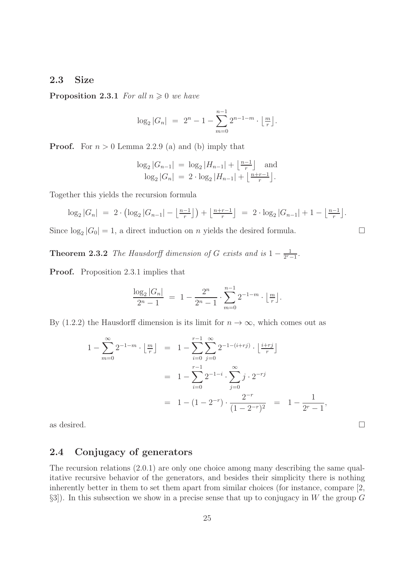#### 2.3 Size

**Proposition 2.3.1** For all  $n \geq 0$  we have

$$
\log_2|G_n| = 2^n - 1 - \sum_{m=0}^{n-1} 2^{n-1-m} \cdot \left\lfloor \frac{m}{r} \right\rfloor.
$$

**Proof.** For  $n > 0$  Lemma 2.2.9 (a) and (b) imply that

$$
\log_2|G_{n-1}| = \log_2|H_{n-1}| + \left\lfloor \frac{n-1}{r} \right\rfloor \text{ and } \log_2|G_n| = 2 \cdot \log_2|H_{n-1}| + \left\lfloor \frac{n+r-1}{r} \right\rfloor.
$$

Together this yields the recursion formula

$$
\log_2|G_n| = 2 \cdot \left(\log_2|G_{n-1}| - \left\lfloor \frac{n-1}{r} \right\rfloor\right) + \left\lfloor \frac{n+r-1}{r} \right\rfloor = 2 \cdot \log_2|G_{n-1}| + 1 - \left\lfloor \frac{n-1}{r} \right\rfloor.
$$

Since  $log_2 |G_0| = 1$ , a direct induction on *n* yields the desired formula.

**Theorem 2.3.2** The Hausdorff dimension of G exists and is  $1 - \frac{1}{2r}$ .  $\frac{1}{2^{r}-1}$ .

Proof. Proposition 2.3.1 implies that

$$
\frac{\log_2|G_n|}{2^n-1} = 1 - \frac{2^n}{2^n-1} \cdot \sum_{m=0}^{n-1} 2^{-1-m} \cdot \lfloor \frac{m}{r} \rfloor.
$$

By (1.2.2) the Hausdorff dimension is its limit for  $n \to \infty$ , which comes out as

$$
1 - \sum_{m=0}^{\infty} 2^{-1-m} \cdot \left\lfloor \frac{m}{r} \right\rfloor = 1 - \sum_{i=0}^{r-1} \sum_{j=0}^{\infty} 2^{-1-(i+rj)} \cdot \left\lfloor \frac{i+rj}{r} \right\rfloor
$$
  
= 
$$
1 - \sum_{i=0}^{r-1} 2^{-1-i} \cdot \sum_{j=0}^{\infty} j \cdot 2^{-rj}
$$
  
= 
$$
1 - (1 - 2^{-r}) \cdot \frac{2^{-r}}{(1 - 2^{-r})^2} = 1 - \frac{1}{2^r - 1},
$$

as desired.  $\Box$ 

### 2.4 Conjugacy of generators

The recursion relations (2.0.1) are only one choice among many describing the same qualitative recursive behavior of the generators, and besides their simplicity there is nothing inherently better in them to set them apart from similar choices (for instance, compare [2,  $\S3$ ). In this subsection we show in a precise sense that up to conjugacy in W the group G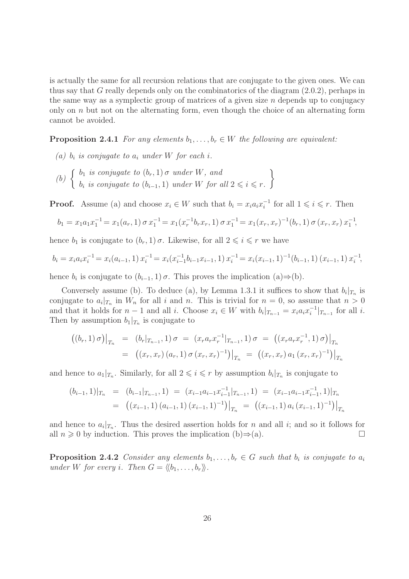is actually the same for all recursion relations that are conjugate to the given ones. We can thus say that G really depends only on the combinatorics of the diagram (2.0.2), perhaps in the same way as a symplectic group of matrices of a given size  $n$  depends up to conjugacy only on  $n$  but not on the alternating form, even though the choice of an alternating form cannot be avoided.

**Proposition 2.4.1** For any elements  $b_1, \ldots, b_r \in W$  the following are equivalent:

- (a)  $b_i$  is conjugate to  $a_i$  under W for each i.
- (b)  $\begin{cases} b_1 \text{ is conjugate to } (b_r, 1) \sigma \text{ under } W, \text{ and} \end{cases}$  $b_i$  is conjugate to  $(b_{i-1}, 1)$  under W for all  $2 \leq i \leq r$ .  $\mathcal{L}$

**Proof.** Assume (a) and choose  $x_i \in W$  such that  $b_i = x_i a_i x_i^{-1}$  for all  $1 \leq i \leq r$ . Then

$$
b_1 = x_1 a_1 x_1^{-1} = x_1(a_r, 1) \sigma x_1^{-1} = x_1(x_r^{-1}b_r x_r, 1) \sigma x_1^{-1} = x_1(x_r, x_r)^{-1}(b_r, 1) \sigma (x_r, x_r) x_1^{-1},
$$

hence  $b_1$  is conjugate to  $(b_r, 1)$   $\sigma$ . Likewise, for all  $2 \leq i \leq r$  we have

$$
b_i = x_i a_i x_i^{-1} = x_i (a_{i-1}, 1) x_i^{-1} = x_i (x_{i-1}^{-1} b_{i-1} x_{i-1}, 1) x_i^{-1} = x_i (x_{i-1}, 1)^{-1} (b_{i-1}, 1) (x_{i-1}, 1) x_i^{-1},
$$

hence  $b_i$  is conjugate to  $(b_{i-1}, 1)$   $\sigma$ . This proves the implication  $(a) \Rightarrow (b)$ .

Conversely assume (b). To deduce (a), by Lemma 1.3.1 it suffices to show that  $b_i|_{T_n}$  is conjugate to  $a_i|_{T_n}$  in  $W_n$  for all i and n. This is trivial for  $n = 0$ , so assume that  $n > 0$ and that it holds for  $n-1$  and all i. Choose  $x_i \in W$  with  $b_i|_{T_{n-1}} = x_i a_i x_i^{-1}|_{T_{n-1}}$  for all i. Then by assumption  $b_1|_{T_n}$  is conjugate to

$$
\begin{array}{rcl}\n\left( (b_r, 1) \, \sigma \right) \big|_{T_n} & = & \left( b_r |_{T_{n-1}}, 1 \right) \sigma = \left( x_r a_r x_r^{-1} |_{T_{n-1}}, 1 \right) \sigma = \left( \left( x_r a_r x_r^{-1}, 1 \right) \sigma \right) \big|_{T_n} \\
& = & \left( \left( x_r, x_r \right) \left( a_r, 1 \right) \sigma \left( x_r, x_r \right)^{-1} \right) \big|_{T_n} = \left( \left( x_r, x_r \right) a_1 \left( x_r, x_r \right)^{-1} \right) \big|_{T_n}\n\end{array}
$$

and hence to  $a_1|_{T_n}$ . Similarly, for all  $2 \leqslant i \leqslant r$  by assumption  $b_i|_{T_n}$  is conjugate to

$$
(b_{i-1}, 1)|_{T_n} = (b_{i-1}|_{T_{n-1}}, 1) = (x_{i-1}a_{i-1}x_{i-1}^{-1}|_{T_{n-1}}, 1) = (x_{i-1}a_{i-1}x_{i-1}^{-1}, 1)|_{T_n}
$$
  
= 
$$
((x_{i-1}, 1) (a_{i-1}, 1) (x_{i-1}, 1)^{-1})|_{T_n} = ((x_{i-1}, 1) a_i (x_{i-1}, 1)^{-1})|_{T_n}
$$

and hence to  $a_i|_{T_n}$ . Thus the desired assertion holds for n and all i; and so it follows for all  $n \geq 0$  by induction. This proves the implication (b) $\Rightarrow$ (a).

**Proposition 2.4.2** Consider any elements  $b_1, \ldots, b_r \in G$  such that  $b_i$  is conjugate to  $a_i$ under W for every i. Then  $G = \langle b_1, \ldots, b_r \rangle$ .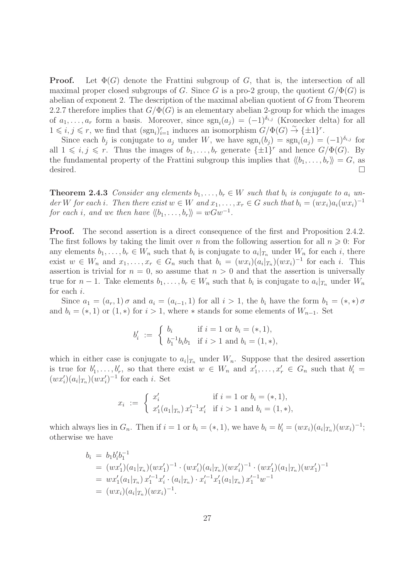**Proof.** Let  $\Phi(G)$  denote the Frattini subgroup of G, that is, the intersection of all maximal proper closed subgroups of G. Since G is a pro-2 group, the quotient  $G/\Phi(G)$  is abelian of exponent 2. The description of the maximal abelian quotient of  $G$  from Theorem 2.2.7 therefore implies that  $G/\Phi(G)$  is an elementary abelian 2-group for which the images of  $a_1, \ldots, a_r$  form a basis. Moreover, since  $sgn_i(a_j) = (-1)^{\delta_{i,j}}$  (Kronecker delta) for all  $1 \leq i, j \leq r$ , we find that  $(\text{sgn}_i)_{i=1}^r$  induces an isomorphism  $G/\Phi(G) \overset{\sim}{\to} {\{\pm 1\}}^r$ .

Since each  $b_j$  is conjugate to  $a_j$  under W, we have  $sgn_i(b_j) = sgn_i(a_j) = (-1)^{\delta_{i,j}}$  for all  $1 \leq i, j \leq r$ . Thus the images of  $b_1, \ldots, b_r$  generate  $\{\pm 1\}^r$  and hence  $G/\Phi(G)$ . By the fundamental property of the Frattini subgroup this implies that  $\langle b_1, \ldots, b_r \rangle = G$ , as desired.  $\Box$ 

**Theorem 2.4.3** Consider any elements  $b_1, \ldots, b_r \in W$  such that  $b_i$  is conjugate to  $a_i$  under W for each i. Then there exist  $w \in W$  and  $x_1, \ldots, x_r \in G$  such that  $b_i = (wx_i)a_i(wx_i)^{-1}$ for each i, and we then have  $\langle b_1, \ldots, b_r \rangle = wGw^{-1}$ .

**Proof.** The second assertion is a direct consequence of the first and Proposition 2.4.2. The first follows by taking the limit over n from the following assertion for all  $n \geqslant 0$ : For any elements  $b_1, \ldots, b_r \in W_n$  such that  $b_i$  is conjugate to  $a_i |_{T_n}$  under  $W_n$  for each i, there exist  $w \in W_n$  and  $x_1, \ldots, x_r \in G_n$  such that  $b_i = (wx_i)(a_i|x_n)(wx_i)^{-1}$  for each i. This assertion is trivial for  $n = 0$ , so assume that  $n > 0$  and that the assertion is universally true for  $n-1$ . Take elements  $b_1, \ldots, b_r \in W_n$  such that  $b_i$  is conjugate to  $a_i|_{T_n}$  under  $W_n$ for each i.

Since  $a_1 = (a_r, 1) \sigma$  and  $a_i = (a_{i-1}, 1)$  for all  $i > 1$ , the  $b_i$  have the form  $b_1 = (*, *) \sigma$ and  $b_i = (*, 1)$  or  $(1, *)$  for  $i > 1$ , where  $*$  stands for some elements of  $W_{n-1}$ . Set

$$
b'_i := \begin{cases} b_i & \text{if } i = 1 \text{ or } b_i = (*, 1), \\ b_1^{-1}b_ib_1 & \text{if } i > 1 \text{ and } b_i = (1, *),\end{cases}
$$

which in either case is conjugate to  $a_i|_{T_n}$  under  $W_n$ . Suppose that the desired assertion is true for  $b'_1, \ldots, b'_r$ , so that there exist  $w \in W_n$  and  $x'_1, \ldots, x'_r \in G_n$  such that  $b'_i =$  $(wx'_i)(a_i|_{T_n})(wx'_i)^{-1}$  for each *i*. Set

$$
x_i := \begin{cases} x'_i & \text{if } i = 1 \text{ or } b_i = (*, 1), \\ x'_1(a_1|_{T_n}) x'_1{}^{-1} x'_i & \text{if } i > 1 \text{ and } b_i = (1, *), \end{cases}
$$

which always lies in  $G_n$ . Then if  $i = 1$  or  $b_i = (*, 1)$ , we have  $b_i = b'_i = (wx_i)(a_i|_{T_n})(wx_i)^{-1}$ ; otherwise we have

$$
b_i = b_1 b_i' b_1^{-1}
$$
  
=  $(wx'_1)(a_1|\tau_n)(wx'_1)^{-1} \cdot (wx'_i)(a_i|\tau_n)(wx'_i)^{-1} \cdot (wx'_1)(a_1|\tau_n)(wx'_1)^{-1}$   
=  $wx'_1(a_1|\tau_n)x_1'^{-1}x'_i \cdot (a_i|\tau_n) \cdot x_i'^{-1}x'_1(a_1|\tau_n)x_1'^{-1}w^{-1}$   
=  $(wx_i)(a_i|\tau_n)(wx_i)^{-1}$ .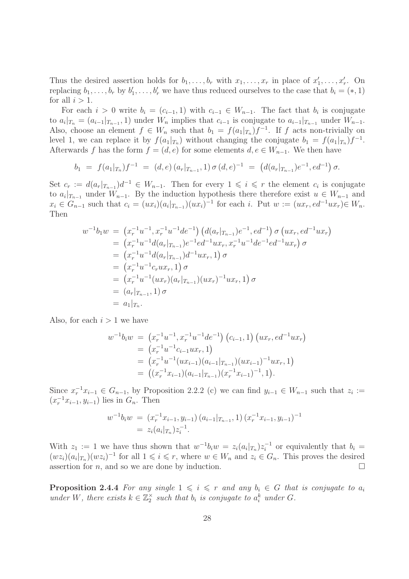Thus the desired assertion holds for  $b_1, \ldots, b_r$  with  $x_1, \ldots, x_r$  in place of  $x'_1, \ldots, x'_r$ . On replacing  $b_1, \ldots, b_r$  by  $b'_1, \ldots, b'_r$  we have thus reduced ourselves to the case that  $b_i = (*, 1)$ for all  $i > 1$ .

For each  $i > 0$  write  $b_i = (c_{i-1}, 1)$  with  $c_{i-1} \in W_{n-1}$ . The fact that  $b_i$  is conjugate to  $a_i|_{T_n} = (a_{i-1}|_{T_{n-1}}, 1)$  under  $W_n$  implies that  $c_{i-1}$  is conjugate to  $a_{i-1}|_{T_{n-1}}$  under  $W_{n-1}$ . Also, choose an element  $f \in W_n$  such that  $b_1 = f(a_1|_{T_n})f^{-1}$ . If f acts non-trivially on level 1, we can replace it by  $f(a_1|_{T_n})$  without changing the conjugate  $b_1 = f(a_1|_{T_n})f^{-1}$ . Afterwards f has the form  $f = (d, e)$  for some elements  $d, e \in W_{n-1}$ . We then have

$$
b_1 = f(a_1|_{T_n})f^{-1} = (d,e)(a_r|_{T_{n-1}},1) \sigma(d,e)^{-1} = (d(a_r|_{T_{n-1}})e^{-1},ed^{-1}) \sigma.
$$

Set  $c_r := d(a_r |_{T_{n-1}}) d^{-1} \in W_{n-1}$ . Then for every  $1 \leqslant i \leqslant r$  the element  $c_i$  is conjugate to  $a_i|_{T_{n-1}}$  under  $W_{n-1}$ . By the induction hypothesis there therefore exist  $u \in W_{n-1}$  and  $x_i \in G_{n-1}$  such that  $c_i = (ux_i)(a_i|_{T_{n-1}})(ux_i)^{-1}$  for each i. Put  $w := (ux_r, ed^{-1}ux_r) \in W_n$ . Then

$$
w^{-1}b_1w = (x_r^{-1}u^{-1}, x_r^{-1}u^{-1}de^{-1}) (d(a_r|_{T_{n-1}})e^{-1}, ed^{-1}) \sigma (ux_r, ed^{-1}ux_r)
$$
  
\n
$$
= (x_r^{-1}u^{-1}d(a_r|_{T_{n-1}})e^{-1}ed^{-1}ux_r, x_r^{-1}u^{-1}de^{-1}ed^{-1}ux_r) \sigma
$$
  
\n
$$
= (x_r^{-1}u^{-1}d(a_r|_{T_{n-1}})d^{-1}ux_r, 1) \sigma
$$
  
\n
$$
= (x_r^{-1}u^{-1}c_rux_r, 1) \sigma
$$
  
\n
$$
= (x_r^{-1}u^{-1}(ux_r)(a_r|_{T_{n-1}})(ux_r)^{-1}ux_r, 1) \sigma
$$
  
\n
$$
= (a_r|_{T_{n-1}}, 1) \sigma
$$
  
\n
$$
= a_1|_{T_n}.
$$

Also, for each  $i > 1$  we have

$$
w^{-1}b_iw = (x_r^{-1}u^{-1}, x_r^{-1}u^{-1}de^{-1}) (c_{i-1}, 1) (ux_r, ed^{-1}ux_r)
$$
  
=  $(x_r^{-1}u^{-1}c_{i-1}ux_r, 1)$   
=  $(x_r^{-1}u^{-1}(ux_{i-1})(a_{i-1}|_{T_{n-1}})(ux_{i-1})^{-1}ux_r, 1)$   
=  $((x_r^{-1}x_{i-1})(a_{i-1}|_{T_{n-1}})(x_r^{-1}x_{i-1})^{-1}, 1).$ 

Since  $x_r^{-1}x_{i-1} \in G_{n-1}$ , by Proposition 2.2.2 (c) we can find  $y_{i-1} \in W_{n-1}$  such that  $z_i :=$  $(x_r^{-1}x_{i-1}, y_{i-1})$  lies in  $G_n$ . Then

$$
w^{-1}b_i w = (x_r^{-1}x_{i-1}, y_{i-1}) (a_{i-1}|_{T_{n-1}}, 1) (x_r^{-1}x_{i-1}, y_{i-1})^{-1}
$$
  
=  $z_i(a_i|_{T_n}) z_i^{-1}$ .

With  $z_1 := 1$  we have thus shown that  $w^{-1}b_iw = z_i(a_i|x_n)z_i^{-1}$  or equivalently that  $b_i =$  $(wz_i)(a_i|_{T_n})(wz_i)^{-1}$  for all  $1 \leq i \leq r$ , where  $w \in W_n$  and  $z_i \in G_n$ . This proves the desired assertion for  $n$ , and so we are done by induction.

**Proposition 2.4.4** For any single  $1 \leq i \leq r$  and any  $b_i \in G$  that is conjugate to  $a_i$ under W, there exists  $k \in \mathbb{Z}_2^{\times}$  such that  $b_i$  is conjugate to  $a_i^k$  under G.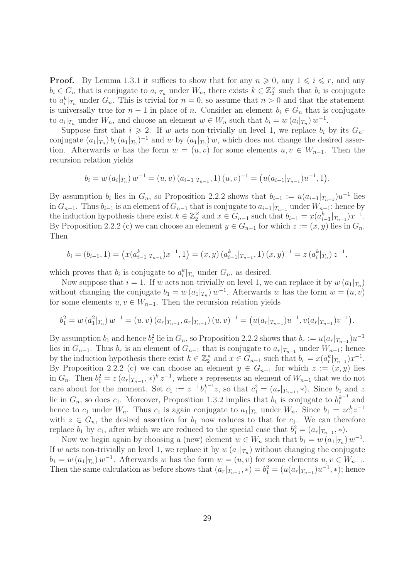**Proof.** By Lemma 1.3.1 it suffices to show that for any  $n \geq 0$ , any  $1 \leq i \leq r$ , and any  $b_i \in G_n$  that is conjugate to  $a_i|_{T_n}$  under  $W_n$ , there exists  $k \in \mathbb{Z}_2^{\times}$  such that  $b_i$  is conjugate to  $a_i^k|_{T_n}$  under  $G_n$ . This is trivial for  $n = 0$ , so assume that  $n > 0$  and that the statement is universally true for  $n-1$  in place of n. Consider an element  $b_i \in G_n$  that is conjugate to  $a_i|_{T_n}$  under  $W_n$ , and choose an element  $w \in W_n$  such that  $b_i = w(a_i|_{T_n}) w^{-1}$ .

Suppose first that  $i \geqslant 2$ . If w acts non-trivially on level 1, we replace  $b_i$  by its  $G_n$ conjugate  $(a_1|_{T_n}) b_i (a_1|_{T_n})^{-1}$  and w by  $(a_1|_{T_n}) w$ , which does not change the desired assertion. Afterwards w has the form  $w = (u, v)$  for some elements  $u, v \in W_{n-1}$ . Then the recursion relation yields

$$
b_i = w(a_i |_{T_n}) w^{-1} = (u, v) (a_{i-1} |_{T_{n-1}}, 1) (u, v)^{-1} = (u(a_{i-1} |_{T_{n-1}}) u^{-1}, 1).
$$

By assumption  $b_i$  lies in  $G_n$ , so Proposition 2.2.2 shows that  $b_{i-1} := u(a_{i-1}|_{T_{n-1}})u^{-1}$  lies in  $G_{n-1}$ . Thus  $b_{i-1}$  is an element of  $G_{n-1}$  that is conjugate to  $a_{i-1}|_{T_{n-1}}$  under  $W_{n-1}$ ; hence by the induction hypothesis there exist  $k \in \mathbb{Z}_2^{\times}$  and  $x \in G_{n-1}$  such that  $b_{i-1} = x(a_{i-1}^k |_{T_{n-1}}) x^{-1}$ . By Proposition 2.2.2 (c) we can choose an element  $y \in G_{n-1}$  for which  $z := (x, y)$  lies in  $G_n$ . Then

$$
b_i = (b_{i-1}, 1) = \left( x(a_{i-1}^k |_{T_{n-1}}) x^{-1}, 1 \right) = (x, y) \left( a_{i-1}^k |_{T_{n-1}}, 1 \right) (x, y)^{-1} = z \left( a_i^k |_{T_n} \right) z^{-1},
$$

which proves that  $b_i$  is conjugate to  $a_i^k|_{T_n}$  under  $G_n$ , as desired.

Now suppose that  $i = 1$ . If w acts non-trivially on level 1, we can replace it by  $w(a_1|_{T_n})$ without changing the conjugate  $b_1 = w(a_1|_{T_n}) w^{-1}$ . Afterwards w has the form  $w = (u, v)$ for some elements  $u, v \in W_{n-1}$ . Then the recursion relation yields

$$
b_1^2 = w(a_1^2|_{T_n}) w^{-1} = (u, v) (a_r|_{T_{n-1}}, a_r|_{T_{n-1}}) (u, v)^{-1} = (u(a_r|_{T_{n-1}})u^{-1}, v(a_r|_{T_{n-1}})v^{-1}).
$$

By assumption  $b_1$  and hence  $b_1^2$  lie in  $G_n$ , so Proposition 2.2.2 shows that  $b_r := u(a_r | T_{n-1}) u^{-1}$ lies in  $G_{n-1}$ . Thus  $b_r$  is an element of  $G_{n-1}$  that is conjugate to  $a_r|_{T_{n-1}}$  under  $W_{n-1}$ ; hence by the induction hypothesis there exist  $k \in \mathbb{Z}_2^{\times}$  and  $x \in G_{n-1}$  such that  $b_r = x(a_r^k |_{T_{n-1}}) x^{-1}$ . By Proposition 2.2.2 (c) we can choose an element  $y \in G_{n-1}$  for which  $z := (x, y)$  lies in  $G_n$ . Then  $b_1^2 = z(a_r |_{T_{n-1}}, \cdot) k z^{-1}$ , where  $\cdot$  represents an element of  $W_{n-1}$  that we do not care about for the moment. Set  $c_1 := z^{-1} b_1^{k-1} z$ , so that  $c_1^2 = (a_r |_{T_{n-1}}, *)$ . Since  $b_1$  and z lie in  $G_n$ , so does  $c_1$ . Moreover, Proposition 1.3.2 implies that  $b_1$  is conjugate to  $b_1^{k^{-1}}$  and hence to  $c_1$  under  $W_n$ . Thus  $c_1$  is again conjugate to  $a_1|_{T_n}$  under  $W_n$ . Since  $b_1 = z c_1^k z^{-1}$ with  $z \in G_n$ , the desired assertion for  $b_1$  now reduces to that for  $c_1$ . We can therefore replace  $b_1$  by  $c_1$ , after which we are reduced to the special case that  $b_1^2 = (a_r |_{T_{n-1}}, *)$ .

Now we begin again by choosing a (new) element  $w \in W_n$  such that  $b_1 = w(a_1|_{T_n}) w^{-1}$ . If w acts non-trivially on level 1, we replace it by  $w(a_1|_{T_n})$  without changing the conjugate  $b_1 = w(a_1|_{T_n}) w^{-1}$ . Afterwards w has the form  $w = (u, v)$  for some elements  $u, v \in W_{n-1}$ . Then the same calculation as before shows that  $(a_r|_{T_{n-1}}, *) = b_1^2 = (u(a_r|_{T_{n-1}})u^{-1}, *)$ ; hence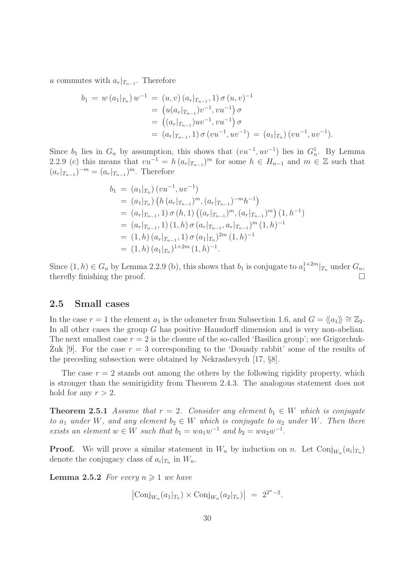u commutes with  $a_r|_{T_{n-1}}$ . Therefore

$$
b_1 = w (a_1 |_{T_n}) w^{-1} = (u, v) (a_r |_{T_{n-1}}, 1) \sigma (u, v)^{-1}
$$
  
=  $(u(a_r |_{T_{n-1}}) v^{-1}, v u^{-1}) \sigma$   
=  $((a_r |_{T_{n-1}}) u v^{-1}, v u^{-1}) \sigma$   
=  $(a_r |_{T_{n-1}}, 1) \sigma (v u^{-1}, u v^{-1}) = (a_1 |_{T_n}) (v u^{-1}, u v^{-1}).$ 

Since  $b_1$  lies in  $G_n$  by assumption, this shows that  $(vu^{-1}, uv^{-1})$  lies in  $G_n^1$ . By Lemma 2.2.9 (c) this means that  $vu^{-1} = h (a_r |_{T_{n-1}})^m$  for some  $h \in H_{n-1}$  and  $m \in \mathbb{Z}$  such that  $(a_r|_{T_{n-1}})^{-m} = (a_r|_{T_{n-1}})^m$ . Therefore

$$
b_1 = (a_1|_{T_n}) (vu^{-1}, uv^{-1})
$$
  
\n
$$
= (a_1|_{T_n}) (h (a_r|_{T_{n-1}})^m, (a_r|_{T_{n-1}})^{-m}h^{-1})
$$
  
\n
$$
= (a_r|_{T_{n-1}}, 1) \sigma (h, 1) ((a_r|_{T_{n-1}})^m, (a_r|_{T_{n-1}})^m) (1, h^{-1})
$$
  
\n
$$
= (a_r|_{T_{n-1}}, 1) (1, h) \sigma (a_r|_{T_{n-1}}, a_r|_{T_{n-1}})^m (1, h)^{-1}
$$
  
\n
$$
= (1, h) (a_r|_{T_{n-1}}, 1) \sigma (a_1|_{T_n})^{2m} (1, h)^{-1}
$$
  
\n
$$
= (1, h) (a_1|_{T_n})^{1+2m} (1, h)^{-1}.
$$

Since  $(1, h) \in G_n$  by Lemma 2.2.9 (b), this shows that  $b_1$  is conjugate to  $a_1^{1+2m}|_{T_n}$  under  $G_n$ , therefly finishing the proof.

#### 2.5 Small cases

In the case  $r = 1$  the element  $a_1$  is the odometer from Subsection 1.6, and  $G = \langle \langle a_1 \rangle \rangle \cong \mathbb{Z}_2$ . In all other cases the group G has positive Hausdorff dimension and is very non-abelian. The next smallest case  $r = 2$  is the closure of the so-called 'Basilica group'; see Grigorchuk-Zuk [9]. For the case  $r = 3$  corresponding to the 'Douady rabbit' some of the results of the preceding subsection were obtained by Nekrashevych [17, §8].

The case  $r = 2$  stands out among the others by the following rigidity property, which is stronger than the semirigidity from Theorem 2.4.3. The analogous statement does not hold for any  $r > 2$ .

**Theorem 2.5.1** Assume that  $r = 2$ . Consider any element  $b_1 \in W$  which is conjugate to  $a_1$  under W, and any element  $b_2 \in W$  which is conjugate to  $a_2$  under W. Then there exists an element  $w \in W$  such that  $b_1 = wa_1w^{-1}$  and  $b_2 = wa_2w^{-1}$ .

**Proof.** We will prove a similar statement in  $W_n$  by induction on n. Let  $Conj_{W_n}(a_i|_{T_n})$ denote the conjugacy class of  $a_i|_{T_n}$  in  $W_n$ .

**Lemma 2.5.2** For every  $n \geq 1$  we have

 $\left|\text{Conj}_{W_n}(a_1|_{T_n}) \times \text{Conj}_{W_n}(a_2|_{T_n})\right| = 2^{2^n - 2}.$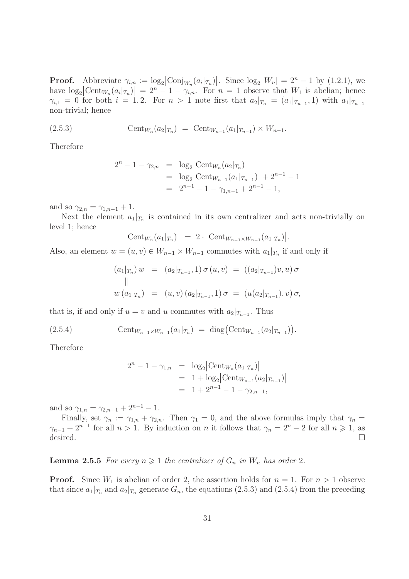**Proof.** Abbreviate  $\gamma_{i,n} := \log_2 \left| \text{Conj}_{W_n}(a_i |_{T_n}) \right|$ . Since  $\log_2 |W_n| = 2^n - 1$  by (1.2.1), we have  $\log_2 \left[ \text{Cent}_{W_n}(a_i|_{T_n}) \right] = 2^n - 1 - \gamma_{i,n}$ . For  $n = 1$  observe that  $W_1$  is abelian; hence  $\gamma_{i,1} = 0$  for both  $i = 1,2$ . For  $n > 1$  note first that  $a_2|_{T_n} = (a_1|_{T_{n-1}}, 1)$  with  $a_1|_{T_{n-1}}$ non-trivial; hence

(2.5.3) 
$$
\text{Cent}_{W_n}(a_2|_{T_n}) = \text{Cent}_{W_{n-1}}(a_1|_{T_{n-1}}) \times W_{n-1}.
$$

Therefore

$$
2^{n} - 1 - \gamma_{2,n} = \log_2 \left| \text{Cent}_{W_n}(a_2 |_{T_n}) \right|
$$
  
=  $\log_2 \left| \text{Cent}_{W_{n-1}}(a_1 |_{T_{n-1}}) \right| + 2^{n-1} - 1$   
=  $2^{n-1} - 1 - \gamma_{1,n-1} + 2^{n-1} - 1$ ,

and so  $\gamma_{2,n} = \gamma_{1,n-1} + 1$ .

Next the element  $a_1|_{T_n}$  is contained in its own centralizer and acts non-trivially on level 1; hence

$$
\left|\operatorname{Cent}_{W_n}(a_1|_{T_n})\right| = 2 \cdot \left|\operatorname{Cent}_{W_{n-1} \times W_{n-1}}(a_1|_{T_n})\right|.
$$

Also, an element  $w = (u, v) \in W_{n-1} \times W_{n-1}$  commutes with  $a_1|_{T_n}$  if and only if

$$
(a_1|_{T_n}) w = (a_2|_{T_{n-1}}, 1) \sigma(u, v) = ((a_2|_{T_{n-1}})v, u) \sigma
$$
  
||  

$$
w(a_1|_{T_n}) = (u, v) (a_2|_{T_{n-1}}, 1) \sigma = (u(a_2|_{T_{n-1}}), v) \sigma,
$$

that is, if and only if  $u = v$  and u commutes with  $a_2|_{T_{n-1}}$ . Thus

(2.5.4) 
$$
\text{Cent}_{W_{n-1}\times W_{n-1}}(a_1|_{T_n}) = \text{diag}(\text{Cent}_{W_{n-1}}(a_2|_{T_{n-1}})).
$$

Therefore

$$
2^{n} - 1 - \gamma_{1,n} = \log_2 \left| \text{Cent}_{W_n}(a_1 |_{T_n}) \right|
$$
  
= 1 + \log\_2 \left| \text{Cent}\_{W\_{n-1}}(a\_2 |\_{T\_{n-1}}) \right|  
= 1 + 2^{n-1} - 1 - \gamma\_{2,n-1},

and so  $\gamma_{1,n} = \gamma_{2,n-1} + 2^{n-1} - 1$ .

Finally, set  $\gamma_n := \gamma_{1,n} + \gamma_{2,n}$ . Then  $\gamma_1 = 0$ , and the above formulas imply that  $\gamma_n =$  $\gamma_{n-1} + 2^{n-1}$  for all  $n > 1$ . By induction on n it follows that  $\gamma_n = 2^n - 2$  for all  $n \geq 1$ , as desired.  $\Box$ 

#### **Lemma 2.5.5** For every  $n \geq 1$  the centralizer of  $G_n$  in  $W_n$  has order 2.

**Proof.** Since  $W_1$  is abelian of order 2, the assertion holds for  $n = 1$ . For  $n > 1$  observe that since  $a_1|_{T_n}$  and  $a_2|_{T_n}$  generate  $G_n$ , the equations (2.5.3) and (2.5.4) from the preceding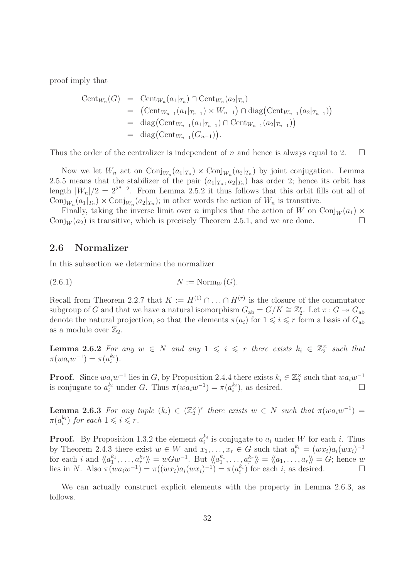proof imply that

Cent<sub>W<sub>n</sub></sub>(G) = Cent<sub>W<sub>n</sub></sub>(a<sub>1</sub>|<sub>T<sub>n</sub></sub>) 
$$
\cap
$$
 Cent<sub>W<sub>n</sub></sub>(a<sub>2</sub>|<sub>T<sub>n</sub></sub>)  
\n= (Cent<sub>W<sub>n-1</sub></sub>(a<sub>1</sub>|<sub>T<sub>n-1</sub></sub>) × W<sub>n-1</sub>)  $\cap$  diag(Cent<sub>W<sub>n-1</sub></sub>(a<sub>2</sub>|<sub>T<sub>n-1</sub></sub>))  
\n= diag(Cent<sub>W<sub>n-1</sub></sub>(a<sub>1</sub>|<sub>T<sub>n-1</sub></sub>)  $\cap$  Cent<sub>W<sub>n-1</sub></sub>(a<sub>2</sub>|<sub>T<sub>n-1</sub></sub>)  
\n= diag(Cent<sub>W<sub>n-1</sub></sub>(G<sub>n-1</sub>)).

Thus the order of the centralizer is independent of n and hence is always equal to 2.  $\square$ 

Now we let  $W_n$  act on  $\text{Conj}_{W_n}(a_1|_{T_n}) \times \text{Conj}_{W_n}(a_2|_{T_n})$  by joint conjugation. Lemma 2.5.5 means that the stabilizer of the pair  $(a_1|_{T_n}, a_2|_{T_n})$  has order 2; hence its orbit has length  $|W_n|/2 = 2^{2^n-2}$ . From Lemma 2.5.2 it thus follows that this orbit fills out all of  $\text{Conj}_{W_n}(a_1|_{T_n}) \times \text{Conj}_{W_n}(a_2|_{T_n})$ ; in other words the action of  $W_n$  is transitive.

Finally, taking the inverse limit over n implies that the action of W on  $\text{Conj}_{W}(a_1)$  × Conj<sub>W</sub> ( $a_2$ ) is transitive, which is precisely Theorem 2.5.1, and we are done.

#### 2.6 Normalizer

In this subsection we determine the normalizer

$$
(2.6.1) \t\t N := \text{Norm}_W(G).
$$

Recall from Theorem 2.2.7 that  $K := H^{(1)} \cap \ldots \cap H^{(r)}$  is the closure of the commutator subgroup of G and that we have a natural isomorphism  $G_{ab} = G/K \cong \mathbb{Z}_2^r$ . Let  $\pi: G \twoheadrightarrow G_{ab}$ denote the natural projection, so that the elements  $\pi(a_i)$  for  $1 \leq i \leq r$  form a basis of  $G_{ab}$ as a module over  $\mathbb{Z}_2$ .

**Lemma 2.6.2** For any  $w \in N$  and any  $1 \leqslant i \leqslant r$  there exists  $k_i \in \mathbb{Z}_2^{\times}$  such that  $\pi(w a_i w^{-1}) = \pi(a_i^{k_i}).$ 

**Proof.** Since  $wa_iw^{-1}$  lies in G, by Proposition 2.4.4 there exists  $k_i \in \mathbb{Z}_2^{\times}$  such that  $wa_iw^{-1}$ is conjugate to  $a_i^{k_i}$  under G. Thus  $\pi(w a_i w^{-1}) = \pi(a_i^{k_i})$ , as desired.

**Lemma 2.6.3** For any tuple  $(k_i) \in (\mathbb{Z}_2^{\times})^r$  there exists  $w \in N$  such that  $\pi(wa_iw^{-1}) =$  $\pi(a_i^{k_i})$  for each  $1 \leqslant i \leqslant r$ .

**Proof.** By Proposition 1.3.2 the element  $a_i^{k_i}$  is conjugate to  $a_i$  under W for each i. Thus by Theorem 2.4.3 there exist  $w \in W$  and  $x_1, \ldots, x_r \in G$  such that  $a_i^{k_i} = (wx_i)a_i(wx_i)^{-1}$ for each i and  $\langle\langle a_1^{k_1}, \ldots, a_r^{k_r} \rangle\rangle = wGw^{-1}$ . But  $\langle\langle a_1^{k_1}, \ldots, a_r^{k_r} \rangle\rangle = \langle\langle a_1, \ldots, a_r \rangle\rangle = G$ ; hence w lies in N. Also  $\pi(wa_iw^{-1}) = \pi((wx_i)a_i(wx_i)^{-1}) = \pi(a_i^{k_i})$  for each i, as desired.  $\square$ 

We can actually construct explicit elements with the property in Lemma 2.6.3, as follows.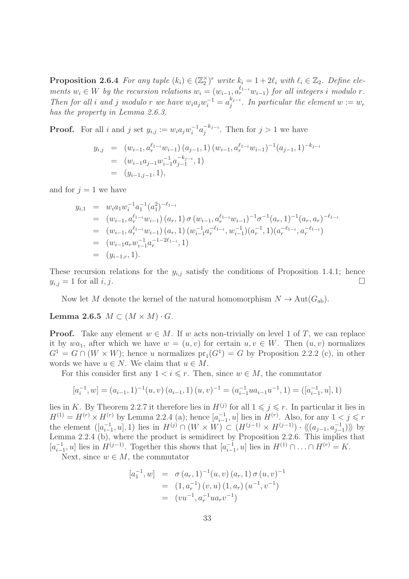**Proposition 2.6.4** For any tuple  $(k_i) \in (\mathbb{Z}_2^{\times})^r$  write  $k_i = 1 + 2\ell_i$  with  $\ell_i \in \mathbb{Z}_2$ . Define elements  $w_i \in W$  by the recursion relations  $w_i = (w_{i-1}, a_r^{\ell_{1-i}} w_{i-1})$  for all integers i modulo r. Then for all i and j modulo r we have  $w_i a_j w_i^{-1} = a_j^{k_{j-i}}$  $j_j^{k_{j-i}}$ . In particular the element  $w := w_r$ has the property in Lemma 2.6.3.

**Proof.** For all i and j set  $y_{i,j} := w_i a_j w_i^{-1} a_j^{-k_{j-i}}$  $j^{-(k_j-i)}$ . Then for  $j>1$  we have

$$
y_{i,j} = (w_{i-1}, a_r^{\ell_{1-i}} w_{i-1}) (a_{j-1}, 1) (w_{i-1}, a_r^{\ell_{1-i}} w_{i-1})^{-1} (a_{j-1}, 1)^{-k_{j-i}}
$$
  
=  $(w_{i-1} a_{j-1} w_{i-1}^{-1} a_{j-1}^{-k_{j-i}}, 1)$   
=  $(y_{i-1,j-1}, 1),$ 

and for  $j = 1$  we have

$$
y_{i,1} = w_i a_1 w_i^{-1} a_1^{-1} (a_1^2)^{-\ell_{1-i}}
$$
  
\n
$$
= (w_{i-1}, a_r^{\ell_{1-i}} w_{i-1}) (a_r, 1) \sigma (w_{i-1}, a_r^{\ell_{1-i}} w_{i-1})^{-1} \sigma^{-1} (a_r, 1)^{-1} (a_r, a_r)^{-\ell_{1-i}}
$$
  
\n
$$
= (w_{i-1}, a_r^{\ell_{1-i}} w_{i-1}) (a_r, 1) (w_{i-1}^{-1} a_r^{-\ell_{1-i}}, w_{i-1}^{-1}) (a_r^{-1}, 1) (a_r^{-\ell_{1-i}}, a_r^{-\ell_{1-i}})
$$
  
\n
$$
= (w_{i-1} a_r w_{i-1}^{-1} a_r^{-1-2\ell_{1-i}}, 1)
$$
  
\n
$$
= (y_{i-1,r}, 1).
$$

These recursion relations for the  $y_{i,j}$  satisfy the conditions of Proposition 1.4.1; hence  $y_{i,j} = 1$  for all i, j.

Now let M denote the kernel of the natural homomorphism  $N \to \text{Aut}(G_{ab})$ .

Lemma 2.6.5  $M \subset (M \times M) \cdot G$ .

**Proof.** Take any element  $w \in M$ . If w acts non-trivially on level 1 of T, we can replace it by  $wa_1$ , after which we have  $w = (u, v)$  for certain  $u, v \in W$ . Then  $(u, v)$  normalizes  $G<sup>1</sup> = G \cap (W \times W)$ ; hence u normalizes  $pr<sub>1</sub>(G<sup>1</sup>) = G$  by Proposition 2.2.2 (c), in other words we have  $u \in N$ . We claim that  $u \in M$ .

For this consider first any  $1 \leq i \leq r$ . Then, since  $w \in M$ , the commutator

$$
[a_i^{-1}, w] = (a_{i-1}, 1)^{-1}(u, v) (a_{i-1}, 1) (u, v)^{-1} = (a_{i-1}^{-1} u a_{i-1} u^{-1}, 1) = ([a_{i-1}^{-1}, u], 1)
$$

lies in K. By Theorem 2.2.7 it therefore lies in  $H^{(j)}$  for all  $1 \leq j \leq r$ . In particular it lies in  $H^{(1)} = H^{(r)} \times H^{(r)}$  by Lemma 2.2.4 (a); hence  $[a_{i-1}^{-1}, u]$  lies in  $H^{(r)}$ . Also, for any  $1 < j \leq r$ the element  $([a_{i-1}^{-1}, u], 1)$  lies in  $H^{(j)} \cap (W \times W) \subset (H^{(j-1)} \times H^{(j-1)}) \cdot \langle\langle (a_{j-1}, a_{j-1}^{-1}) \rangle\rangle$  by Lemma 2.2.4 (b), where the product is semidirect by Proposition 2.2.6. This implies that  $[a_{i-1}^{-1}, u]$  lies in  $H^{(j-1)}$ . Together this shows that  $[a_{i-1}^{-1}, u]$  lies in  $H^{(1)} \cap ... \cap H^{(r)} = K$ .

Next, since  $w \in M$ , the commutator

$$
[a_1^{-1}, w] = \sigma (a_r, 1)^{-1} (u, v) (a_r, 1) \sigma (u, v)^{-1}
$$
  
= (1, a<sub>r</sub><sup>-1</sup>) (v, u) (1, a<sub>r</sub>) (u<sup>-1</sup>, v<sup>-1</sup>)  
= (vu<sup>-1</sup>, a<sub>r</sub><sup>-1</sup>ua<sub>r</sub>v<sup>-1</sup>)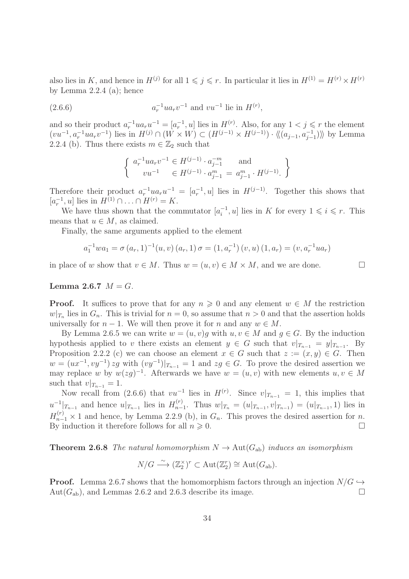also lies in K, and hence in  $H^{(j)}$  for all  $1 \leqslant j \leqslant r$ . In particular it lies in  $H^{(1)} = H^{(r)} \times H^{(r)}$ by Lemma 2.2.4 (a); hence

(2.6.6) 
$$
a_r^{-1}ua_rv^{-1} \text{ and } vu^{-1} \text{ lie in } H^{(r)},
$$

and so their product  $a_r^{-1}ua_ru^{-1}=[a_r^{-1},u]$  lies in  $H^{(r)}$ . Also, for any  $1 < j \leq r$  the element  $(vu^{-1}, a_r^{-1}ua_rv^{-1})$  lies in  $H^{(j)} \cap (W \times W) \subset (H^{(j-1)} \times H^{(j-1)}) \cdot \langle\langle (a_{j-1}, a_{j-1}^{-1})\rangle\rangle$  by Lemma 2.2.4 (b). Thus there exists  $m \in \mathbb{Z}_2$  such that

$$
\begin{cases} a_r^{-1}ua_rv^{-1} \in H^{(j-1)} \cdot a_{j-1}^{-m} \text{ and } \\ vu^{-1} \in H^{(j-1)} \cdot a_{j-1}^m = a_{j-1}^m \cdot H^{(j-1)} \end{cases}
$$

Therefore their product  $a_r^{-1}ua_ru^{-1} = [a_r^{-1},u]$  lies in  $H^{(j-1)}$ . Together this shows that  $[a_r^{-1}, u]$  lies in  $H^{(1)} \cap ... \cap H^{(r)} = K$ .

We have thus shown that the commutator  $[a_i^{-1}, u]$  lies in K for every  $1 \leq i \leq r$ . This means that  $u \in M$ , as claimed.

Finally, the same arguments applied to the element

$$
a_1^{-1}wa_1 = \sigma(a_r, 1)^{-1}(u, v) (a_r, 1) \sigma = (1, a_r^{-1}) (v, u) (1, a_r) = (v, a_r^{-1}ua_r)
$$

in place of w show that  $v \in M$ . Thus  $w = (u, v) \in M \times M$ , and we are done.

#### Lemma 2.6.7  $M = G$ .

**Proof.** It suffices to prove that for any  $n \geq 0$  and any element  $w \in M$  the restriction  $w|_{T_n}$  lies in  $G_n$ . This is trivial for  $n = 0$ , so assume that  $n > 0$  and that the assertion holds universally for  $n-1$ . We will then prove it for n and any  $w \in M$ .

By Lemma 2.6.5 we can write  $w = (u, v)g$  with  $u, v \in M$  and  $g \in G$ . By the induction hypothesis applied to v there exists an element  $y \in G$  such that  $v|_{T_{n-1}} = y|_{T_{n-1}}$ . By Proposition 2.2.2 (c) we can choose an element  $x \in G$  such that  $z := (x, y) \in G$ . Then  $w = (ux^{-1}, vy^{-1}) zg$  with  $(vy^{-1})|_{T_{n-1}} = 1$  and  $zg \in G$ . To prove the desired assertion we may replace w by  $w(2g)^{-1}$ . Afterwards we have  $w = (u, v)$  with new elements  $u, v \in M$ such that  $v|_{T_{n-1}} = 1$ .

Now recall from (2.6.6) that  $vu^{-1}$  lies in  $H^{(r)}$ . Since  $v|_{T_{n-1}} = 1$ , this implies that  $u^{-1}|_{T_{n-1}}$  and hence  $u|_{T_{n-1}}$  lies in  $H_{n-1}^{(r)}$  $\sum_{n=1}^{(r)}$ . Thus  $w|_{T_n} = (u|_{T_{n-1}}, v|_{T_{n-1}}) = (u|_{T_{n-1}}, 1)$  lies in  $H_{n-1}^{(r)} \times 1$  and hence, by Lemma 2.2.9 (b), in  $G_n$ . This proves the desired assertion for n. By induction it therefore follows for all  $n \geqslant 0$ .

**Theorem 2.6.8** The natural homomorphism  $N \to \text{Aut}(G_{ab})$  induces an isomorphism

$$
N/G \stackrel{\sim}{\longrightarrow} (\mathbb{Z}_2^{\times})^r \subset \text{Aut}(\mathbb{Z}_2^r) \cong \text{Aut}(G_{\text{ab}}).
$$

**Proof.** Lemma 2.6.7 shows that the homomorphism factors through an injection  $N/G \hookrightarrow$ Aut $(G_{ab})$ , and Lemmas 2.6.2 and 2.6.3 describe its image.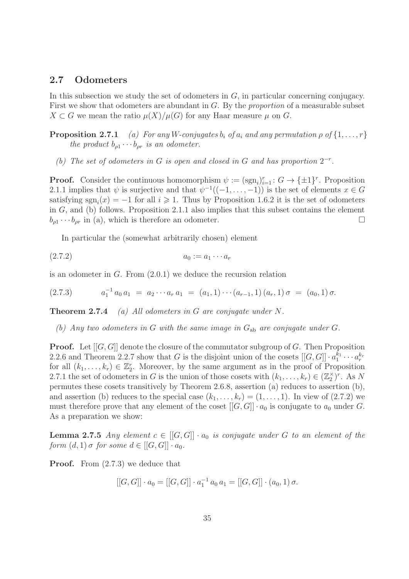#### 2.7 Odometers

In this subsection we study the set of odometers in  $G$ , in particular concerning conjugacy. First we show that odometers are abundant in G. By the proportion of a measurable subset  $X \subset G$  we mean the ratio  $\mu(X)/\mu(G)$  for any Haar measure  $\mu$  on G.

**Proposition 2.7.1** (a) For any W-conjugates  $b_i$  of  $a_i$  and any permutation  $\rho$  of  $\{1, \ldots, r\}$ the product  $b_{\rho 1} \cdots b_{\rho r}$  is an odometer.

(b) The set of odometers in G is open and closed in G and has proportion  $2^{-r}$ .

**Proof.** Consider the continuous homomorphism  $\psi := (\text{sgn}_i)_{i=1}^r : G \to {\{\pm 1\}}^r$ . Proposition 2.1.1 implies that  $\psi$  is surjective and that  $\psi^{-1}((-1,\ldots,-1))$  is the set of elements  $x \in G$ satisfying  $sgn_i(x) = -1$  for all  $i \geq 1$ . Thus by Proposition 1.6.2 it is the set of odometers in G, and (b) follows. Proposition 2.1.1 also implies that this subset contains the element  $b_{\rho 1} \cdots b_{\rho r}$  in (a), which is therefore an odometer.

In particular the (somewhat arbitrarily chosen) element

$$
(2.7.2) \t\t\t a_0 := a_1 \cdots a_r
$$

is an odometer in G. From (2.0.1) we deduce the recursion relation

$$
(2.7.3) \t a_1^{-1} a_0 a_1 = a_2 \cdots a_r a_1 = (a_1, 1) \cdots (a_{r-1}, 1) (a_r, 1) \sigma = (a_0, 1) \sigma.
$$

**Theorem 2.7.4** (a) All odometers in G are conjugate under  $N$ .

(b) Any two odometers in G with the same image in  $G_{ab}$  are conjugate under G.

**Proof.** Let  $[[G, G]]$  denote the closure of the commutator subgroup of G. Then Proposition 2.2.6 and Theorem 2.2.7 show that G is the disjoint union of the cosets  $[[G, G]] \cdot a_1^{k_1} \cdots a_r^{k_r}$ for all  $(k_1, \ldots, k_r) \in \mathbb{Z}_2^r$ . Moreover, by the same argument as in the proof of Proposition 2.7.1 the set of odometers in G is the union of those cosets with  $(k_1, \ldots, k_r) \in (\mathbb{Z}_2^{\times})^r$ . As N permutes these cosets transitively by Theorem 2.6.8, assertion (a) reduces to assertion (b), and assertion (b) reduces to the special case  $(k_1, \ldots, k_r) = (1, \ldots, 1)$ . In view of  $(2.7.2)$  we must therefore prove that any element of the coset  $[[G, G]] \cdot a_0$  is conjugate to  $a_0$  under G. As a preparation we show:

**Lemma 2.7.5** Any element  $c \in [[G, G]] \cdot a_0$  is conjugate under G to an element of the form  $(d, 1)$   $\sigma$  for some  $d \in [[G, G]] \cdot a_0$ .

**Proof.** From  $(2.7.3)$  we deduce that

$$
[[G, G]] \cdot a_0 = [[G, G]] \cdot a_1^{-1} a_0 a_1 = [[G, G]] \cdot (a_0, 1) \sigma.
$$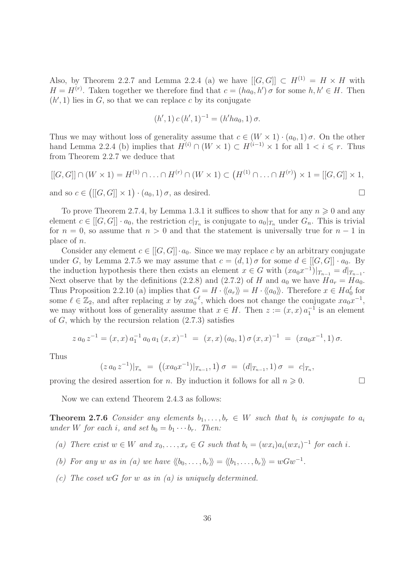Also, by Theorem 2.2.7 and Lemma 2.2.4 (a) we have  $[[G, G]] \subset H^{(1)} = H \times H$  with  $H = H^{(r)}$ . Taken together we therefore find that  $c = (ha_0, h') \sigma$  for some  $h, h' \in H$ . Then  $(h', 1)$  lies in  $G$ , so that we can replace c by its conjugate

$$
(h', 1) c (h', 1)^{-1} = (h' h a_0, 1) \sigma.
$$

Thus we may without loss of generality assume that  $c \in (W \times 1) \cdot (a_0, 1) \sigma$ . On the other hand Lemma 2.2.4 (b) implies that  $H^{(i)} \cap (W \times 1) \subset H^{(i-1)} \times 1$  for all  $1 < i \leq r$ . Thus from Theorem 2.2.7 we deduce that

$$
[[G, G]] \cap (W \times 1) = H^{(1)} \cap \ldots \cap H^{(r)} \cap (W \times 1) \subset (H^{(1)} \cap \ldots \cap H^{(r)}) \times 1 = [[G, G]] \times 1,
$$

and so  $c \in ([[G, G]] \times 1) \cdot (a_0, 1) \sigma$ , as desired.

To prove Theorem 2.7.4, by Lemma 1.3.1 it suffices to show that for any  $n \geq 0$  and any element  $c \in [[G, G]] \cdot a_0$ , the restriction  $c|_{T_n}$  is conjugate to  $a_0|_{T_n}$  under  $G_n$ . This is trivial for  $n = 0$ , so assume that  $n > 0$  and that the statement is universally true for  $n - 1$  in place of n.

Consider any element  $c \in [[G, G]] \cdot a_0$ . Since we may replace c by an arbitrary conjugate under G, by Lemma 2.7.5 we may assume that  $c = (d, 1) \sigma$  for some  $d \in [[G, G]] \cdot a_0$ . By the induction hypothesis there then exists an element  $x \in G$  with  $(xa_0x^{-1})|_{T_{n-1}} = d|_{T_{n-1}}$ . Next observe that by the definitions (2.2.8) and (2.7.2) of H and  $a_0$  we have  $Ha_r = Ha_0$ . Thus Proposition 2.2.10 (a) implies that  $G = H \cdot \langle\langle a_r \rangle\rangle = H \cdot \langle\langle a_0 \rangle\rangle$ . Therefore  $x \in Ha_0^{\ell}$  for some  $\ell \in \mathbb{Z}_2$ , and after replacing x by  $xa_0^{-\ell}$ , which does not change the conjugate  $xa_0x^{-1}$ , we may without loss of generality assume that  $x \in H$ . Then  $z := (x, x) a_1^{-1}$  is an element of G, which by the recursion relation  $(2.7.3)$  satisfies

$$
z a_0 z^{-1} = (x, x) a_1^{-1} a_0 a_1 (x, x)^{-1} = (x, x) (a_0, 1) \sigma (x, x)^{-1} = (x a_0 x^{-1}, 1) \sigma.
$$

Thus

$$
(z\,a_0\,z^{-1})|_{T_n} = ((xa_0x^{-1})|_{T_{n-1}}, 1)\,\sigma = (d|_{T_{n-1}}, 1)\,\sigma = c|_{T_n},
$$

proving the desired assertion for *n*. By induction it follows for all  $n \geq 0$ .

Now we can extend Theorem 2.4.3 as follows:

**Theorem 2.7.6** Consider any elements  $b_1, \ldots, b_r \in W$  such that  $b_i$  is conjugate to  $a_i$ under W for each i, and set  $b_0 = b_1 \cdots b_r$ . Then:

(a) There exist  $w \in W$  and  $x_0, \ldots, x_r \in G$  such that  $b_i = (wx_i)a_i(wx_i)^{-1}$  for each i.

- (b) For any w as in (a) we have  $\langle b_0, \ldots, b_r \rangle = \langle b_1, \ldots, b_r \rangle = wGw^{-1}$ .
- (c) The coset wG for w as in  $(a)$  is uniquely determined.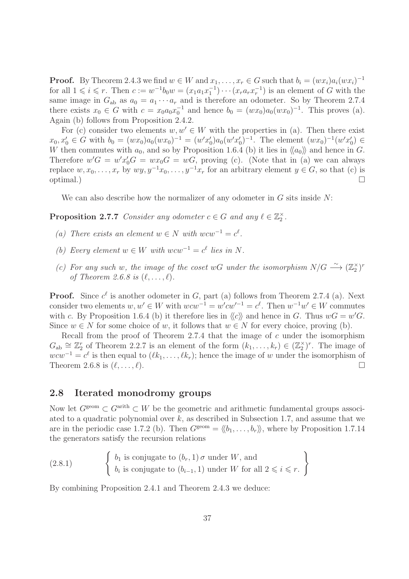**Proof.** By Theorem 2.4.3 we find  $w \in W$  and  $x_1, \ldots, x_r \in G$  such that  $b_i = (wx_i)a_i(wx_i)^{-1}$ for all  $1 \leq i \leq r$ . Then  $c := w^{-1}b_0w = (x_1a_1x_1^{-1})\cdots(x_ra_rx_r^{-1})$  is an element of G with the same image in  $G_{ab}$  as  $a_0 = a_1 \cdots a_r$  and is therefore an odometer. So by Theorem 2.7.4 there exists  $x_0 \in G$  with  $c = x_0 a_0 x_0^{-1}$  and hence  $b_0 = (wx_0)a_0(wx_0)^{-1}$ . This proves (a). Again (b) follows from Proposition 2.4.2.

For (c) consider two elements  $w, w' \in W$  with the properties in (a). Then there exist  $x_0, x'_0 \in G$  with  $b_0 = (wx_0)a_0(wx_0)^{-1} = (w'x'_0)a_0(w'x'_0)^{-1}$ . The element  $(wx_0)^{-1}(w'x'_0) \in G$ W then commutes with  $a_0$ , and so by Proposition 1.6.4 (b) it lies in  $\langle a_0 \rangle$  and hence in G. Therefore  $w'G = w'x'_0G = wx_0G = wG$ , proving (c). (Note that in (a) we can always replace  $w, x_0, \ldots, x_r$  by  $wy, y^{-1}x_0, \ldots, y^{-1}x_r$  for an arbitrary element  $y \in G$ , so that (c) is optimal.)

We can also describe how the normalizer of any odometer in  $G$  sits inside  $N$ :

**Proposition 2.7.7** Consider any odometer  $c \in G$  and any  $\ell \in \mathbb{Z}_2^{\times}$ .

- (a) There exists an element  $w \in N$  with  $wcw^{-1} = c^{\ell}$ .
- (b) Every element  $w \in W$  with  $wcw^{-1} = c^{\ell}$  lies in N.
- (c) For any such w, the image of the coset wG under the isomorphism  $N/G \stackrel{\sim}{\longrightarrow} (\mathbb{Z}_2^{\times})^r$ of Theorem 2.6.8 is  $(\ell, \ldots, \ell)$ .

**Proof.** Since  $c^{\ell}$  is another odometer in G, part (a) follows from Theorem 2.7.4 (a). Next consider two elements  $w, w' \in W$  with  $wcw^{-1} = w'cw'^{-1} = c^{\ell}$ . Then  $w^{-1}w' \in W$  commutes with c. By Proposition 1.6.4 (b) it therefore lies in  $\langle c \rangle$  and hence in G. Thus  $wG = w'G$ . Since  $w \in N$  for some choice of w, it follows that  $w \in N$  for every choice, proving (b).

Recall from the proof of Theorem 2.7.4 that the image of c under the isomorphism  $G_{ab} \cong \mathbb{Z}_2^r$  of Theorem 2.2.7 is an element of the form  $(k_1, \ldots, k_r) \in (\mathbb{Z}_2^{\times})^r$ . The image of  $wcw^{-1} = c^{\ell}$  is then equal to  $(\ell k_1, \ldots, \ell k_r)$ ; hence the image of w under the isomorphism of Theorem 2.6.8 is  $(\ell, \ldots, \ell)$ .

### 2.8 Iterated monodromy groups

Now let  $G^{\text{geom}} \subset G^{\text{arith}} \subset W$  be the geometric and arithmetic fundamental groups associated to a quadratic polynomial over  $k$ , as described in Subsection 1.7, and assume that we are in the periodic case 1.7.2 (b). Then  $G^{\text{geom}} = \langle b_1, \ldots, b_r \rangle$ , where by Proposition 1.7.14 the generators satisfy the recursion relations

(2.8.1) 
$$
\begin{cases} b_1 \text{ is conjugate to } (b_r, 1) \sigma \text{ under } W, \text{ and} \\ b_i \text{ is conjugate to } (b_{i-1}, 1) \text{ under } W \text{ for all } 2 \leqslant i \leqslant r. \end{cases}
$$

By combining Proposition 2.4.1 and Theorem 2.4.3 we deduce: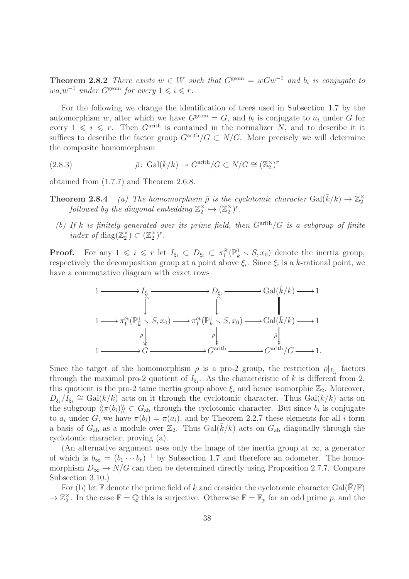**Theorem 2.8.2** There exists  $w \in W$  such that  $G^{\text{geom}} = wGw^{-1}$  and  $b_i$  is conjugate to  $wa_iw^{-1}$  under  $G^{\text{geom}}$  for every  $1 \leq i \leq r$ .

For the following we change the identification of trees used in Subsection 1.7 by the automorphism w, after which we have  $G^{\text{geom}} = G$ , and  $b_i$  is conjugate to  $a_i$  under G for every  $1 \leq i \leq r$ . Then  $G^{\text{arith}}$  is contained in the normalizer N, and to describe it it suffices to describe the factor group  $G^{\text{arith}}/G \subset N/G$ . More precisely we will determine the composite homomorphism

(2.8.3) 
$$
\bar{\rho} \colon \operatorname{Gal}(\bar{k}/k) \to G^{\operatorname{arith}}/G \subset N/G \cong (\mathbb{Z}_2^{\times})^r
$$

obtained from (1.7.7) and Theorem 2.6.8.

- **Theorem 2.8.4** (a) The homomorphism  $\bar{\rho}$  is the cyclotomic character  $Gal(\bar{k}/k) \rightarrow \mathbb{Z}_2^{\times}$ followed by the diagonal embedding  $\mathbb{Z}_2^{\times} \hookrightarrow (\mathbb{Z}_2^{\times})^r$ .
	- (b) If k is finitely generated over its prime field, then  $G<sup>arith</sup>/G$  is a subgroup of finite index of diag( $\mathbb{Z}_2^{\times}$ )  $\subset (\mathbb{Z}_2^{\times})^r$ .

**Proof.** For any  $1 \leq i \leq r$  let  $I_{\xi_i} \subset D_{\xi_i} \subset \pi_1^{\text{\'et}}(\mathbb{P}_k^1 \setminus S, x_0)$  denote the inertia group, respectively the decomposition group at a point above  $\xi_i$ . Since  $\xi_i$  is a k-rational point, we have a commutative diagram with exact rows



Since the target of the homomorphism  $\rho$  is a pro-2 group, the restriction  $\rho|_{I_{\xi_i}}$  factors through the maximal pro-2 quotient of  $I_{\xi_i}$ . As the characteristic of k is different from 2, this quotient is the pro-2 tame inertia group above  $\xi_i$  and hence isomorphic  $\mathbb{Z}_2$ . Moreover,  $D_{\xi_i}/I_{\xi_i} \cong \text{Gal}(\bar{k}/k)$  acts on it through the cyclotomic character. Thus  $\text{Gal}(\bar{k}/k)$  acts on the subgroup  $\langle\langle \pi(b_i) \rangle\rangle \subset G_{ab}$  through the cyclotomic character. But since  $b_i$  is conjugate to  $a_i$  under G, we have  $\pi(b_i) = \pi(a_i)$ , and by Theorem 2.2.7 these elements for all i form a basis of  $G_{ab}$  as a module over  $\mathbb{Z}_2$ . Thus  $Gal(k/k)$  acts on  $G_{ab}$  diagonally through the cyclotomic character, proving (a).

(An alternative argument uses only the image of the inertia group at  $\infty$ , a generator of which is  $b_{\infty} = (b_1 \cdots b_r)^{-1}$  by Subsection 1.7 and therefore an odometer. The homomorphism  $D_{\infty} \to N/G$  can then be determined directly using Proposition 2.7.7. Compare Subsection 3.10.)

For (b) let  $\mathbb F$  denote the prime field of k and consider the cyclotomic character Gal( $\mathbb F/\mathbb F$ )  $\to \mathbb{Z}_2^{\times}$ . In the case  $\mathbb{F} = \mathbb{Q}$  this is surjective. Otherwise  $\mathbb{F} = \mathbb{F}_p$  for an odd prime p, and the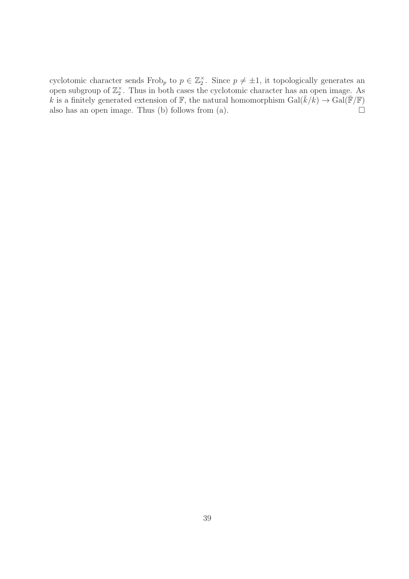cyclotomic character sends Frob<sub>p</sub> to  $p \in \mathbb{Z}_2^{\times}$ . Since  $p \neq \pm 1$ , it topologically generates an open subgroup of  $\mathbb{Z}_2^{\times}$ . Thus in both cases the cyclotomic character has an open image. As k is a finitely generated extension of  $\mathbb{F}$ , the natural homomorphism  $Gal(\bar{k}/k) \rightarrow Gal(\bar{\mathbb{F}}/\mathbb{F})$ also has an open image. Thus (b) follows from (a).  $\Box$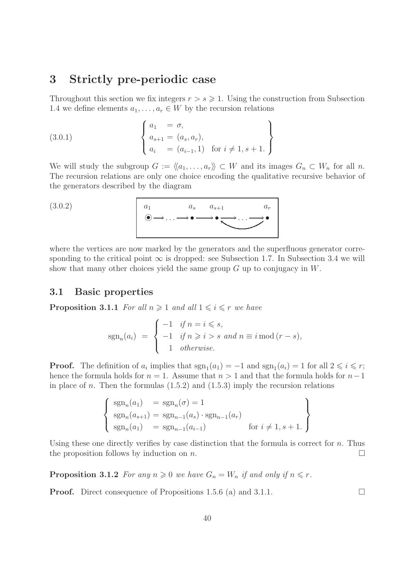# 3 Strictly pre-periodic case

Throughout this section we fix integers  $r > s \geq 1$ . Using the construction from Subsection 1.4 we define elements  $a_1, \ldots, a_r \in W$  by the recursion relations

(3.0.1) 
$$
\begin{cases} a_1 = \sigma, \\ a_{s+1} = (a_s, a_r), \\ a_i = (a_{i-1}, 1) \text{ for } i \neq 1, s+1. \end{cases}
$$

We will study the subgroup  $G := \langle a_1, \ldots, a_r \rangle \subset W$  and its images  $G_n \subset W_n$  for all n. The recursion relations are only one choice encoding the qualitative recursive behavior of the generators described by the diagram

$$
(3.0.2)
$$

$$
(3.0.2) \qquad a_1 \qquad a_s \qquad a_{s+1} \qquad a_r
$$
\n
$$
\bullet \longrightarrow \bullet \longrightarrow \bullet \longrightarrow \bullet \longrightarrow \bullet
$$

where the vertices are now marked by the generators and the superfluous generator corresponding to the critical point  $\infty$  is dropped: see Subsection 1.7. In Subsection 3.4 we will show that many other choices yield the same group G up to conjugacy in W.

# 3.1 Basic properties

**Proposition 3.1.1** For all  $n \geq 1$  and all  $1 \leq i \leq r$  we have

$$
sgn_n(a_i) = \begin{cases} -1 & \text{if } n = i \leq s, \\ -1 & \text{if } n \geq i > s \text{ and } n \equiv i \mod (r - s), \\ 1 & \text{otherwise.} \end{cases}
$$

**Proof.** The definition of  $a_i$  implies that  $sgn_1(a_1) = -1$  and  $sgn_1(a_i) = 1$  for all  $2 \leq i \leq r$ ; hence the formula holds for  $n = 1$ . Assume that  $n > 1$  and that the formula holds for  $n-1$ in place of n. Then the formulas  $(1.5.2)$  and  $(1.5.3)$  imply the recursion relations

$$
\begin{cases}\n\operatorname{sgn}_n(a_1) = \operatorname{sgn}_n(\sigma) = 1 \\
\operatorname{sgn}_n(a_{s+1}) = \operatorname{sgn}_{n-1}(a_s) \cdot \operatorname{sgn}_{n-1}(a_r) \\
\operatorname{sgn}_n(a_1) = \operatorname{sgn}_{n-1}(a_{i-1}) \quad \text{for } i \neq 1, s+1.\n\end{cases}
$$

Using these one directly verifies by case distinction that the formula is correct for  $n$ . Thus the proposition follows by induction on n.

**Proposition 3.1.2** For any  $n \geq 0$  we have  $G_n = W_n$  if and only if  $n \leq r$ .

**Proof.** Direct consequence of Propositions 1.5.6 (a) and 3.1.1.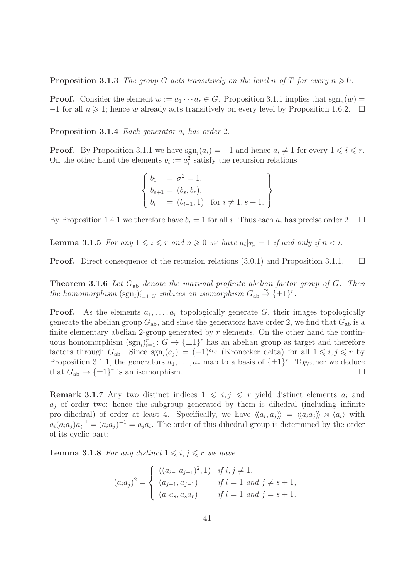**Proposition 3.1.3** The group G acts transitively on the level n of T for every  $n \geq 0$ .

**Proof.** Consider the element  $w := a_1 \cdots a_r \in G$ . Proposition 3.1.1 implies that  $sgn_n(w) =$  $-1$  for all  $n \geq 1$ ; hence w already acts transitively on every level by Proposition 1.6.2.  $\Box$ 

**Proposition 3.1.4** Each generator  $a_i$  has order 2.

**Proof.** By Proposition 3.1.1 we have  $\text{sgn}_i(a_i) = -1$  and hence  $a_i \neq 1$  for every  $1 \leq i \leq r$ . On the other hand the elements  $b_i := a_i^2$  satisfy the recursion relations

$$
\begin{cases}\nb_1 = \sigma^2 = 1, \\
b_{s+1} = (b_s, b_r), \\
b_i = (b_{i-1}, 1) \text{ for } i \neq 1, s+1.\n\end{cases}
$$

By Proposition 1.4.1 we therefore have  $b_i = 1$  for all i. Thus each  $a_i$  has precise order 2.  $\Box$ 

**Lemma 3.1.5** For any  $1 \leq i \leq r$  and  $n \geq 0$  we have  $a_i|_{T_n} = 1$  if and only if  $n < i$ .

**Proof.** Direct consequence of the recursion relations  $(3.0.1)$  and Proposition 3.1.1.

**Theorem 3.1.6** Let  $G_{ab}$  denote the maximal profinite abelian factor group of  $G$ . Then the homomorphism  $(\text{sgn}_i)_{i=1}^r |_{G}$  induces an isomorphism  $G_{ab} \overset{\sim}{\to} {\{\pm 1\}}^r$ .

**Proof.** As the elements  $a_1, \ldots, a_r$  topologically generate G, their images topologically generate the abelian group  $G_{ab}$ , and since the generators have order 2, we find that  $G_{ab}$  is a finite elementary abelian 2-group generated by  $r$  elements. On the other hand the continuous homomorphism  $(\text{sgn}_i)_{i=1}^r : G \to {\{\pm 1\}}^r$  has an abelian group as target and therefore factors through  $G_{ab}$ . Since  $sgn_i(a_j) = (-1)^{\delta_{i,j}}$  (Kronecker delta) for all  $1 \leq i, j \leq r$  by Proposition 3.1.1, the generators  $a_1, \ldots, a_r$  map to a basis of  $\{\pm 1\}^r$ . Together we deduce that  $G_{ab} \to {\pm 1}^r$  is an isomorphism.

**Remark 3.1.7** Any two distinct indices  $1 \leq i, j \leq r$  yield distinct elements  $a_i$  and  $a_i$  of order two; hence the subgroup generated by them is dihedral (including infinite pro-dihedral) of order at least 4. Specifically, we have  $\langle\langle a_i, a_j \rangle\rangle = \langle\langle a_i a_j \rangle\rangle \rtimes \langle a_i \rangle$  with  $a_i(a_ia_j)a_i^{-1} = (a_ia_j)^{-1} = a_ja_i$ . The order of this dihedral group is determined by the order of its cyclic part:

**Lemma 3.1.8** For any distinct  $1 \leq i, j \leq r$  we have

$$
(a_i a_j)^2 = \begin{cases} ((a_{i-1} a_{j-1})^2, 1) & \text{if } i, j \neq 1, \\ (a_{j-1}, a_{j-1}) & \text{if } i = 1 \text{ and } j \neq s+1, \\ (a_r a_s, a_s a_r) & \text{if } i = 1 \text{ and } j = s+1. \end{cases}
$$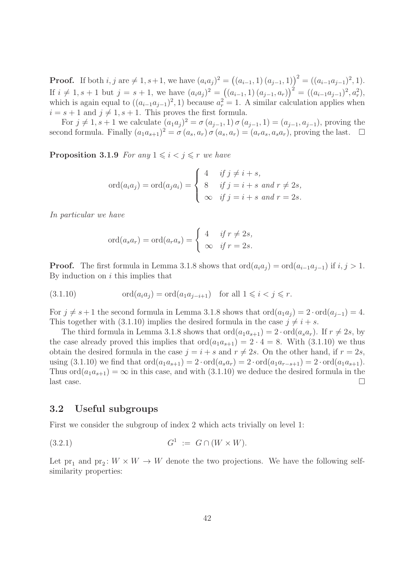**Proof.** If both  $i, j$  are  $\neq 1, s+1$ , we have  $(a_i a_j)^2 = ((a_{i-1}, 1) (a_{j-1}, 1))^2 = ((a_{i-1} a_{j-1})^2, 1)$ . If  $i \neq 1, s + 1$  but  $j = s + 1$ , we have  $(a_i a_j)^2 = ((a_{i-1}, 1) (a_{j-1}, a_r))^2 = ((a_{i-1} a_{j-1})^2, a_r^2)$ , which is again equal to  $((a_{i-1}a_{j-1})^2, 1)$  because  $a_r^2 = 1$ . A similar calculation applies when  $i = s + 1$  and  $j \neq 1, s + 1$ . This proves the first formula.

For  $j \neq 1, s + 1$  we calculate  $(a_1 a_j)^2 = \sigma(a_{j-1}, 1) \sigma(a_{j-1}, 1) = (a_{j-1}, a_{j-1})$ , proving the second formula. Finally  $(a_1a_{s+1})^2 = \sigma(a_s, a_r) \sigma(a_s, a_r) = (a_ra_s, a_sa_r)$ , proving the last.  $\Box$ 

**Proposition 3.1.9** For any  $1 \leq i \leq j \leq r$  we have

$$
\text{ord}(a_i a_j) = \text{ord}(a_j a_i) = \begin{cases} 4 & \text{if } j \neq i+s, \\ 8 & \text{if } j = i+s \text{ and } r \neq 2s, \\ \infty & \text{if } j = i+s \text{ and } r = 2s. \end{cases}
$$

In particular we have

$$
\operatorname{ord}(a_s a_r) = \operatorname{ord}(a_r a_s) = \begin{cases} 4 & \text{if } r \neq 2s, \\ \infty & \text{if } r = 2s. \end{cases}
$$

**Proof.** The first formula in Lemma 3.1.8 shows that  $\text{ord}(a_i a_j) = \text{ord}(a_{i-1}a_{j-1})$  if  $i, j > 1$ . By induction on  $i$  this implies that

(3.1.10) ord(aia<sup>j</sup> ) = ord(a1a<sup>j</sup>−i+1) for all 1 6 i < j 6 r.

For  $j \neq s + 1$  the second formula in Lemma 3.1.8 shows that  $\text{ord}(a_1a_j) = 2 \cdot \text{ord}(a_{j-1}) = 4$ . This together with (3.1.10) implies the desired formula in the case  $j \neq i + s$ .

The third formula in Lemma 3.1.8 shows that  $\text{ord}(a_1a_{s+1}) = 2 \cdot \text{ord}(a_sa_r)$ . If  $r \neq 2s$ , by the case already proved this implies that  $\text{ord}(a_1a_{s+1}) = 2 \cdot 4 = 8$ . With  $(3.1.10)$  we thus obtain the desired formula in the case  $j = i + s$  and  $r \neq 2s$ . On the other hand, if  $r = 2s$ , using  $(3.1.10)$  we find that  $\text{ord}(a_1a_{s+1}) = 2 \cdot \text{ord}(a_sa_r) = 2 \cdot \text{ord}(a_1a_{r-s+1}) = 2 \cdot \text{ord}(a_1a_{s+1}).$ Thus  $\text{ord}(a_1a_{s+1}) = \infty$  in this case, and with (3.1.10) we deduce the desired formula in the last case.

# 3.2 Useful subgroups

First we consider the subgroup of index 2 which acts trivially on level 1:

$$
(3.2.1) \tG1 := G \cap (W \times W).
$$

Let  $pr_1$  and  $pr_2$ :  $W \times W \to W$  denote the two projections. We have the following selfsimilarity properties: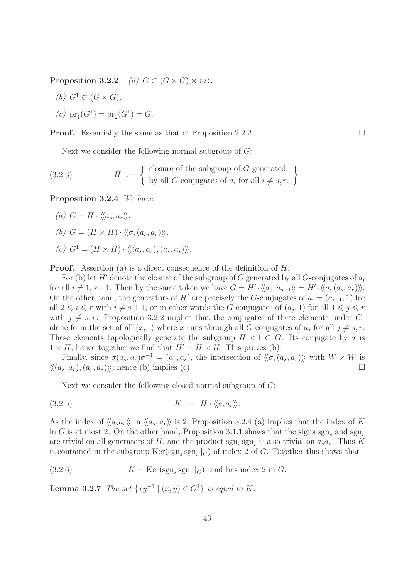Proposition 3.2.2 (a)  $G \subset (G \times G) \rtimes \langle \sigma \rangle$ .

(b) 
$$
G^1 \subset (G \times G)
$$
.

(c) 
$$
pr_1(G^1) = pr_2(G^1) = G.
$$

**Proof.** Essentially the same as that of Proposition 2.2.2.

Next we consider the following normal subgroup of  $G$ :

(3.2.3) 
$$
H := \left\{ \begin{array}{l} \text{closure of the subgroup of } G \text{ generated} \\ \text{by all } G \text{-conjugates of } a_i \text{ for all } i \neq s, r. \end{array} \right\}.
$$

Proposition 3.2.4 We have:

(a) 
$$
G = H \cdot \langle \langle a_s, a_r \rangle \rangle
$$
.

(b) 
$$
G = (H \times H) \cdot \langle \langle \sigma, (a_s, a_r) \rangle \rangle
$$
.

$$
(c) G1 = (H \times H) \cdot \langle\langle (a_s, a_r), (a_r, a_s) \rangle\rangle.
$$

**Proof.** Assertion (a) is a direct consequence of the definition of H.

For (b) let H' denote the closure of the subgroup of G generated by all G-conjugates of  $a_i$ for all  $i \neq 1, s+1$ . Then by the same token we have  $G = H' \cdot \langle\langle a_1, a_{s+1} \rangle\rangle = H' \cdot \langle\langle \sigma, (a_s, a_r) \rangle\rangle$ . On the other hand, the generators of H' are precisely the G-conjugates of  $a_i = (a_{i-1}, 1)$  for all  $2 \leq i \leq r$  with  $i \neq s + 1$ , or in other words the G-conjugates of  $(a_j, 1)$  for all  $1 \leq j \leq r$ with  $j \neq s, r$ . Proposition 3.2.2 implies that the conjugates of these elements under  $G<sup>1</sup>$ alone form the set of all  $(x, 1)$  where x runs through all G-conjugates of  $a_j$  for all  $j \neq s, r$ . These elements topologically generate the subgroup  $H \times 1 \subset G$ . Its conjugate by  $\sigma$  is  $1 \times H$ ; hence together we find that  $H' = H \times H$ . This proves (b).

Finally, since  $\sigma(a_s, a_r)\sigma^{-1} = (a_r, a_s)$ , the intersection of  $\langle \langle \sigma, (a_s, a_r) \rangle \rangle$  with  $W \times W$  is  $\langle \langle (a_s, a_r), (a_r, a_s) \rangle \rangle$ ; hence (b) implies (c).

Next we consider the following closed normal subgroup of G:

$$
(3.2.5) \t\t K := H \cdot \langle a_s a_r \rangle.
$$

As the index of  $\langle a_s a_r \rangle$  in  $\langle a_s a_r \rangle$  is 2, Proposition 3.2.4 (a) implies that the index of K in G is at most 2. On the other hand, Proposition 3.1.1 shows that the signs sgn, and sgn, are trivial on all generators of H, and the product  $sgn_s sgn_r$  is also trivial on  $a_s a_r$ . Thus K is contained in the subgroup  $\text{Ker}(\text{sgn}_s \text{ sgn}_r |_G)$  of index 2 of G. Together this shows that

(3.2.6) 
$$
K = \text{Ker}(\text{sgn}_s \text{ sgn}_r|_G) \text{ and has index } 2 \text{ in } G.
$$

**Lemma 3.2.7** The set  $\{xy^{-1} | (x, y) \in G^1\}$  is equal to K.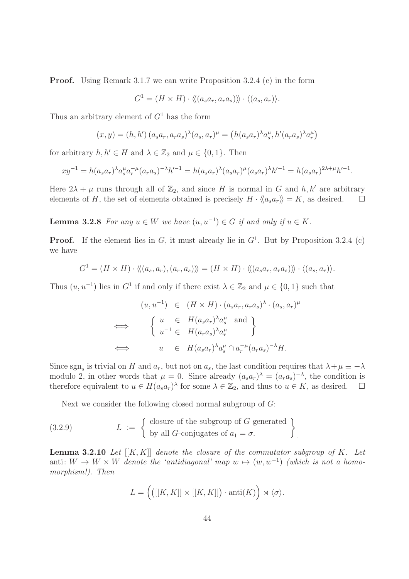**Proof.** Using Remark 3.1.7 we can write Proposition 3.2.4 (c) in the form

$$
G^1 = (H \times H) \cdot \langle \langle (a_s a_r, a_r a_s) \rangle \rangle \cdot \langle (a_s, a_r) \rangle.
$$

Thus an arbitrary element of  $G<sup>1</sup>$  has the form

$$
(x, y) = (h, h') (a_s a_r, a_r a_s)^{\lambda} (a_s, a_r)^{\mu} = (h (a_s a_r)^{\lambda} a_s^{\mu}, h' (a_r a_s)^{\lambda} a_r^{\mu})
$$

for arbitrary  $h, h' \in H$  and  $\lambda \in \mathbb{Z}_2$  and  $\mu \in \{0, 1\}$ . Then

$$
xy^{-1} = h(a_s a_r)^{\lambda} a_s^{\mu} a_r^{-\mu} (a_r a_s)^{-\lambda} h'^{-1} = h(a_s a_r)^{\lambda} (a_s a_r)^{\mu} (a_s a_r)^{\lambda} h'^{-1} = h(a_s a_r)^{2\lambda + \mu} h'^{-1}.
$$

Here  $2\lambda + \mu$  runs through all of  $\mathbb{Z}_2$ , and since H is normal in G and h, h' are arbitrary elements of H, the set of elements obtained is precisely  $H \cdot \langle \langle a_s a_r \rangle \rangle = K$ , as desired.  $\square$ 

**Lemma 3.2.8** For any  $u \in W$  we have  $(u, u^{-1}) \in G$  if and only if  $u \in K$ .

**Proof.** If the element lies in  $G$ , it must already lie in  $G<sup>1</sup>$ . But by Proposition 3.2.4 (c) we have

$$
G^{1} = (H \times H) \cdot \langle\langle (a_s, a_r), (a_r, a_s) \rangle\rangle = (H \times H) \cdot \langle\langle (a_s a_r, a_r a_s) \rangle\rangle \cdot \langle (a_s, a_r) \rangle.
$$

Thus  $(u, u^{-1})$  lies in  $G^1$  if and only if there exist  $\lambda \in \mathbb{Z}_2$  and  $\mu \in \{0, 1\}$  such that

$$
(u, u^{-1}) \in (H \times H) \cdot (a_s a_r, a_r a_s)^{\lambda} \cdot (a_s, a_r)^{\mu}
$$
  
\n
$$
\iff \begin{cases} u \in H(a_s a_r)^{\lambda} a_s^{\mu} \text{ and } \\ u^{-1} \in H(a_r a_s)^{\lambda} a_r^{\mu} \end{cases}
$$
  
\n
$$
\iff u \in H(a_s a_r)^{\lambda} a_s^{\mu} \cap a_r^{-\mu} (a_r a_s)^{-\lambda} H.
$$

Since sgn<sub>s</sub> is trivial on H and  $a_r$ , but not on  $a_s$ , the last condition requires that  $\lambda + \mu \equiv -\lambda$ modulo 2, in other words that  $\mu = 0$ . Since already  $(a_s a_r)^{\lambda} = (a_r a_s)^{-\lambda}$ , the condition is therefore equivalent to  $u \in H(a_s a_r)^\lambda$  for some  $\lambda \in \mathbb{Z}_2$ , and thus to  $u \in K$ , as desired.  $\Box$ 

Next we consider the following closed normal subgroup of G:

(3.2.9) 
$$
L := \left\{ \begin{array}{l} \text{closure of the subgroup of } G \text{ generated} \\ \text{by all } G \text{-conjugates of } a_1 = \sigma. \end{array} \right\}.
$$

**Lemma 3.2.10** Let  $[[K, K]]$  denote the closure of the commutator subgroup of K. Let anti:  $W \to W \times W$  denote the 'antidiagonal' map  $w \mapsto (w, w^{-1})$  (which is not a homomorphism!). Then

$$
L = \left( \left( [[K, K]] \times [[K, K]] \right) \cdot \text{anti}(K) \right) \rtimes \langle \sigma \rangle.
$$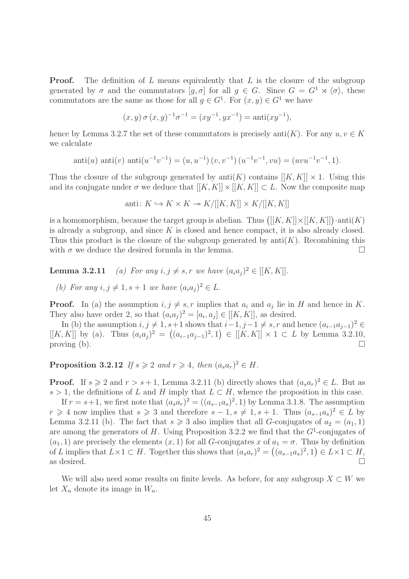**Proof.** The definition of  $L$  means equivalently that  $L$  is the closure of the subgroup generated by  $\sigma$  and the commutators  $[g, \sigma]$  for all  $g \in G$ . Since  $G = G^1 \rtimes \langle \sigma \rangle$ , these commutators are the same as those for all  $g \in G^1$ . For  $(x, y) \in G^1$  we have

$$
(x,y)\,\sigma\,(x,y)^{-1}\sigma^{-1} = (xy^{-1},yx^{-1}) = \text{anti}(xy^{-1}),
$$

hence by Lemma 3.2.7 the set of these commutators is precisely anti $(K)$ . For any  $u, v \in K$ we calculate

$$
anti(u) anti(v) anti(u^{-1}v^{-1}) = (u, u^{-1}) (v, v^{-1}) (u^{-1}v^{-1}, vu) = (uvu^{-1}v^{-1}, 1).
$$

Thus the closure of the subgroup generated by anti(K) contains  $[[K, K]] \times 1$ . Using this and its conjugate under  $\sigma$  we deduce that  $[[K, K]] \times [[K, K]] \subset L$ . Now the composite map

$$
anti: K \hookrightarrow K \times K \twoheadrightarrow K/[[K, K]] \times K/[[K, K]]
$$

is a homomorphism, because the target group is abelian. Thus  $([[K, K]] \times [[K, K]]) \cdot \text{anti}(K)$ is already a subgroup, and since  $K$  is closed and hence compact, it is also already closed. Thus this product is the closure of the subgroup generated by  $anti(K)$ . Recombining this with  $\sigma$  we deduce the desired formula in the lemma.

**Lemma 3.2.11** (a) For any  $i, j \neq s, r$  we have  $(a_i a_j)^2 \in [[K, K]].$ 

(b) For any  $i, j \neq 1, s + 1$  we have  $(a_i a_j)^2 \in L$ .

**Proof.** In (a) the assumption  $i, j \neq s, r$  implies that  $a_i$  and  $a_j$  lie in H and hence in K. They also have order 2, so that  $(a_i a_j)^2 = [a_i, a_j] \in [[K, K]],$  as desired.

In (b) the assumption  $i, j \neq 1, s+1$  shows that  $i-1, j-1 \neq s, r$  and hence  $(a_{i-1}a_{j-1})^2 \in$  $[[K, K]]$  by (a). Thus  $(a_i a_j)^2 = ((a_{i-1} a_{j-1})^2, 1) \in [[K, K]] \times 1 \subset L$  by Lemma 3.2.10, proving (b).  $\Box$ 

**Proposition 3.2.12** If  $s \ge 2$  and  $r \ge 4$ , then  $(a_s a_r)^2 \in H$ .

**Proof.** If  $s \ge 2$  and  $r > s + 1$ , Lemma 3.2.11 (b) directly shows that  $(a_s a_r)^2 \in L$ . But as s > 1, the definitions of L and H imply that  $L \subset H$ , whence the proposition in this case.

If  $r = s+1$ , we first note that  $(a_s a_r)^2 = ((a_{s-1} a_s)^2, 1)$  by Lemma 3.1.8. The assumption  $r \geq 4$  now implies that  $s \geq 3$  and therefore  $s - 1, s \neq 1, s + 1$ . Thus  $(a_{s-1}a_s)^2 \in L$  by Lemma 3.2.11 (b). The fact that  $s \geq 3$  also implies that all G-conjugates of  $a_2 = (a_1, 1)$ are among the generators of H. Using Proposition 3.2.2 we find that the  $G^1$ -conjugates of  $(a_1, 1)$  are precisely the elements  $(x, 1)$  for all G-conjugates x of  $a_1 = \sigma$ . Thus by definition of L implies that  $L \times 1 \subset H$ . Together this shows that  $(a_s a_r)^2 = ((a_{s-1} a_s)^2, 1) \in L \times 1 \subset H$ , as desired.  $\Box$ 

We will also need some results on finite levels. As before, for any subgroup  $X \subset W$  we let  $X_n$  denote its image in  $W_n$ .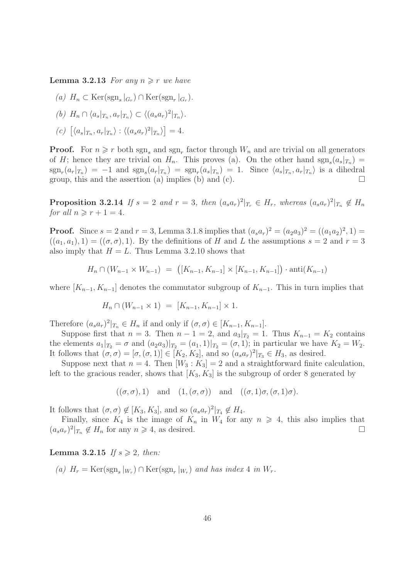**Lemma 3.2.13** For any  $n \geq r$  we have

- (a)  $H_n \subset \text{Ker}(\text{sgn}_s|_{G_r}) \cap \text{Ker}(\text{sgn}_r|_{G_r}).$
- (b)  $H_n \cap \langle a_s |_{T_n}, a_r |_{T_n} \rangle \subset \langle (a_s a_r)^2 |_{T_n} \rangle.$
- (c)  $[\langle a_s |_{T_n}, a_r |_{T_n} \rangle : \langle (a_s a_r)^2 |_{T_n} \rangle] = 4.$

**Proof.** For  $n \ge r$  both  $\text{sgn}_s$  and  $\text{sgn}_r$  factor through  $W_n$  and are trivial on all generators of H; hence they are trivial on  $H_n$ . This proves (a). On the other hand  $sgn_s(a_s|_{T_n}) =$  $sgn_r(a_r|x_n) = -1$  and  $sgn_s(a_r|x_n) = sgn_r(a_s|x_n) = 1$ . Since  $\langle a_s |_{T_n}, a_r |_{T_n} \rangle$  is a dihedral group, this and the assertion (a) implies (b) and (c).

**Proposition 3.2.14** If  $s = 2$  and  $r = 3$ , then  $(a_s a_r)^2|_{T_r} \in H_r$ , whereas  $(a_s a_r)^2|_{T_n} \notin H_n$ for all  $n \geqslant r + 1 = 4$ .

**Proof.** Since  $s = 2$  and  $r = 3$ , Lemma 3.1.8 implies that  $(a_s a_r)^2 = (a_2 a_3)^2 = ((a_1 a_2)^2, 1) =$  $((a_1, a_1), 1) = ((\sigma, \sigma), 1)$ . By the definitions of H and L the assumptions  $s = 2$  and  $r = 3$ also imply that  $H = L$ . Thus Lemma 3.2.10 shows that

$$
H_n \cap (W_{n-1} \times W_{n-1}) = ([K_{n-1}, K_{n-1}] \times [K_{n-1}, K_{n-1}]) \cdot \text{anti}(K_{n-1})
$$

where  $[K_{n-1}, K_{n-1}]$  denotes the commutator subgroup of  $K_{n-1}$ . This in turn implies that

$$
H_n \cap (W_{n-1} \times 1) = [K_{n-1}, K_{n-1}] \times 1.
$$

Therefore  $(a_s a_r)^2|_{T_n} \in H_n$  if and only if  $(\sigma, \sigma) \in [K_{n-1}, K_{n-1}].$ 

Suppose first that  $n = 3$ . Then  $n - 1 = 2$ , and  $a_3|_{T_2} = 1$ . Thus  $K_{n-1} = K_2$  contains the elements  $a_1|_{T_2} = \sigma$  and  $(a_2a_3)|_{T_2} = (a_1, 1)|_{T_2} = (\sigma, 1)$ ; in particular we have  $K_2 = W_2$ . It follows that  $(\sigma, \sigma) = [\sigma, (\sigma, 1)] \in [K_2, K_2]$ , and so  $(a_s a_r)^2|_{T_3} \in H_3$ , as desired.

Suppose next that  $n = 4$ . Then  $[W_3 : K_3] = 2$  and a straightforward finite calculation, left to the gracious reader, shows that  $[K_3, K_3]$  is the subgroup of order 8 generated by

$$
((\sigma, \sigma), 1)
$$
 and  $(1, (\sigma, \sigma))$  and  $((\sigma, 1)\sigma, (\sigma, 1)\sigma)$ .

It follows that  $(\sigma, \sigma) \notin [K_3, K_3]$ , and so  $(a_s a_r)^2|_{T_4} \notin H_4$ .

Finally, since  $K_4$  is the image of  $K_n$  in  $W_4$  for any  $n \geq 4$ , this also implies that  $(a_s a_r)^2|_{T_n} \notin H_n$  for any  $n \geq 4$ , as desired.

#### Lemma 3.2.15 If  $s \geqslant 2$ , then:

(a)  $H_r = \text{Ker}(\text{sgn}_s|_{W_r}) \cap \text{Ker}(\text{sgn}_r|_{W_r})$  and has index 4 in  $W_r$ .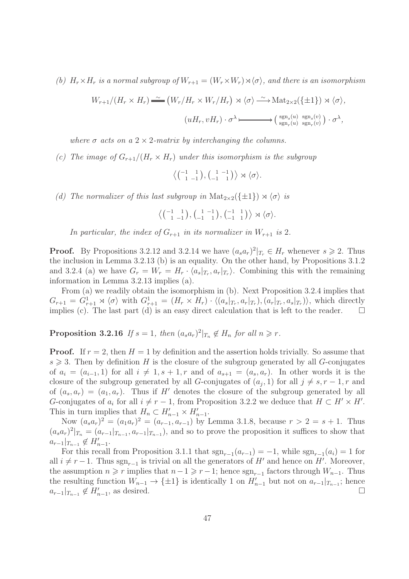(b)  $H_r \times H_r$  is a normal subgroup of  $W_{r+1} = (W_r \times W_r) \rtimes \langle \sigma \rangle$ , and there is an isomorphism

$$
W_{r+1}/(H_r \times H_r) \xrightarrow{\sim} (W_r/H_r \times W_r/H_r) \rtimes \langle \sigma \rangle \xrightarrow{\sim} \text{Mat}_{2 \times 2}(\{\pm 1\}) \rtimes \langle \sigma \rangle,
$$

$$
(uH_r, vH_r) \cdot \sigma^{\lambda} \longmapsto (\text{sgn}_r(u) \text{sgn}_r(v)) \cdot \sigma^{\lambda},
$$

where  $\sigma$  acts on a 2  $\times$  2-matrix by interchanging the columns.

(c) The image of  $G_{r+1}/(H_r \times H_r)$  under this isomorphism is the subgroup

$$
\left\langle \begin{pmatrix} -1 & 1 \\ 1 & -1 \end{pmatrix}, \begin{pmatrix} 1 & -1 \\ -1 & 1 \end{pmatrix} \right\rangle \rtimes \left\langle \sigma \right\rangle.
$$

(d) The normalizer of this last subgroup in  $\text{Mat}_{2\times 2}(\{\pm 1\}) \rtimes \langle \sigma \rangle$  is

$$
\left\langle \begin{pmatrix} -1 & 1 \\ 1 & -1 \end{pmatrix}, \begin{pmatrix} 1 & -1 \\ -1 & 1 \end{pmatrix}, \begin{pmatrix} -1 & 1 \\ -1 & 1 \end{pmatrix} \right\rangle \rtimes \langle \sigma \rangle.
$$

In particular, the index of  $G_{r+1}$  in its normalizer in  $W_{r+1}$  is 2.

**Proof.** By Propositions 3.2.12 and 3.2.14 we have  $(a_s a_r)^2|_{T_r} \in H_r$  whenever  $s \geq 2$ . Thus the inclusion in Lemma 3.2.13 (b) is an equality. On the other hand, by Propositions 3.1.2 and 3.2.4 (a) we have  $G_r = W_r = H_r \cdot \langle a_s |_{T_r}, a_r |_{T_r} \rangle$ . Combining this with the remaining information in Lemma 3.2.13 implies (a).

From (a) we readily obtain the isomorphism in (b). Next Proposition 3.2.4 implies that  $G_{r+1} = G_{r+1}^1 \rtimes \langle \sigma \rangle$  with  $G_{r+1}^1 = (H_r \times H_r) \cdot \langle (a_s |_{T_r}, a_r |_{T_r}), (a_r |_{T_r}, a_s |_{T_r}) \rangle$ , which directly implies (c). The last part (d) is an easy direct calculation that is left to the reader.  $\square$ 

**Proposition 3.2.16** If  $s = 1$ , then  $(a_s a_r)^2|_{T_n} \notin H_n$  for all  $n \geq r$ .

**Proof.** If  $r = 2$ , then  $H = 1$  by definition and the assertion holds trivially. So assume that  $s \geqslant 3$ . Then by definition H is the closure of the subgroup generated by all G-conjugates of  $a_i = (a_{i-1}, 1)$  for all  $i \neq 1, s + 1, r$  and of  $a_{s+1} = (a_s, a_r)$ . In other words it is the closure of the subgroup generated by all G-conjugates of  $(a_j, 1)$  for all  $j \neq s, r - 1, r$  and of  $(a_s, a_r) = (a_1, a_r)$ . Thus if H' denotes the closure of the subgroup generated by all G-conjugates of  $a_i$  for all  $i \neq r-1$ , from Proposition 3.2.2 we deduce that  $H \subset H' \times H'$ . This in turn implies that  $H_n \subset H'_{n-1} \times H'_{n-1}$ .

Now  $(a_s a_r)^2 = (a_1 a_r)^2 = (a_{r-1}, a_{r-1})$  by Lemma 3.1.8, because  $r > 2 = s + 1$ . Thus  $(a_s a_r)^2|_{T_n} = (a_{r-1}|_{T_{n-1}}, a_{r-1}|_{T_{n-1}})$ , and so to prove the proposition it suffices to show that  $a_{r-1}|_{T_{n-1}} \notin H'_{n-1}.$ 

For this recall from Proposition 3.1.1 that  $sgn_{r-1}(a_{r-1}) = -1$ , while  $sgn_{r-1}(a_i) = 1$  for all  $i \neq r-1$ . Thus sgn<sub>r−1</sub> is trivial on all the generators of H' and hence on H'. Moreover, the assumption  $n \geq r$  implies that  $n-1 \geq r-1$ ; hence  $sgn_{r-1}$  factors through  $W_{n-1}$ . Thus the resulting function  $W_{n-1} \to {\pm 1}$  is identically 1 on  $H'_{n-1}$  but not on  $a_{r-1}|_{T_{n-1}}$ ; hence  $a_{r-1}|_{T_{n-1}} \notin H'_{n-1}$ , as desired.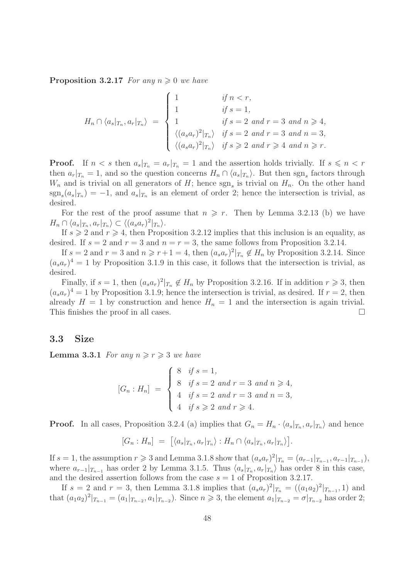**Proposition 3.2.17** For any  $n \geq 0$  we have

$$
H_n \cap \langle a_s |_{T_n}, a_r |_{T_n} \rangle = \begin{cases} 1 & \text{if } n < r, \\ 1 & \text{if } s = 1, \\ 1 & \text{if } s = 2 \text{ and } r = 3 \text{ and } n \ge 4, \\ \langle (a_s a_r)^2 |_{T_n} \rangle & \text{if } s = 2 \text{ and } r = 3 \text{ and } n = 3, \\ \langle (a_s a_r)^2 |_{T_n} \rangle & \text{if } s \ge 2 \text{ and } r \ge 4 \text{ and } n \ge r. \end{cases}
$$

**Proof.** If  $n < s$  then  $a_s|_{T_n} = a_r|_{T_n} = 1$  and the assertion holds trivially. If  $s \leq n < r$ then  $a_r|_{T_n} = 1$ , and so the question concerns  $H_n \cap \langle a_s |_{T_n} \rangle$ . But then sgn<sub>s</sub> factors through  $W_n$  and is trivial on all generators of H; hence  $sgn_s$  is trivial on  $H_n$ . On the other hand  $sgn_s(a_s|_{T_n}) = -1$ , and  $a_s|_{T_n}$  is an element of order 2; hence the intersection is trivial, as desired.

For the rest of the proof assume that  $n \geq r$ . Then by Lemma 3.2.13 (b) we have  $H_n \cap \langle a_s |_{T_n}, a_r |_{T_n} \rangle \subset \langle (a_s a_r)^2 |_{T_n} \rangle.$ 

If  $s \geqslant 2$  and  $r \geqslant 4$ , then Proposition 3.2.12 implies that this inclusion is an equality, as desired. If  $s = 2$  and  $r = 3$  and  $n = r = 3$ , the same follows from Proposition 3.2.14.

If  $s = 2$  and  $r = 3$  and  $n \geq r+1 = 4$ , then  $(a_s a_r)^2|_{T_n} \notin H_n$  by Proposition 3.2.14. Since  $(a_s a_r)^4 = 1$  by Proposition 3.1.9 in this case, it follows that the intersection is trivial, as desired.

Finally, if  $s = 1$ , then  $(a_s a_r)^2|_{T_n} \notin H_n$  by Proposition 3.2.16. If in addition  $r \geq 3$ , then  $(a_s a_r)^4 = 1$  by Proposition 3.1.9; hence the intersection is trivial, as desired. If  $r = 2$ , then already  $H = 1$  by construction and hence  $H_n = 1$  and the intersection is again trivial. This finishes the proof in all cases.

### 3.3 Size

**Lemma 3.3.1** For any  $n \ge r \ge 3$  we have

$$
[G_n : H_n] = \begin{cases} 8 & \text{if } s = 1, \\ 8 & \text{if } s = 2 \text{ and } r = 3 \text{ and } n \ge 4, \\ 4 & \text{if } s = 2 \text{ and } r = 3 \text{ and } n = 3, \\ 4 & \text{if } s \ge 2 \text{ and } r \ge 4. \end{cases}
$$

**Proof.** In all cases, Proposition 3.2.4 (a) implies that  $G_n = H_n \cdot \langle a_s |_{T_n}, a_r |_{T_n} \rangle$  and hence

$$
[G_n : H_n] = [ \langle a_s |_{T_n}, a_r |_{T_n} \rangle : H_n \cap \langle a_s |_{T_n}, a_r |_{T_n} \rangle ].
$$

If  $s = 1$ , the assumption  $r \ge 3$  and Lemma 3.1.8 show that  $(a_s a_r)^2 |_{T_n} = (a_{r-1}|_{T_{n-1}}, a_{r-1}|_{T_{n-1}})$ , where  $a_{r-1}|_{T_{n-1}}$  has order 2 by Lemma 3.1.5. Thus  $\langle a_s|_{T_n}, a_r|_{T_n} \rangle$  has order 8 in this case, and the desired assertion follows from the case  $s = 1$  of Proposition 3.2.17.

If  $s = 2$  and  $r = 3$ , then Lemma 3.1.8 implies that  $(a_s a_r)^2|_{T_n} = ((a_1 a_2)^2|_{T_{n-1}}, 1)$  and that  $(a_1a_2)^2|_{T_{n-1}} = (a_1|_{T_{n-2}}, a_1|_{T_{n-2}})$ . Since  $n \ge 3$ , the element  $a_1|_{T_{n-2}} = \sigma|_{T_{n-2}}$  has order 2;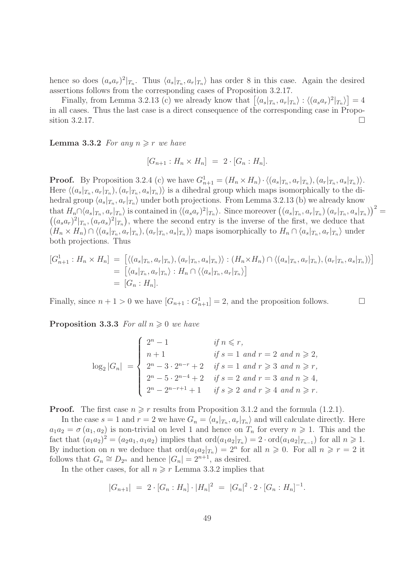hence so does  $(a_s a_r)^2|_{T_n}$ . Thus  $\langle a_s|_{T_n}, a_r|_{T_n}$  has order 8 in this case. Again the desired assertions follows from the corresponding cases of Proposition 3.2.17.

Finally, from Lemma 3.2.13 (c) we already know that  $\left[\langle a_s|_{T_n}, a_r|_{T_n} \rangle : \langle (a_s a_r)^2|_{T_n} \rangle \right] = 4$ in all cases. Thus the last case is a direct consequence of the corresponding case in Proposition 3.2.17.

**Lemma 3.3.2** For any  $n \geq r$  we have

$$
[G_{n+1}: H_n \times H_n] = 2 \cdot [G_n : H_n].
$$

**Proof.** By Proposition 3.2.4 (c) we have  $G_{n+1}^1 = (H_n \times H_n) \cdot \langle (a_s |_{T_n}, a_r |_{T_n}), (a_r |_{T_n}, a_s |_{T_n}) \rangle$ . Here  $\langle (a_s|_{T_n}, a_r|_{T_n}), (a_r|_{T_n}, a_s|_{T_n})\rangle$  is a dihedral group which maps isomorphically to the dihedral group  $\langle a_s|_{T_n}, a_r|_{T_n} \rangle$  under both projections. From Lemma 3.2.13 (b) we already know that  $H_n \cap \langle a_s|_{T_n}, a_r|_{T_n} \rangle$  is contained in  $\langle (a_s a_r)^2|_{T_n} \rangle$ . Since moreover  $((a_s|_{T_n}, a_r|_{T_n}) (a_r|_{T_n}, a_s|_{T_n}))^2 =$  $((a_s a_r)^2|_{T_n}, (a_r a_s)^2|_{T_n})$ , where the second entry is the inverse of the first, we deduce that  $(H_n \times H_n) \cap \langle (a_s|_{T_n}, a_r|_{T_n}), (a_r|_{T_n}, a_s|_{T_n}) \rangle$  maps isomorphically to  $H_n \cap \langle a_s|_{T_n}, a_r|_{T_n} \rangle$  under both projections. Thus

$$
[G_{n+1}^1 : H_n \times H_n] = [ \langle (a_s |_{T_n}, a_r |_{T_n}), (a_r |_{T_n}, a_s |_{T_n}) \rangle : (H_n \times H_n) \cap \langle (a_s |_{T_n}, a_r |_{T_n}), (a_r |_{T_n}, a_s |_{T_n}) \rangle ]
$$
  

$$
= [ \langle a_s |_{T_n}, a_r |_{T_n} \rangle : H_n \cap \langle \langle a_s |_{T_n}, a_r |_{T_n} \rangle ]
$$
  

$$
= [G_n : H_n].
$$

Finally, since  $n + 1 > 0$  we have  $[G_{n+1} : G_{n+1}^1] = 2$ , and the proposition follows.

**Proposition 3.3.3** For all  $n \geq 0$  we have

$$
\log_2|G_n| = \begin{cases} 2^n - 1 & \text{if } n \le r, \\ n+1 & \text{if } s = 1 \text{ and } r = 2 \text{ and } n \ge 2, \\ 2^n - 3 \cdot 2^{n-r} + 2 & \text{if } s = 1 \text{ and } r \ge 3 \text{ and } n \ge r, \\ 2^n - 5 \cdot 2^{n-4} + 2 & \text{if } s = 2 \text{ and } r = 3 \text{ and } n \ge 4, \\ 2^n - 2^{n-r+1} + 1 & \text{if } s \ge 2 \text{ and } r \ge 4 \text{ and } n \ge r. \end{cases}
$$

**Proof.** The first case  $n \geq r$  results from Proposition 3.1.2 and the formula (1.2.1).

In the case  $s = 1$  and  $r = 2$  we have  $G_n = \langle a_s |_{T_n}, a_r |_{T_n} \rangle$  and will calculate directly. Here  $a_1a_2 = \sigma(a_1, a_2)$  is non-trivial on level 1 and hence on  $T_n$  for every  $n \geq 1$ . This and the fact that  $(a_1a_2)^2 = (a_2a_1, a_1a_2)$  implies that  $\text{ord}(a_1a_2|_{T_n}) = 2 \cdot \text{ord}(a_1a_2|_{T_{n-1}})$  for all  $n \ge 1$ . By induction on *n* we deduce that  $\text{ord}(a_1a_2|_{T_n}) = 2^n$  for all  $n \geq 0$ . For all  $n \geq r = 2$  it follows that  $G_n \cong D_{2^n}$  and hence  $|G_n| = 2^{n+1}$ , as desired.

In the other cases, for all  $n \geq r$  Lemma 3.3.2 implies that

$$
|G_{n+1}| = 2 \cdot [G_n : H_n] \cdot |H_n|^2 = |G_n|^2 \cdot 2 \cdot [G_n : H_n]^{-1}.
$$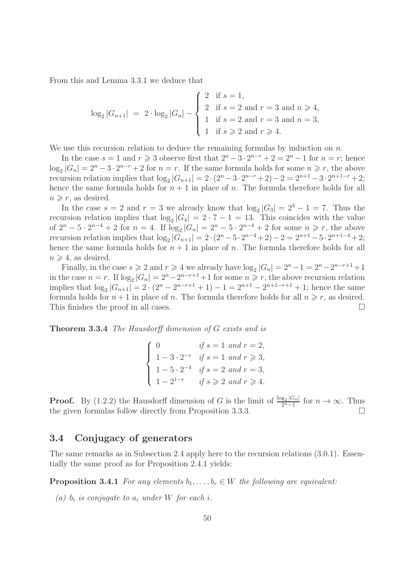From this and Lemma 3.3.1 we deduce that

$$
\log_2|G_{n+1}| = 2 \cdot \log_2|G_n| - \begin{cases} 2 & \text{if } s = 1, \\ 2 & \text{if } s = 2 \text{ and } r = 3 \text{ and } n \ge 4, \\ 1 & \text{if } s = 2 \text{ and } r = 3 \text{ and } n = 3, \\ 1 & \text{if } s \ge 2 \text{ and } r \ge 4. \end{cases}
$$

We use this recursion relation to deduce the remaining formulas by induction on  $n$ .

In the case  $s = 1$  and  $r \geq 3$  observe first that  $2^{n} - 3 \cdot 2^{n-r} + 2 = 2^{n} - 1$  for  $n = r$ ; hence  $\log_2|G_n| = 2^n - 3 \cdot 2^{n-r} + 2$  for  $n = r$ . If the same formula holds for some  $n \ge r$ , the above recursion relation implies that  $\log_2 |G_{n+1}| = 2 \cdot (2^n - 3 \cdot 2^{n-r} + 2) - 2 = 2^{n+1} - 3 \cdot 2^{n+1-r} + 2;$ hence the same formula holds for  $n + 1$  in place of n. The formula therefore holds for all  $n \geq r$ , as desired.

In the case  $s = 2$  and  $r = 3$  we already know that  $\log_2|G_3| = 2^3 - 1 = 7$ . Thus the recursion relation implies that  $\log_2|G_4| = 2 \cdot 7 - 1 = 13$ . This coincides with the value of  $2^{n}$  – 5 ·  $2^{n-4}$  + 2 for  $n = 4$ . If  $\log_2|G_n| = 2^n - 5 \cdot 2^{n-4} + 2$  for some  $n \ge r$ , the above recursion relation implies that  $\log_2 |G_{n+1}| = 2 \cdot (2^n - 5 \cdot 2^{n-4} + 2) - 2 = 2^{n+1} - 5 \cdot 2^{n+1-4} + 2;$ hence the same formula holds for  $n + 1$  in place of n. The formula therefore holds for all  $n \geqslant 4$ , as desired.

Finally, in the case  $s \geqslant 2$  and  $r \geqslant 4$  we already have  $\log_2 |G_n| = 2^n - 1 = 2^n - 2^{n-r+1} + 1$ in the case  $n = r$ . If  $\log_2 |G_n| = 2^n - 2^{n-r+1} + 1$  for some  $n \ge r$ , the above recursion relation implies that  $\log_2 |G_{n+1}| = 2 \cdot (2^n - 2^{n-r+1} + 1) - 1 = 2^{n+1} - 2^{n+1-r+1} + 1$ ; hence the same formula holds for  $n + 1$  in place of n. The formula therefore holds for all  $n \ge r$ , as desired. This finishes the proof in all cases.  $\Box$ 

Theorem 3.3.4 The Hausdorff dimension of G exists and is

|  | $\begin{pmatrix} 0 \\ 0 \end{pmatrix}$ | if $s = 1$ and $r = 2$ ,                         |
|--|----------------------------------------|--------------------------------------------------|
|  |                                        | $1 - 3 \cdot 2^{-r}$ if $s = 1$ and $r \ge 3$ ,  |
|  |                                        | 1 - 5 · 2 <sup>-4</sup> if $s = 2$ and $r = 3$ , |
|  | $1-2^{1-r}$                            | if $s \geqslant 2$ and $r \geqslant 4$ .         |

**Proof.** By (1.2.2) the Hausdorff dimension of G is the limit of  $\frac{\log_2|G_n|}{2^n-1}$  $\frac{g_2|\mathsf{G}_n|}{2^n-1}$  for  $n \to \infty$ . Thus the given formulas follow directly from Proposition 3.3.3.

# 3.4 Conjugacy of generators

The same remarks as in Subsection 2.4 apply here to the recursion relations (3.0.1). Essentially the same proof as for Proposition 2.4.1 yields:

**Proposition 3.4.1** For any elements  $b_1, \ldots, b_r \in W$  the following are equivalent:

(a)  $b_i$  is conjugate to  $a_i$  under W for each i.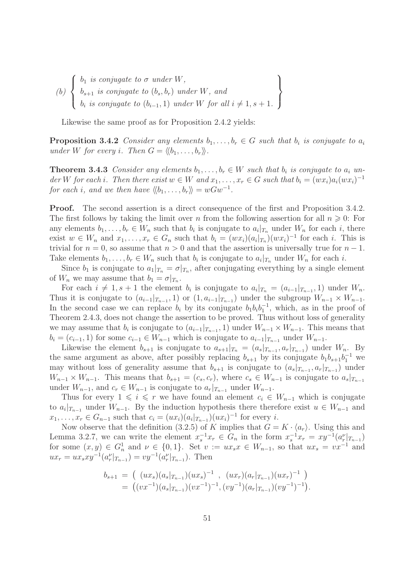(b)  $\sqrt{ }$  $\int$  $\overline{\mathcal{L}}$  $b_1$  is conjugate to  $\sigma$  under  $W$ ,  $b_{s+1}$  is conjugate to  $(b_s, b_r)$  under  $W$ , and  $b_i$  is conjugate to  $(b_{i-1}, 1)$  under W for all  $i \neq 1, s + 1$ .  $\mathcal{L}$  $\overline{\mathcal{L}}$  $\int$ 

Likewise the same proof as for Proposition 2.4.2 yields:

**Proposition 3.4.2** Consider any elements  $b_1, \ldots, b_r \in G$  such that  $b_i$  is conjugate to  $a_i$ under W for every i. Then  $G = \langle b_1, \ldots, b_r \rangle$ .

**Theorem 3.4.3** Consider any elements  $b_1, \ldots, b_r \in W$  such that  $b_i$  is conjugate to  $a_i$  under W for each i. Then there exist  $w \in W$  and  $x_1, \ldots, x_r \in G$  such that  $b_i = (wx_i)a_i(wx_i)^{-1}$ for each i, and we then have  $\langle b_1, \ldots, b_r \rangle = wGw^{-1}$ .

Proof. The second assertion is a direct consequence of the first and Proposition 3.4.2. The first follows by taking the limit over n from the following assertion for all  $n \geqslant 0$ : For any elements  $b_1, \ldots, b_r \in W_n$  such that  $b_i$  is conjugate to  $a_i |_{T_n}$  under  $W_n$  for each i, there exist  $w \in W_n$  and  $x_1, \ldots, x_r \in G_n$  such that  $b_i = (wx_i)(a_i|x_n)(wx_i)^{-1}$  for each i. This is trivial for  $n = 0$ , so assume that  $n > 0$  and that the assertion is universally true for  $n - 1$ . Take elements  $b_1, \ldots, b_r \in W_n$  such that  $b_i$  is conjugate to  $a_i |_{T_n}$  under  $W_n$  for each i.

Since  $b_1$  is conjugate to  $a_1|_{T_n} = \sigma|_{T_n}$ , after conjugating everything by a single element of  $W_n$  we may assume that  $b_1 = \sigma|_{T_n}$ .

For each  $i \neq 1, s + 1$  the element  $b_i$  is conjugate to  $a_i|_{T_n} = (a_{i-1}|_{T_{n-1}}, 1)$  under  $W_n$ . Thus it is conjugate to  $(a_{i-1}|_{T_{n-1}}, 1)$  or  $(1, a_{i-1}|_{T_{n-1}})$  under the subgroup  $W_{n-1} \times W_{n-1}$ . In the second case we can replace  $b_i$  by its conjugate  $b_1b_ib_1^{-1}$ , which, as in the proof of Theorem 2.4.3, does not change the assertion to be proved. Thus without loss of generality we may assume that  $b_i$  is conjugate to  $(a_{i-1}|_{T_{n-1}}, 1)$  under  $W_{n-1} \times W_{n-1}$ . This means that  $b_i = (c_{i-1}, 1)$  for some  $c_{i-1} \in W_{n-1}$  which is conjugate to  $a_{i-1}|_{T_{n-1}}$  under  $W_{n-1}$ .

Likewise the element  $b_{s+1}$  is conjugate to  $a_{s+1}|_{T_n} = (a_s|_{T_{n-1}}, a_r|_{T_{n-1}})$  under  $W_n$ . By the same argument as above, after possibly replacing  $b_{s+1}$  by its conjugate  $b_1b_{s+1}b_1^{-1}$  we may without loss of generality assume that  $b_{s+1}$  is conjugate to  $(a_s|_{T_{n-1}}, a_r|_{T_{n-1}})$  under  $W_{n-1} \times W_{n-1}$ . This means that  $b_{s+1} = (c_s, c_r)$ , where  $c_s \in W_{n-1}$  is conjugate to  $a_s|_{T_{n-1}}$ under  $W_{n-1}$ , and  $c_r \in W_{n-1}$  is conjugate to  $a_r|_{T_{n-1}}$  under  $W_{n-1}$ .

Thus for every  $1 \leq i \leq r$  we have found an element  $c_i \in W_{n-1}$  which is conjugate to  $a_i|_{T_{n-1}}$  under  $W_{n-1}$ . By the induction hypothesis there therefore exist  $u \in W_{n-1}$  and  $x_1, \ldots, x_r \in G_{n-1}$  such that  $c_i = (ux_i)(a_i|_{T_{n-1}})(ux_i)^{-1}$  for every i.

Now observe that the definition (3.2.5) of K implies that  $G = K \cdot \langle a_r \rangle$ . Using this and Lemma 3.2.7, we can write the element  $x_s^{-1}x_r \in G_n$  in the form  $x_s^{-1}x_r = xy^{-1}(a_r^{\nu}|_{T_{n-1}})$ for some  $(x, y) \in G_n^1$  and  $\nu \in \{0, 1\}$ . Set  $v := ux_s x \in W_{n-1}$ , so that  $ux_s = vx^{-1}$  and  $ux_r = ux_sxy^{-1}(a_r^{\nu}|_{T_{n-1}}) = vy^{-1}(a_r^{\nu}|_{T_{n-1}})$ . Then

$$
b_{s+1} = ( (ux_s)(a_s|_{T_{n-1}})(ux_s)^{-1} , (ux_r)(a_r|_{T_{n-1}})(ux_r)^{-1} )
$$
  
= 
$$
((vx^{-1})(a_s|_{T_{n-1}})(vx^{-1})^{-1}, (vy^{-1})(a_r|_{T_{n-1}})(vy^{-1})^{-1}).
$$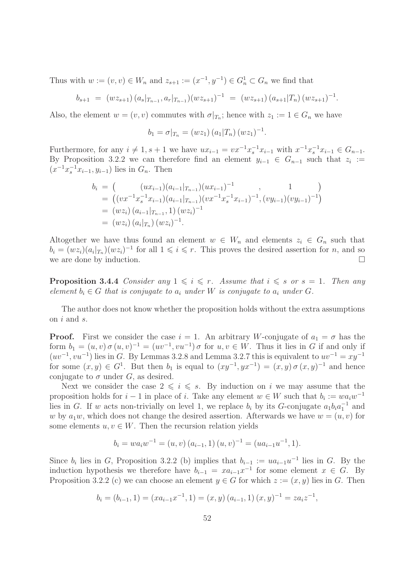Thus with  $w := (v, v) \in W_n$  and  $z_{s+1} := (x^{-1}, y^{-1}) \in G_n^1 \subset G_n$  we find that

$$
b_{s+1} = (wz_{s+1})(a_s|_{T_{n-1}}, a_r|_{T_{n-1}})(wz_{s+1})^{-1} = (wz_{s+1})(a_{s+1}|T_n)(wz_{s+1})^{-1}.
$$

Also, the element  $w = (v, v)$  commutes with  $\sigma|_{T_n}$ ; hence with  $z_1 := 1 \in G_n$  we have

$$
b_1 = \sigma|_{T_n} = (wz_1) (a_1|T_n) (wz_1)^{-1}.
$$

Furthermore, for any  $i \neq 1, s + 1$  we have  $ux_{i-1} = vx^{-1}x_{s}^{-1}x_{i-1}$  with  $x^{-1}x_{s}^{-1}x_{i-1} \in G_{n-1}$ . By Proposition 3.2.2 we can therefore find an element  $y_{i-1} \in G_{n-1}$  such that  $z_i :=$  $(x^{-1}x_{s}^{-1}x_{i-1}, y_{i-1})$  lies in  $G_n$ . Then

$$
b_i = \left( \left( ux_{i-1} \right) \left( a_{i-1} |_{T_{n-1}} \right) \left( ux_{i-1} \right)^{-1}, \left( 1 \right) \right)
$$
  
\n
$$
= \left( \left( vx^{-1} x_s^{-1} x_{i-1} \right) \left( a_{i-1} |_{T_{n-1}} \right) \left( vx^{-1} x_s^{-1} x_{i-1} \right)^{-1}, \left( vy_{i-1} \right) \left( vy_{i-1} \right)^{-1} \right)
$$
  
\n
$$
= \left( wz_i \right) \left( a_{i-1} |_{T_{n-1}}, 1 \right) \left( wz_i \right)^{-1}
$$
  
\n
$$
= \left( wz_i \right) \left( a_i |_{T_n} \right) \left( wz_i \right)^{-1}.
$$

Altogether we have thus found an element  $w \in W_n$  and elements  $z_i \in G_n$  such that  $b_i = (wz_i)(a_i|_{T_n})(wz_i)^{-1}$  for all  $1 \leq i \leq r$ . This proves the desired assertion for n, and so we are done by induction.

**Proposition 3.4.4** Consider any  $1 \leq i \leq r$ . Assume that  $i \leq s$  or  $s = 1$ . Then any element  $b_i \in G$  that is conjugate to  $a_i$  under W is conjugate to  $a_i$  under G.

The author does not know whether the proposition holds without the extra assumptions on i and s.

**Proof.** First we consider the case  $i = 1$ . An arbitrary W-conjugate of  $a_1 = \sigma$  has the form  $b_1 = (u, v) \sigma(u, v)^{-1} = (uv^{-1}, vu^{-1}) \sigma$  for  $u, v \in W$ . Thus it lies in G if and only if  $(uv^{-1}, vu^{-1})$  lies in G. By Lemmas 3.2.8 and Lemma 3.2.7 this is equivalent to  $uv^{-1} = xy^{-1}$ for some  $(x, y) \in G^1$ . But then  $b_1$  is equal to  $(xy^{-1}, yx^{-1}) = (x, y) \sigma(x, y)^{-1}$  and hence conjugate to  $\sigma$  under G, as desired.

Next we consider the case  $2 \leq i \leq s$ . By induction on i we may assume that the proposition holds for  $i-1$  in place of i. Take any element  $w \in W$  such that  $b_i := wa_iw^{-1}$ lies in G. If w acts non-trivially on level 1, we replace  $b_i$  by its G-conjugate  $a_1b_ia_1^{-1}$  and w by  $a_1w$ , which does not change the desired assertion. Afterwards we have  $w = (u, v)$  for some elements  $u, v \in W$ . Then the recursion relation yields

$$
b_i = w a_i w^{-1} = (u, v) (a_{i-1}, 1) (u, v)^{-1} = (u a_{i-1} u^{-1}, 1).
$$

Since  $b_i$  lies in G, Proposition 3.2.2 (b) implies that  $b_{i-1} := ua_{i-1}u^{-1}$  lies in G. By the induction hypothesis we therefore have  $b_{i-1} = xa_{i-1}x^{-1}$  for some element  $x \in G$ . By Proposition 3.2.2 (c) we can choose an element  $y \in G$  for which  $z := (x, y)$  lies in G. Then

$$
b_i = (b_{i-1}, 1) = (xa_{i-1}x^{-1}, 1) = (x, y) (a_{i-1}, 1) (x, y)^{-1} = za_i z^{-1},
$$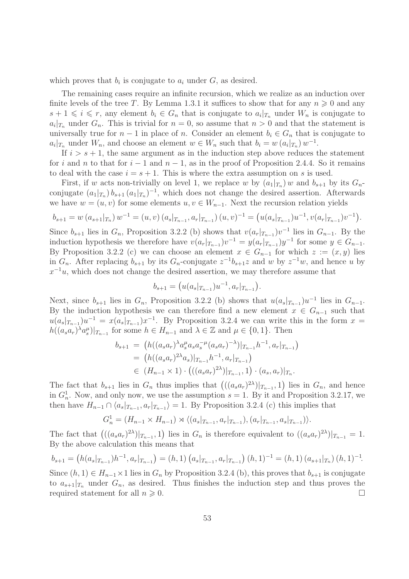which proves that  $b_i$  is conjugate to  $a_i$  under  $G$ , as desired.

The remaining cases require an infinite recursion, which we realize as an induction over finite levels of the tree T. By Lemma 1.3.1 it suffices to show that for any  $n \geq 0$  and any  $s+1 \leqslant i \leqslant r$ , any element  $b_i \in G_n$  that is conjugate to  $a_i|_{T_n}$  under  $W_n$  is conjugate to  $a_i|_{T_n}$  under  $G_n$ . This is trivial for  $n = 0$ , so assume that  $n > 0$  and that the statement is universally true for  $n-1$  in place of n. Consider an element  $b_i \in G_n$  that is conjugate to  $a_i|_{T_n}$  under  $W_n$ , and choose an element  $w \in W_n$  such that  $b_i = w(a_i|_{T_n}) w^{-1}$ .

If  $i > s + 1$ , the same argument as in the induction step above reduces the statement for i and n to that for  $i-1$  and  $n-1$ , as in the proof of Proposition 2.4.4. So it remains to deal with the case  $i = s + 1$ . This is where the extra assumption on s is used.

First, if w acts non-trivially on level 1, we replace w by  $(a_1|_{T_n})$  w and  $b_{s+1}$  by its  $G_n$ conjugate  $(a_1|_{T_n})$   $b_{s+1}$   $(a_1|_{T_n})^{-1}$ , which does not change the desired assertion. Afterwards we have  $w = (u, v)$  for some elements  $u, v \in W_{n-1}$ . Next the recursion relation yields

$$
b_{s+1} = w(a_{s+1}|_{T_n}) w^{-1} = (u, v) (a_s|_{T_{n-1}}, a_r|_{T_{n-1}}) (u, v)^{-1} = (u(a_s|_{T_{n-1}})u^{-1}, v(a_r|_{T_{n-1}})v^{-1}).
$$

Since  $b_{s+1}$  lies in  $G_n$ , Proposition 3.2.2 (b) shows that  $v(a_r|_{T_{n-1}})v^{-1}$  lies in  $G_{n-1}$ . By the induction hypothesis we therefore have  $v(a_r|_{T_{n-1}})v^{-1} = y(a_r|_{T_{n-1}})y^{-1}$  for some  $y \in G_{n-1}$ . By Proposition 3.2.2 (c) we can choose an element  $x \in G_{n-1}$  for which  $z := (x, y)$  lies in  $G_n$ . After replacing  $b_{s+1}$  by its  $G_n$ -conjugate  $z^{-1}b_{s+1}z$  and w by  $z^{-1}w$ , and hence u by  $x^{-1}u$ , which does not change the desired assertion, we may therefore assume that

$$
b_{s+1} = (u(a_s|_{T_{n-1}})u^{-1}, a_r|_{T_{n-1}}).
$$

Next, since  $b_{s+1}$  lies in  $G_n$ , Proposition 3.2.2 (b) shows that  $u(a_s|_{T_{n-1}})u^{-1}$  lies in  $G_{n-1}$ . By the induction hypothesis we can therefore find a new element  $x \in G_{n-1}$  such that  $u(a_s|_{T_{n-1}})u^{-1} = x(a_s|_{T_{n-1}})x^{-1}$ . By Proposition 3.2.4 we can write this in the form  $x =$  $h((a_s a_r)^{\lambda} a_s^{\mu})|_{T_{n-1}}$  for some  $h \in H_{n-1}$  and  $\lambda \in \mathbb{Z}$  and  $\mu \in \{0,1\}$ . Then

$$
b_{s+1} = (h((a_s a_r)^{\lambda} a_s^{\mu} a_s a_s^{-\mu} (a_s a_r)^{-\lambda})|_{T_{n-1}} h^{-1}, a_r|_{T_{n-1}})
$$
  
=  $(h((a_s a_r)^{2\lambda} a_s)|_{T_{n-1}} h^{-1}, a_r|_{T_{n-1}})$   
 $\in (H_{n-1} \times 1) \cdot (((a_s a_r)^{2\lambda})|_{T_{n-1}}, 1) \cdot (a_s, a_r)|_{T_n}.$ 

The fact that  $b_{s+1}$  lies in  $G_n$  thus implies that  $\left( ((a_s a_r)^{2\lambda})|_{T_{n-1}}, 1 \right)$  lies in  $G_n$ , and hence in  $G_n^1$ . Now, and only now, we use the assumption  $s = 1$ . By it and Proposition 3.2.17, we then have  $H_{n-1} \cap \langle a_s |_{T_{n-1}}, a_r |_{T_{n-1}} \rangle = 1$ . By Proposition 3.2.4 (c) this implies that

$$
G_n^1 = (H_{n-1} \times H_{n-1}) \rtimes \langle (a_s |_{T_{n-1}}, a_r |_{T_{n-1}}), (a_r |_{T_{n-1}}, a_s |_{T_{n-1}}) \rangle.
$$

The fact that  $((a_s a_r)^{2\lambda})|_{T_{n-1}}, 1$  lies in  $G_n$  is therefore equivalent to  $((a_s a_r)^{2\lambda})|_{T_{n-1}} = 1$ . By the above calculation this means that

$$
b_{s+1} = (h(a_s|_{T_{n-1}})h^{-1}, a_r|_{T_{n-1}}) = (h, 1) (a_s|_{T_{n-1}}, a_r|_{T_{n-1}}) (h, 1)^{-1} = (h, 1) (a_{s+1}|_{T_n}) (h, 1)^{-1}.
$$

Since  $(h, 1) \in H_{n-1} \times 1$  lies in  $G_n$  by Proposition 3.2.4 (b), this proves that  $b_{s+1}$  is conjugate to  $a_{s+1}|_{T_n}$  under  $G_n$ , as desired. Thus finishes the induction step and thus proves the required statement for all  $n \geq 0$ .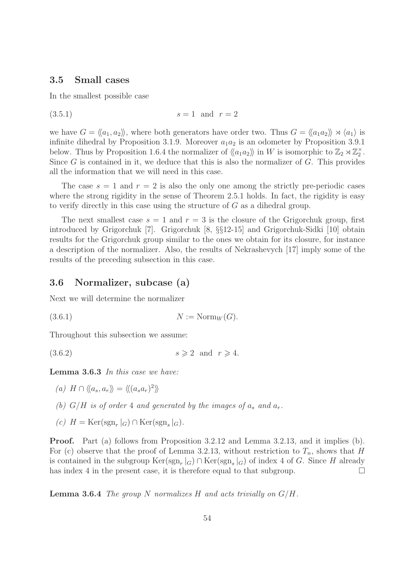### 3.5 Small cases

In the smallest possible case

 $(s=1 \text{ and } r=2)$ 

we have  $G = \langle \langle a_1, a_2 \rangle \rangle$ , where both generators have order two. Thus  $G = \langle \langle a_1 a_2 \rangle \rangle \rtimes \langle a_1 \rangle$  is infinite dihedral by Proposition 3.1.9. Moreover  $a_1a_2$  is an odometer by Proposition 3.9.1 below. Thus by Proposition 1.6.4 the normalizer of  $\langle\langle a_1 a_2 \rangle\rangle$  in W is isomorphic to  $\mathbb{Z}_2 \rtimes \mathbb{Z}_2^{\times}$ . Since  $G$  is contained in it, we deduce that this is also the normalizer of  $G$ . This provides all the information that we will need in this case.

The case  $s = 1$  and  $r = 2$  is also the only one among the strictly pre-periodic cases where the strong rigidity in the sense of Theorem 2.5.1 holds. In fact, the rigidity is easy to verify directly in this case using the structure of G as a dihedral group.

The next smallest case  $s = 1$  and  $r = 3$  is the closure of the Grigorchuk group, first introduced by Grigorchuk [7]. Grigorchuk [8, §§12-15] and Grigorchuk-Sidki [10] obtain results for the Grigorchuk group similar to the ones we obtain for its closure, for instance a description of the normalizer. Also, the results of Nekrashevych [17] imply some of the results of the preceding subsection in this case.

# 3.6 Normalizer, subcase (a)

Next we will determine the normalizer

(3.6.1)  $N := \text{Norm}_W(G)$ .

Throughout this subsection we assume:

 $(3.6.2)$  s > 2 and  $r \ge 4$ .

Lemma 3.6.3 In this case we have:

(a)  $H \cap \langle\langle a_s, a_r \rangle\rangle = \langle\langle (a_s a_r)^2 \rangle\rangle$ 

- (b)  $G/H$  is of order 4 and generated by the images of  $a_s$  and  $a_r$ .
- (c)  $H = \text{Ker}(\text{sgn}_r|_G) \cap \text{Ker}(\text{sgn}_s|_G).$

Proof. Part (a) follows from Proposition 3.2.12 and Lemma 3.2.13, and it implies (b). For (c) observe that the proof of Lemma 3.2.13, without restriction to  $T_n$ , shows that H is contained in the subgroup  $\text{Ker}(\text{sgn}_r|_G) \cap \text{Ker}(\text{sgn}_s|_G)$  of index 4 of G. Since H already has index 4 in the present case, it is therefore equal to that subgroup.  $\Box$ 

**Lemma 3.6.4** The group N normalizes H and acts trivially on  $G/H$ .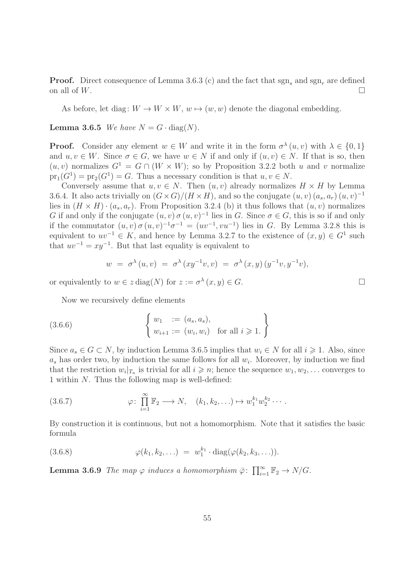**Proof.** Direct consequence of Lemma 3.6.3 (c) and the fact that  $sgn_s$  and  $sgn_s$  are defined on all of  $W$ .

As before, let diag:  $W \to W \times W$ ,  $w \mapsto (w, w)$  denote the diagonal embedding.

**Lemma 3.6.5** We have  $N = G \cdot diag(N)$ .

**Proof.** Consider any element  $w \in W$  and write it in the form  $\sigma^{\lambda}(u, v)$  with  $\lambda \in \{0, 1\}$ and  $u, v \in W$ . Since  $\sigma \in G$ , we have  $w \in N$  if and only if  $(u, v) \in N$ . If that is so, then  $(u, v)$  normalizes  $G^1 = G \cap (W \times W)$ ; so by Proposition 3.2.2 both u and v normalize  $pr_1(G^1) = pr_2(G^1) = G$ . Thus a necessary condition is that  $u, v \in N$ .

Conversely assume that  $u, v \in N$ . Then  $(u, v)$  already normalizes  $H \times H$  by Lemma 3.6.4. It also acts trivially on  $(G \times G)/(H \times H)$ , and so the conjugate  $(u, v)$   $(a_s, a_r)$   $(u, v)^{-1}$ lies in  $(H \times H) \cdot (a_s, a_r)$ . From Proposition 3.2.4 (b) it thus follows that  $(u, v)$  normalizes G if and only if the conjugate  $(u, v) \sigma (u, v)^{-1}$  lies in G. Since  $\sigma \in G$ , this is so if and only if the commutator  $(u, v) \sigma(u, v)^{-1} \sigma^{-1} = (uv^{-1}, vu^{-1})$  lies in G. By Lemma 3.2.8 this is equivalent to  $uv^{-1} \in K$ , and hence by Lemma 3.2.7 to the existence of  $(x, y) \in G<sup>1</sup>$  such that  $uv^{-1} = xy^{-1}$ . But that last equality is equivalent to

$$
w = \sigma^{\lambda}(u, v) = \sigma^{\lambda}(xy^{-1}v, v) = \sigma^{\lambda}(x, y) (y^{-1}v, y^{-1}v),
$$

or equivalently to  $w \in z \text{ diag}(N)$  for  $z := \sigma^{\lambda}(x, y) \in G$ .

Now we recursively define elements

(3.6.6) 
$$
\begin{cases} w_1 := (a_s, a_s), \\ w_{i+1} := (w_i, w_i) \text{ for all } i \geq 1. \end{cases}
$$

Since  $a_s \in G \subset N$ , by induction Lemma 3.6.5 implies that  $w_i \in N$  for all  $i \geq 1$ . Also, since  $a_s$  has order two, by induction the same follows for all  $w_i$ . Moreover, by induction we find that the restriction  $w_i|_{T_n}$  is trivial for all  $i \geq n$ ; hence the sequence  $w_1, w_2, \ldots$  converges to 1 within N. Thus the following map is well-defined:

(3.6.7) 
$$
\varphi: \prod_{i=1}^{\infty} \mathbb{F}_2 \longrightarrow N, \quad (k_1, k_2, \ldots) \mapsto w_1^{k_1} w_2^{k_2} \cdots
$$

By construction it is continuous, but not a homomorphism. Note that it satisfies the basic formula

(3.6.8) 
$$
\varphi(k_1, k_2, \ldots) = w_1^{k_1} \cdot \text{diag}(\varphi(k_2, k_3, \ldots)).
$$

**Lemma 3.6.9** The map  $\varphi$  induces a homomorphism  $\bar{\varphi}$ :  $\prod_{i=1}^{\infty} \mathbb{F}_2 \to N/G$ .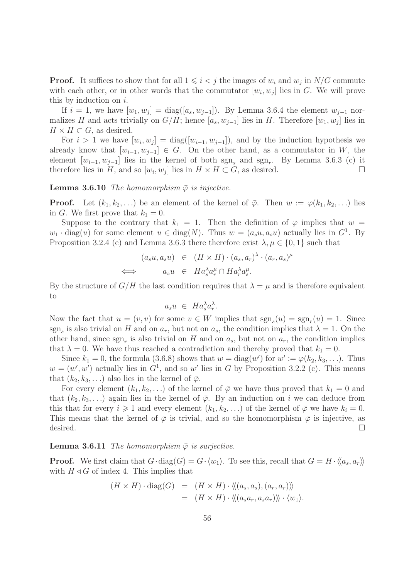**Proof.** It suffices to show that for all  $1 \leq i < j$  the images of  $w_i$  and  $w_j$  in  $N/G$  commute with each other, or in other words that the commutator  $[w_i, w_j]$  lies in G. We will prove this by induction on  $i$ .

If  $i = 1$ , we have  $[w_1, w_j] = \text{diag}([a_s, w_{j-1}])$ . By Lemma 3.6.4 the element  $w_{j-1}$  normalizes H and acts trivially on  $G/H$ ; hence  $[a_s, w_{j-1}]$  lies in H. Therefore  $[w_1, w_j]$  lies in  $H \times H \subset G$ , as desired.

For  $i > 1$  we have  $[w_i, w_j] = \text{diag}([w_{i-1}, w_{j-1}])$ , and by the induction hypothesis we already know that  $[w_{i-1}, w_{i-1}] \in G$ . On the other hand, as a commutator in W, the element  $[w_{i-1}, w_{j-1}]$  lies in the kernel of both  $sgn_s$  and  $sgn_r$ . By Lemma 3.6.3 (c) it therefore lies in H, and so  $[w_i, w_j]$  lies in  $H \times H \subset G$ , as desired.

**Lemma 3.6.10** The homomorphism  $\bar{\varphi}$  is injective.

**Proof.** Let  $(k_1, k_2, \ldots)$  be an element of the kernel of  $\bar{\varphi}$ . Then  $w := \varphi(k_1, k_2, \ldots)$  lies in G. We first prove that  $k_1 = 0$ .

Suppose to the contrary that  $k_1 = 1$ . Then the definition of  $\varphi$  implies that  $w =$  $w_1 \cdot \text{diag}(u)$  for some element  $u \in \text{diag}(N)$ . Thus  $w = (a_s u, a_s u)$  actually lies in  $G^1$ . By Proposition 3.2.4 (c) and Lemma 3.6.3 there therefore exist  $\lambda, \mu \in \{0, 1\}$  such that

$$
(a_s u, a_s u) \in (H \times H) \cdot (a_s, a_r)^\lambda \cdot (a_r, a_s)^\mu
$$
  

$$
\iff a_s u \in H a_s^\lambda a_r^\mu \cap H a_r^\lambda a_s^\mu.
$$

By the structure of  $G/H$  the last condition requires that  $\lambda = \mu$  and is therefore equivalent to

$$
a_s u \ \in \ Ha_s^{\lambda} a_r^{\lambda}.
$$

Now the fact that  $u = (v, v)$  for some  $v \in W$  implies that  $sgn_s(u) = sgn_r(u) = 1$ . Since sgn<sub>s</sub> is also trivial on H and on  $a_r$ , but not on  $a_s$ , the condition implies that  $\lambda = 1$ . On the other hand, since  $sgn_r$  is also trivial on H and on  $a_s$ , but not on  $a_r$ , the condition implies that  $\lambda = 0$ . We have thus reached a contradiction and thereby proved that  $k_1 = 0$ .

Since  $k_1 = 0$ , the formula (3.6.8) shows that  $w = \text{diag}(w')$  for  $w' := \varphi(k_2, k_3, \ldots)$ . Thus  $w = (w', w')$  actually lies in  $G<sup>1</sup>$ , and so w' lies in G by Proposition 3.2.2 (c). This means that  $(k_2, k_3, \ldots)$  also lies in the kernel of  $\overline{\varphi}$ .

For every element  $(k_1, k_2, \ldots)$  of the kernel of  $\overline{\varphi}$  we have thus proved that  $k_1 = 0$  and that  $(k_2, k_3, \ldots)$  again lies in the kernel of  $\overline{\varphi}$ . By an induction on i we can deduce from this that for every  $i \geq 1$  and every element  $(k_1, k_2, \ldots)$  of the kernel of  $\overline{\varphi}$  we have  $k_i = 0$ . This means that the kernel of  $\bar{\varphi}$  is trivial, and so the homomorphism  $\bar{\varphi}$  is injective, as desired.  $\Box$ 

#### **Lemma 3.6.11** The homomorphism  $\bar{\varphi}$  is surjective.

**Proof.** We first claim that  $G \cdot diag(G) = G \cdot \langle w_1 \rangle$ . To see this, recall that  $G = H \cdot \langle a_s, a_r \rangle$ with  $H \triangleleft G$  of index 4. This implies that

$$
(H \times H) \cdot \text{diag}(G) = (H \times H) \cdot \langle\langle (a_s, a_s), (a_r, a_r) \rangle\rangle
$$
  
= 
$$
(H \times H) \cdot \langle\langle (a_s a_r, a_s a_r) \rangle\rangle \cdot \langle w_1 \rangle.
$$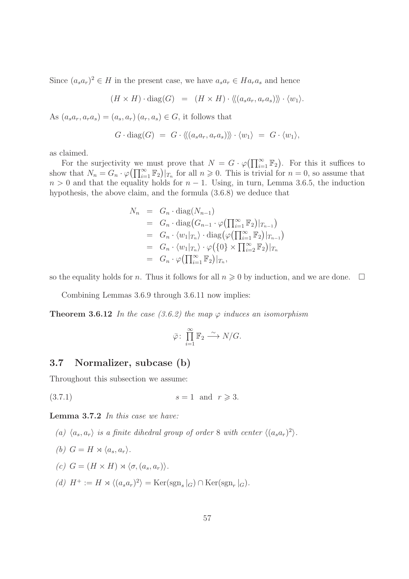Since  $(a_s a_r)^2 \in H$  in the present case, we have  $a_s a_r \in Ha_r a_s$  and hence

 $(H \times H) \cdot \text{diag}(G) = (H \times H) \cdot \langle (a_s a_r, a_r a_s) \rangle \rangle \cdot \langle w_1 \rangle.$ 

As  $(a_s a_r, a_r a_s) = (a_s, a_r) (a_r, a_s) \in G$ , it follows that

$$
G \cdot diag(G) = G \cdot \langle \langle (a_s a_r, a_r a_s) \rangle \rangle \cdot \langle w_1 \rangle = G \cdot \langle w_1 \rangle,
$$

as claimed.

For the surjectivity we must prove that  $N = G \cdot \varphi(\prod_{i=1}^{\infty} \mathbb{F}_2)$ . For this it suffices to show that  $N_n = G_n \cdot \varphi(\prod_{i=1}^{\infty} \mathbb{F}_2)|_{T_n}$  for all  $n \geq 0$ . This is trivial for  $n = 0$ , so assume that  $n > 0$  and that the equality holds for  $n - 1$ . Using, in turn, Lemma 3.6.5, the induction hypothesis, the above claim, and the formula (3.6.8) we deduce that

$$
N_n = G_n \cdot \text{diag}(N_{n-1})
$$
  
\n
$$
= G_n \cdot \text{diag}(G_{n-1} \cdot \varphi(\prod_{i=1}^{\infty} \mathbb{F}_2)|_{T_{n-1}})
$$
  
\n
$$
= G_n \cdot \langle w_1 |_{T_n} \rangle \cdot \text{diag}(\varphi(\prod_{i=1}^{\infty} \mathbb{F}_2)|_{T_{n-1}})
$$
  
\n
$$
= G_n \cdot \langle w_1 |_{T_n} \rangle \cdot \varphi(\{0\} \times \prod_{i=2}^{\infty} \mathbb{F}_2)|_{T_n}
$$
  
\n
$$
= G_n \cdot \varphi(\prod_{i=1}^{\infty} \mathbb{F}_2)|_{T_n},
$$

so the equality holds for *n*. Thus it follows for all  $n \geq 0$  by induction, and we are done.  $\Box$ 

Combining Lemmas 3.6.9 through 3.6.11 now implies:

**Theorem 3.6.12** In the case (3.6.2) the map  $\varphi$  induces an isomorphism

$$
\bar{\varphi}\colon \prod_{i=1}^{\infty} \mathbb{F}_2 \stackrel{\sim}{\longrightarrow} N/G.
$$

# 3.7 Normalizer, subcase (b)

Throughout this subsection we assume:

(3.7.1)  $s = 1$  and  $r \ge 3$ .

Lemma 3.7.2 In this case we have:

- (a)  $\langle a_s, a_r \rangle$  is a finite dihedral group of order 8 with center  $\langle (a_s a_r)^2 \rangle$ .
- (b)  $G = H \rtimes \langle a_s, a_r \rangle$ .
- (c)  $G = (H \times H) \rtimes \langle \sigma, (a_s, a_r) \rangle$ .
- (d)  $H^+ := H \rtimes \langle (a_s a_r)^2 \rangle = \text{Ker}(\text{sgn}_s|_G) \cap \text{Ker}(\text{sgn}_r|_G).$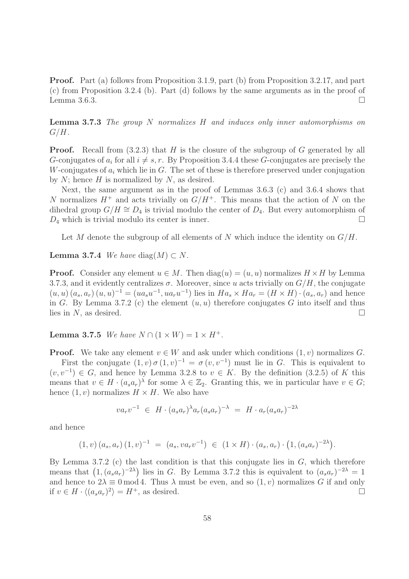Proof. Part (a) follows from Proposition 3.1.9, part (b) from Proposition 3.2.17, and part (c) from Proposition 3.2.4 (b). Part (d) follows by the same arguments as in the proof of Lemma 3.6.3.  $\Box$ 

**Lemma 3.7.3** The group N normalizes H and induces only inner automorphisms on  $G/H$ .

**Proof.** Recall from  $(3.2.3)$  that H is the closure of the subgroup of G generated by all G-conjugates of  $a_i$  for all  $i \neq s, r$ . By Proposition 3.4.4 these G-conjugates are precisely the W-conjugates of  $a_i$  which lie in G. The set of these is therefore preserved under conjugation by  $N$ ; hence  $H$  is normalized by  $N$ , as desired.

Next, the same argument as in the proof of Lemmas 3.6.3 (c) and 3.6.4 shows that N normalizes  $H^+$  and acts trivially on  $G/H^+$ . This means that the action of N on the dihedral group  $G/H \cong D_4$  is trivial modulo the center of  $D_4$ . But every automorphism of  $D_4$  which is trivial modulo its center is inner.

Let M denote the subgroup of all elements of N which induce the identity on  $G/H$ .

**Lemma 3.7.4** We have diag $(M) \subset N$ .

**Proof.** Consider any element  $u \in M$ . Then  $diag(u) = (u, u)$  normalizes  $H \times H$  by Lemma 3.7.3, and it evidently centralizes  $\sigma$ . Moreover, since u acts trivially on  $G/H$ , the conjugate  $(u, u)$   $(a_s, a_r)$   $(u, u)^{-1} = (ua_s u^{-1}, ua_r u^{-1})$  lies in  $Ha_s \times Ha_r = (H \times H) \cdot (a_s, a_r)$  and hence in G. By Lemma 3.7.2 (c) the element  $(u, u)$  therefore conjugates G into itself and thus lies in N, as desired.  $\square$ 

**Lemma 3.7.5** We have  $N \cap (1 \times W) = 1 \times H^+$ .

**Proof.** We take any element  $v \in W$  and ask under which conditions  $(1, v)$  normalizes G. First the conjugate  $(1, v) \sigma (1, v)^{-1} = \sigma (v, v^{-1})$  must lie in G. This is equivalent to  $(v, v^{-1}) \in G$ , and hence by Lemma 3.2.8 to  $v \in K$ . By the definition (3.2.5) of K this means that  $v \in H \cdot (a_s a_r)^\lambda$  for some  $\lambda \in \mathbb{Z}_2$ . Granting this, we in particular have  $v \in G$ ; hence  $(1, v)$  normalizes  $H \times H$ . We also have

$$
va_r v^{-1} \in H \cdot (a_s a_r)^{\lambda} a_r (a_s a_r)^{-\lambda} = H \cdot a_r (a_s a_r)^{-2\lambda}
$$

and hence

$$
(1, v) (a_s, a_r) (1, v)^{-1} = (a_s, v a_r v^{-1}) \in (1 \times H) \cdot (a_s, a_r) \cdot (1, (a_s a_r)^{-2\lambda}).
$$

By Lemma 3.7.2 (c) the last condition is that this conjugate lies in  $G$ , which therefore means that  $(1, (a_s a_r)^{-2\lambda})$  lies in G. By Lemma 3.7.2 this is equivalent to  $(a_s a_r)^{-2\lambda} = 1$ and hence to  $2\lambda \equiv 0 \mod 4$ . Thus  $\lambda$  must be even, and so  $(1, v)$  normalizes G if and only if  $v \in H \cdot \langle (a_s a_r)^2 \rangle = H^+$ , as desired.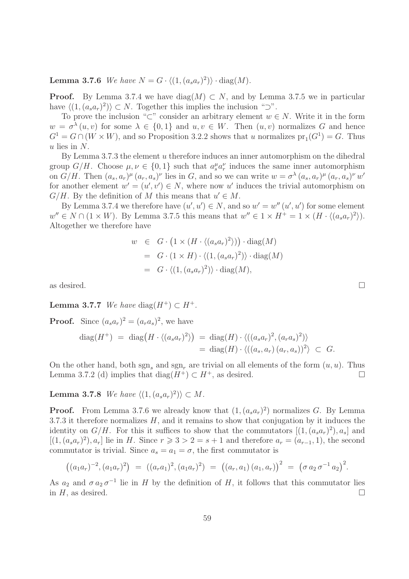**Lemma 3.7.6** We have  $N = G \cdot \langle (1, (a_s a_r)^2) \rangle \cdot diag(M)$ .

**Proof.** By Lemma 3.7.4 we have diag(M)  $\subset N$ , and by Lemma 3.7.5 we in particular have  $\langle (1, (a_s a_r)^2) \rangle \subset N$ . Together this implies the inclusion "⊃".

To prove the inclusion "⊂" consider an arbitrary element  $w \in N$ . Write it in the form  $w = \sigma^{\lambda}(u, v)$  for some  $\lambda \in \{0, 1\}$  and  $u, v \in W$ . Then  $(u, v)$  normalizes G and hence  $G<sup>1</sup> = G \cap (W \times W)$ , and so Proposition 3.2.2 shows that u normalizes  $pr_1(G<sup>1</sup>) = G$ . Thus  $u$  lies in  $N$ .

By Lemma 3.7.3 the element u therefore induces an inner automorphism on the dihedral group  $G/H$ . Choose  $\mu, \nu \in \{0,1\}$  such that  $a_s^{\mu} a_r^{\nu}$  induces the same inner automorphism on  $G/H$ . Then  $(a_s, a_r)^\mu (a_r, a_s)^\nu$  lies in G, and so we can write  $w = \sigma^{\lambda} (a_s, a_r)^\mu (a_r, a_s)^\nu w'$ for another element  $w' = (u', v') \in N$ , where now u' induces the trivial automorphism on  $G/H$ . By the definition of M this means that  $u' \in M$ .

By Lemma 3.7.4 we therefore have  $(u', u') \in N$ , and so  $w' = w''(u', u')$  for some element  $w'' \in N \cap (1 \times W)$ . By Lemma 3.7.5 this means that  $w'' \in 1 \times H^+ = 1 \times (H \cdot \langle (a_s a_r)^2 \rangle)$ . Altogether we therefore have

$$
w \in G \cdot (1 \times (H \cdot \langle (a_s a_r)^2 \rangle)) \cdot \text{diag}(M)
$$
  
=  $G \cdot (1 \times H) \cdot \langle (1, (a_s a_r)^2) \rangle \cdot \text{diag}(M)$   
=  $G \cdot \langle (1, (a_s a_r)^2) \rangle \cdot \text{diag}(M),$ 

as desired.  $\Box$ 

Lemma 3.7.7 We have diag( $H^+$ )  $\subset H^+$ .

**Proof.** Since  $(a_s a_r)^2 = (a_r a_s)^2$ , we have

$$
\begin{array}{rcl}\n\operatorname{diag}(H^+) &=& \operatorname{diag}\left(H \cdot \langle (a_s a_r)^2 \rangle \right) \\
&=& \operatorname{diag}(H) \cdot \langle ((a_s a_r)^2, (a_r a_s)^2) \rangle \\
&=& \operatorname{diag}(H) \cdot \langle ((a_s, a_r) (a_r, a_s))^2 \rangle \subset G.\n\end{array}
$$

On the other hand, both sgn, and sgn, are trivial on all elements of the form  $(u, u)$ . Thus Lemma 3.7.2 (d) implies that diag( $H^+$ ) ⊂  $H^+$ , as desired.

**Lemma 3.7.8** We have  $\langle (1, (a_s a_r)^2) \rangle \subset M$ .

**Proof.** From Lemma 3.7.6 we already know that  $(1, (a_s a_r)^2)$  normalizes G. By Lemma 3.7.3 it therefore normalizes  $H$ , and it remains to show that conjugation by it induces the identity on  $G/H$ . For this it suffices to show that the commutators  $[(1,(a_sa_r)^2),a_s]$  and  $[(1, (a<sub>s</sub>a<sub>r</sub>)<sup>2</sup>), a<sub>r</sub>]$  lie in H. Since  $r \ge 3 > 2 = s + 1$  and therefore  $a<sub>r</sub> = (a<sub>r-1</sub>, 1)$ , the second commutator is trivial. Since  $a_s = a_1 = \sigma$ , the first commutator is

$$
((a_1a_r)^{-2}, (a_1a_r)^2) = ((a_ra_1)^2, (a_1a_r)^2) = ((a_r, a_1) (a_1, a_r))^{2} = (\sigma a_2 \sigma^{-1} a_2)^{2}.
$$

As  $a_2$  and  $\sigma a_2 \sigma^{-1}$  lie in H by the definition of H, it follows that this commutator lies in  $H$ , as desired.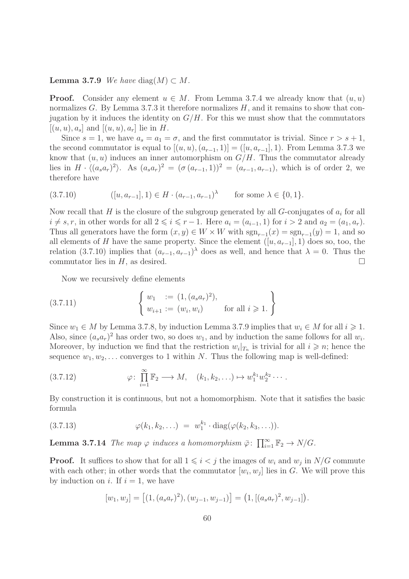**Lemma 3.7.9** We have diag $(M) \subset M$ .

**Proof.** Consider any element  $u \in M$ . From Lemma 3.7.4 we already know that  $(u, u)$ normalizes  $G$ . By Lemma 3.7.3 it therefore normalizes  $H$ , and it remains to show that conjugation by it induces the identity on  $G/H$ . For this we must show that the commutators  $[(u, u), a_s]$  and  $[(u, u), a_r]$  lie in H.

Since  $s = 1$ , we have  $a_s = a_1 = \sigma$ , and the first commutator is trivial. Since  $r > s + 1$ , the second commutator is equal to  $[(u, u), (a_{r-1}, 1)] = ([u, a_{r-1}], 1)$ . From Lemma 3.7.3 we know that  $(u, u)$  induces an inner automorphism on  $G/H$ . Thus the commutator already lies in  $H \cdot \langle (a_s a_r)^2 \rangle$ . As  $(a_s a_r)^2 = (\sigma (a_{r-1}, 1))^2 = (a_{r-1}, a_{r-1})$ , which is of order 2, we therefore have

$$
(3.7.10) \qquad ([u, a_{r-1}], 1) \in H \cdot (a_{r-1}, a_{r-1})^{\lambda} \qquad \text{for some } \lambda \in \{0, 1\}.
$$

Now recall that H is the closure of the subgroup generated by all  $G$ -conjugates of  $a_i$  for all  $i \neq s, r$ , in other words for all  $2 \leq i \leq r - 1$ . Here  $a_i = (a_{i-1}, 1)$  for  $i > 2$  and  $a_2 = (a_1, a_r)$ . Thus all generators have the form  $(x, y) \in W \times W$  with  $sgn_{r-1}(x) = sgn_{r-1}(y) = 1$ , and so all elements of H have the same property. Since the element  $([u, a_{r-1}], 1)$  does so, too, the relation (3.7.10) implies that  $(a_{r-1}, a_{r-1})^{\lambda}$  does as well, and hence that  $\lambda = 0$ . Thus the commutator lies in  $H$ , as desired.

Now we recursively define elements

(3.7.11) 
$$
\begin{cases} w_1 := (1, (a_s a_r)^2), \\ w_{i+1} := (w_i, w_i) \end{cases} \text{ for all } i \geq 1. \}
$$

Since  $w_1 \in M$  by Lemma 3.7.8, by induction Lemma 3.7.9 implies that  $w_i \in M$  for all  $i \geq 1$ . Also, since  $(a_s a_r)^2$  has order two, so does  $w_1$ , and by induction the same follows for all  $w_i$ . Moreover, by induction we find that the restriction  $w_i|_{T_n}$  is trivial for all  $i \geq n$ ; hence the sequence  $w_1, w_2, \ldots$  converges to 1 within N. Thus the following map is well-defined:

(3.7.12) 
$$
\varphi: \prod_{i=1}^{\infty} \mathbb{F}_2 \longrightarrow M, \quad (k_1, k_2, \ldots) \mapsto w_1^{k_1} w_2^{k_2} \cdots
$$

By construction it is continuous, but not a homomorphism. Note that it satisfies the basic formula

(3.7.13) 
$$
\varphi(k_1, k_2, \ldots) = w_1^{k_1} \cdot \text{diag}(\varphi(k_2, k_3, \ldots)).
$$

**Lemma 3.7.14** The map  $\varphi$  induces a homomorphism  $\bar{\varphi}$ :  $\prod_{i=1}^{\infty} \mathbb{F}_2 \to N/G$ .

**Proof.** It suffices to show that for all  $1 \leq i < j$  the images of  $w_i$  and  $w_j$  in  $N/G$  commute with each other; in other words that the commutator  $[w_i, w_j]$  lies in G. We will prove this by induction on i. If  $i = 1$ , we have

$$
[w_1, w_j] = [(1, (a_s a_r)^2), (w_{j-1}, w_{j-1})] = (1, [(a_s a_r)^2, w_{j-1}]).
$$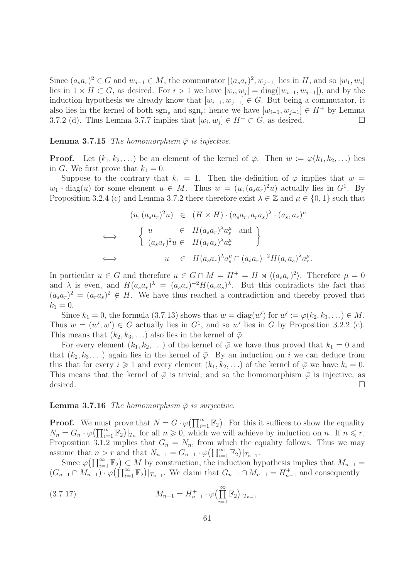Since  $(a_s a_r)^2 \in G$  and  $w_{j-1} \in M$ , the commutator  $[(a_s a_r)^2, w_{j-1}]$  lies in H, and so  $[w_1, w_j]$ lies in  $1 \times H \subset G$ , as desired. For  $i > 1$  we have  $[w_i, w_j] = \text{diag}([w_{i-1}, w_{j-1}])$ , and by the induction hypothesis we already know that  $[w_{i-1}, w_{i-1}] \in G$ . But being a commutator, it also lies in the kernel of both  $sgn_s$  and  $sgn_r$ ; hence we have  $[w_{i-1}, w_{j-1}] \in H^+$  by Lemma 3.7.2 (d). Thus Lemma 3.7.7 implies that  $[w_i, w_j] \in H^+ \subset G$ , as desired.

#### **Lemma 3.7.15** The homomorphism  $\bar{\varphi}$  is injective.

**Proof.** Let  $(k_1, k_2, \ldots)$  be an element of the kernel of  $\bar{\varphi}$ . Then  $w := \varphi(k_1, k_2, \ldots)$  lies in G. We first prove that  $k_1 = 0$ .

Suppose to the contrary that  $k_1 = 1$ . Then the definition of  $\varphi$  implies that  $w =$  $w_1 \cdot \text{diag}(u)$  for some element  $u \in M$ . Thus  $w = (u, (a_s a_r)^2 u)$  actually lies in  $G^1$ . By Proposition 3.2.4 (c) and Lemma 3.7.2 there therefore exist  $\lambda \in \mathbb{Z}$  and  $\mu \in \{0,1\}$  such that

$$
(u, (a_s a_r)^2 u) \in (H \times H) \cdot (a_s a_r, a_r a_s)^{\lambda} \cdot (a_s, a_r)^{\mu}
$$
  
\n
$$
\iff \begin{cases} u \in H(a_s a_r)^{\lambda} a_s^{\mu} \text{ and} \\ (a_s a_r)^2 u \in H(a_r a_s)^{\lambda} a_r^{\mu} \end{cases}
$$
  
\n
$$
\iff u \in H(a_s a_r)^{\lambda} a_s^{\mu} \cap (a_s a_r)^{-2} H(a_r a_s)^{\lambda} a_r^{\mu}.
$$

In particular  $u \in G$  and therefore  $u \in G \cap M = H^+ = H \rtimes \langle (a_s a_r)^2 \rangle$ . Therefore  $\mu = 0$ and  $\lambda$  is even, and  $H(a_s a_r)^{\lambda} = (a_s a_r)^{-2} H(a_r a_s)^{\lambda}$ . But this contradicts the fact that  $(a_s a_r)^2 = (a_r a_s)^2 \notin H$ . We have thus reached a contradiction and thereby proved that  $k_1 = 0$ .

Since  $k_1 = 0$ , the formula (3.7.13) shows that  $w = \text{diag}(w')$  for  $w' := \varphi(k_2, k_3, \ldots) \in M$ . Thus  $w = (w', w') \in G$  actually lies in  $G<sup>1</sup>$ , and so w' lies in G by Proposition 3.2.2 (c). This means that  $(k_2, k_3, ...)$  also lies in the kernel of  $\overline{\varphi}$ .

For every element  $(k_1, k_2, \ldots)$  of the kernel of  $\overline{\varphi}$  we have thus proved that  $k_1 = 0$  and that  $(k_2, k_3, \ldots)$  again lies in the kernel of  $\overline{\varphi}$ . By an induction on i we can deduce from this that for every  $i \geq 1$  and every element  $(k_1, k_2, \ldots)$  of the kernel of  $\overline{\varphi}$  we have  $k_i = 0$ . This means that the kernel of  $\bar{\varphi}$  is trivial, and so the homomorphism  $\bar{\varphi}$  is injective, as desired.  $\Box$ 

### **Lemma 3.7.16** The homomorphism  $\bar{\varphi}$  is surjective.

**Proof.** We must prove that  $N = G \cdot \varphi(\prod_{i=1}^{\infty} \mathbb{F}_2)$ . For this it suffices to show the equality  $N_n = G_n \cdot \varphi(\prod_{i=1}^{\infty} \mathbb{F}_2)|_{T_n}$  for all  $n \geqslant 0$ , which we will achieve by induction on n. If  $n \leqslant r$ , Proposition 3.1.2 implies that  $G_n = N_n$ , from which the equality follows. Thus we may assume that  $n > r$  and that  $N_{n-1} = G_{n-1} \cdot \varphi(\prod_{i=1}^{\infty} \mathbb{F}_2)|_{T_{n-1}}$ .

Since  $\varphi(\prod_{i=1}^{\infty} \mathbb{F}_2) \subset M$  by construction, the induction hypothesis implies that  $M_{n-1} =$  $(G_{n-1} \cap M_{n-1}) \cdot \varphi(\prod_{i=1}^{\infty} \mathbb{F}_2)|_{T_{n-1}}$ . We claim that  $G_{n-1} \cap M_{n-1} = H_{n-1}^+$  and consequently

(3.7.17) 
$$
M_{n-1} = H_{n-1}^+ \cdot \varphi\left(\prod_{i=1}^\infty \mathbb{F}_2\right)|_{T_{n-1}}.
$$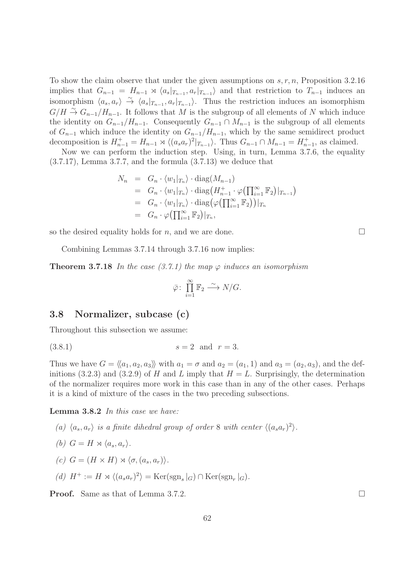To show the claim observe that under the given assumptions on  $s, r, n$ , Proposition 3.2.16 implies that  $G_{n-1} = H_{n-1} \rtimes \langle a_s |_{T_{n-1}}, a_r |_{T_{n-1}} \rangle$  and that restriction to  $T_{n-1}$  induces an isomorphism  $\langle a_s, a_r \rangle \stackrel{\sim}{\rightarrow} \langle a_s |_{T_{n-1}}, a_r |_{T_{n-1}} \rangle$ . Thus the restriction induces an isomorphism  $G/H \stackrel{\sim}{\to} G_{n-1}/H_{n-1}$ . It follows that M is the subgroup of all elements of N which induce the identity on  $G_{n-1}/H_{n-1}$ . Consequently  $G_{n-1} \cap M_{n-1}$  is the subgroup of all elements of  $G_{n-1}$  which induce the identity on  $G_{n-1}/H_{n-1}$ , which by the same semidirect product decomposition is  $H_{n-1}^+ = H_{n-1} \rtimes \langle (a_s a_r)^2 |_{T_{n-1}} \rangle$ . Thus  $G_{n-1} \cap M_{n-1} = H_{n-1}^+$ , as claimed.

Now we can perform the induction step. Using, in turn, Lemma 3.7.6, the equality (3.7.17), Lemma 3.7.7, and the formula (3.7.13) we deduce that

$$
N_n = G_n \cdot \langle w_1 |_{T_n} \rangle \cdot \text{diag}(M_{n-1})
$$
  
\n
$$
= G_n \cdot \langle w_1 |_{T_n} \rangle \cdot \text{diag}(H_{n-1}^+ \cdot \varphi(\prod_{i=1}^\infty \mathbb{F}_2) |_{T_{n-1}})
$$
  
\n
$$
= G_n \cdot \langle w_1 |_{T_n} \rangle \cdot \text{diag}(\varphi(\prod_{i=1}^\infty \mathbb{F}_2)) |_{T_n}
$$
  
\n
$$
= G_n \cdot \varphi(\prod_{i=1}^\infty \mathbb{F}_2) |_{T_n},
$$

so the desired equality holds for n, and we are done.

Combining Lemmas 3.7.14 through 3.7.16 now implies:

**Theorem 3.7.18** In the case (3.7.1) the map  $\varphi$  induces an isomorphism

$$
\bar{\varphi} \colon \prod_{i=1}^{\infty} \mathbb{F}_2 \xrightarrow{\sim} N/G.
$$

### 3.8 Normalizer, subcase (c)

Throughout this subsection we assume:

$$
(3.8.1) \t\t s = 2 \t and \t r = 3.
$$

Thus we have  $G = \langle \langle a_1, a_2, a_3 \rangle \rangle$  with  $a_1 = \sigma$  and  $a_2 = (a_1, 1)$  and  $a_3 = (a_2, a_3)$ , and the definitions (3.2.3) and (3.2.9) of H and L imply that  $H = L$ . Surprisingly, the determination of the normalizer requires more work in this case than in any of the other cases. Perhaps it is a kind of mixture of the cases in the two preceding subsections.

Lemma 3.8.2 In this case we have:

(a)  $\langle a_s, a_r \rangle$  is a finite dihedral group of order 8 with center  $\langle (a_s a_r)^2 \rangle$ . (b)  $G = H \rtimes \langle a_s, a_r \rangle$ . (c)  $G = (H \times H) \rtimes \langle \sigma, (a_s, a_r) \rangle$ .

(d) 
$$
H^+ := H \rtimes \langle (a_s a_r)^2 \rangle = \text{Ker}(\text{sgn}_s|_G) \cap \text{Ker}(\text{sgn}_r|_G).
$$

**Proof.** Same as that of Lemma 3.7.2. □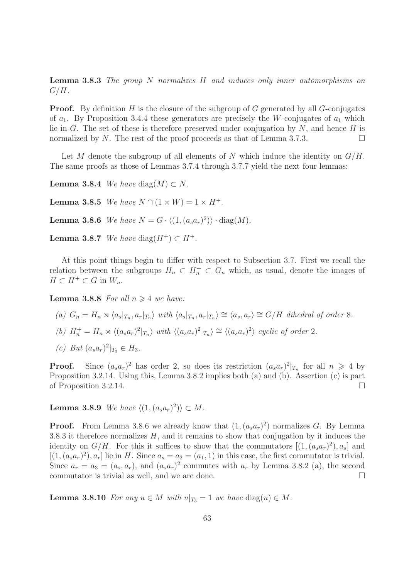Lemma 3.8.3 The group N normalizes H and induces only inner automorphisms on  $G/H$ .

**Proof.** By definition  $H$  is the closure of the subgroup of  $G$  generated by all  $G$ -conjugates of  $a_1$ . By Proposition 3.4.4 these generators are precisely the W-conjugates of  $a_1$  which lie in G. The set of these is therefore preserved under conjugation by  $N$ , and hence H is normalized by N. The rest of the proof proceeds as that of Lemma 3.7.3.

Let M denote the subgroup of all elements of N which induce the identity on  $G/H$ . The same proofs as those of Lemmas 3.7.4 through 3.7.7 yield the next four lemmas:

Lemma 3.8.4 We have diag $(M) \subset N$ .

**Lemma 3.8.5** We have  $N \cap (1 \times W) = 1 \times H^+$ .

**Lemma 3.8.6** We have  $N = G \cdot \langle (1, (a_s a_r)^2) \rangle \cdot diag(M)$ .

Lemma 3.8.7 We have diag( $H^+$ )  $\subset H^+$ .

At this point things begin to differ with respect to Subsection 3.7. First we recall the relation between the subgroups  $H_n \subset H_n^+ \subset G_n$  which, as usual, denote the images of  $H \subset H^+ \subset G$  in  $W_n$ .

**Lemma 3.8.8** For all  $n \geq 4$  we have:

(a) 
$$
G_n = H_n \rtimes \langle a_s |_{T_n}, a_r |_{T_n} \rangle
$$
 with  $\langle a_s |_{T_n}, a_r |_{T_n} \rangle \cong \langle a_s, a_r \rangle \cong G/H$  dihedral of order 8.

- (b)  $H_n^+ = H_n \rtimes \langle (a_s a_r)^2 |_{T_n} \rangle$  with  $\langle (a_s a_r)^2 |_{T_n} \rangle \cong \langle (a_s a_r)^2 \rangle$  cyclic of order 2.
- (c) But  $(a_s a_r)^2|_{T_3} \in H_3$ .

**Proof.** Since  $(a_s a_r)^2$  has order 2, so does its restriction  $(a_s a_r)^2|_{T_n}$  for all  $n \geq 4$  by Proposition 3.2.14. Using this, Lemma 3.8.2 implies both (a) and (b). Assertion (c) is part of Proposition 3.2.14.

**Lemma 3.8.9** We have  $\langle (1, (a_s a_r)^2) \rangle \subset M$ .

**Proof.** From Lemma 3.8.6 we already know that  $(1, (a_s a_r)^2)$  normalizes G. By Lemma 3.8.3 it therefore normalizes  $H$ , and it remains to show that conjugation by it induces the identity on  $G/H$ . For this it suffices to show that the commutators  $[(1,(a_sa_r)^2),a_s]$  and  $[(1, (a<sub>s</sub>a<sub>r</sub>)<sup>2</sup>), a<sub>r</sub>]$  lie in H. Since  $a<sub>s</sub> = a<sub>2</sub> = (a<sub>1</sub>, 1)$  in this case, the first commutator is trivial. Since  $a_r = a_3 = (a_s, a_r)$ , and  $(a_s a_r)^2$  commutes with  $a_r$  by Lemma 3.8.2 (a), the second commutator is trivial as well, and we are done.

**Lemma 3.8.10** For any  $u \in M$  with  $u|_{T_3} = 1$  we have diag(u)  $\in M$ .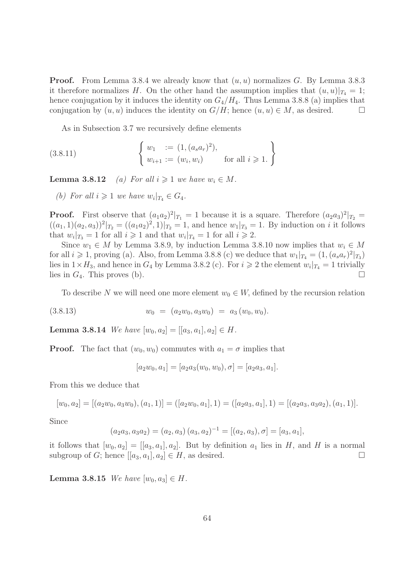**Proof.** From Lemma 3.8.4 we already know that  $(u, u)$  normalizes G. By Lemma 3.8.3 it therefore normalizes H. On the other hand the assumption implies that  $(u, u)|_{T_4} = 1$ ; hence conjugation by it induces the identity on  $G_4/H_4$ . Thus Lemma 3.8.8 (a) implies that conjugation by  $(u, u)$  induces the identity on  $G/H$ ; hence  $(u, u) \in M$ , as desired.

As in Subsection 3.7 we recursively define elements

(3.8.11) 
$$
\begin{cases} w_1 := (1, (a_s a_r)^2), \\ w_{i+1} := (w_i, w_i) \end{cases} \text{ for all } i \geq 1.
$$

**Lemma 3.8.12** (a) For all  $i \geq 1$  we have  $w_i \in M$ .

(b) For all  $i \geqslant 1$  we have  $w_i|_{T_4} \in G_4$ .

**Proof.** First observe that  $(a_1a_2)^2|_{T_1} = 1$  because it is a square. Therefore  $(a_2a_3)^2|_{T_2} =$  $((a_1, 1)(a_2, a_3))^2|_{T_2} = ((a_1a_2)^2, 1)|_{T_2} = 1$ , and hence  $w_1|_{T_3} = 1$ . By induction on *i* it follows that  $w_i|_{T_3} = 1$  for all  $i \geq 1$  and that  $w_i|_{T_4} = 1$  for all  $i \geq 2$ .

Since  $w_1 \in M$  by Lemma 3.8.9, by induction Lemma 3.8.10 now implies that  $w_i \in M$ for all  $i \geqslant 1$ , proving (a). Also, from Lemma 3.8.8 (c) we deduce that  $w_1|_{T_4} = (1, (a_s a_r)^2|_{T_3})$ lies in  $1 \times H_3$ , and hence in  $G_4$  by Lemma 3.8.2 (c). For  $i \geq 2$  the element  $w_i|_{T_4} = 1$  trivially lies in  $G_4$ . This proves (b).

To describe N we will need one more element  $w_0 \in W$ , defined by the recursion relation

$$
(3.8.13) \t w_0 = (a_2w_0, a_3w_0) = a_3(w_0, w_0).
$$

**Lemma 3.8.14** We have  $[w_0, a_2] = [[a_3, a_1], a_2] \in H$ .

**Proof.** The fact that  $(w_0, w_0)$  commutes with  $a_1 = \sigma$  implies that

$$
[a_2w_0, a_1] = [a_2a_3(w_0, w_0), \sigma] = [a_2a_3, a_1].
$$

From this we deduce that

$$
[w_0, a_2] = [(a_2w_0, a_3w_0), (a_1, 1)] = ([a_2w_0, a_1], 1) = ([a_2a_3, a_1], 1) = [(a_2a_3, a_3a_2), (a_1, 1)].
$$

Since

$$
(a_2a_3, a_3a_2) = (a_2, a_3) (a_3, a_2)^{-1} = [(a_2, a_3), \sigma] = [a_3, a_1],
$$

it follows that  $[w_0, a_2] = [[a_3, a_1], a_2]$ . But by definition  $a_1$  lies in H, and H is a normal subgroup of G; hence  $[[a_3, a_1], a_2] \in H$ , as desired.

**Lemma 3.8.15** We have  $[w_0, a_3] \in H$ .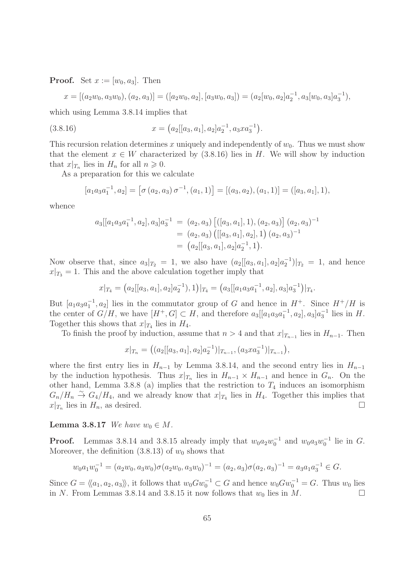**Proof.** Set  $x := [w_0, a_3]$ . Then

$$
x = [(a_2w_0, a_3w_0), (a_2, a_3)] = ([a_2w_0, a_2], [a_3w_0, a_3]) = (a_2[w_0, a_2]a_2^{-1}, a_3[w_0, a_3]a_3^{-1}),
$$

which using Lemma 3.8.14 implies that

(3.8.16) 
$$
x = (a_2[[a_3, a_1], a_2]a_2^{-1}, a_3xa_3^{-1}).
$$

This recursion relation determines x uniquely and independently of  $w_0$ . Thus we must show that the element  $x \in W$  characterized by (3.8.16) lies in H. We will show by induction that  $x|_{T_n}$  lies in  $H_n$  for all  $n \geqslant 0$ .

As a preparation for this we calculate

$$
[a_1a_3a_1^{-1}, a_2] = [\sigma(a_2, a_3)\,\sigma^{-1}, (a_1, 1)] = [(a_3, a_2), (a_1, 1)] = ([a_3, a_1], 1),
$$

whence

$$
a_3[[a_1a_3a_1^{-1}, a_2], a_3]a_3^{-1} = (a_2, a_3) [([a_3, a_1], 1), (a_2, a_3)] (a_2, a_3)^{-1}
$$
  
=  $(a_2, a_3) ([[a_3, a_1], a_2], 1) (a_2, a_3)^{-1}$   
=  $(a_2[[a_3, a_1], a_2]a_2^{-1}, 1).$ 

Now observe that, since  $a_3|_{T_2} = 1$ , we also have  $(a_2[[a_3, a_1], a_2]a_2^{-1})|_{T_2} = 1$ , and hence  $x|_{T_3} = 1$ . This and the above calculation together imply that

$$
x|_{T_4} = (a_2[[a_3, a_1], a_2]a_2^{-1}), 1)|_{T_4} = (a_3[[a_1a_3a_1^{-1}, a_2], a_3]a_3^{-1})|_{T_4}.
$$

But  $[a_1a_3a_1^{-1}, a_2]$  lies in the commutator group of G and hence in  $H^+$ . Since  $H^+/H$  is the center of  $G/H$ , we have  $[H^+, G] \subset H$ , and therefore  $a_3[[a_1a_3a_1^{-1}, a_2], a_3]a_3^{-1}$  lies in H. Together this shows that  $x|_{T_4}$  lies in  $H_4$ .

To finish the proof by induction, assume that  $n > 4$  and that  $x|_{T_{n-1}}$  lies in  $H_{n-1}$ . Then

$$
x|_{T_n} = ((a_2[[a_3,a_1],a_2]a_2^{-1})|_{T_{n-1}}, (a_3xa_3^{-1})|_{T_{n-1}}),
$$

where the first entry lies in  $H_{n-1}$  by Lemma 3.8.14, and the second entry lies in  $H_{n-1}$ by the induction hypothesis. Thus  $x|_{T_n}$  lies in  $H_{n-1} \times H_{n-1}$  and hence in  $G_n$ . On the other hand, Lemma 3.8.8 (a) implies that the restriction to  $T_4$  induces an isomorphism  $G_n/H_n \stackrel{\sim}{\to} G_4/H_4$ , and we already know that  $x|_{T_4}$  lies in  $H_4$ . Together this implies that  $x|_{T_n}$  lies in  $H_n$ , as desired.

#### Lemma 3.8.17 We have  $w_0 \in M$ .

**Proof.** Lemmas 3.8.14 and 3.8.15 already imply that  $w_0 a_2 w_0^{-1}$  and  $w_0 a_3 w_0^{-1}$  lie in G. Moreover, the definition  $(3.8.13)$  of  $w_0$  shows that

$$
w_0 a_1 w_0^{-1} = (a_2 w_0, a_3 w_0) \sigma (a_2 w_0, a_3 w_0)^{-1} = (a_2, a_3) \sigma (a_2, a_3)^{-1} = a_3 a_1 a_3^{-1} \in G.
$$

Since  $G = \langle\langle a_1, a_2, a_3 \rangle\rangle$ , it follows that  $w_0 G w_0^{-1} \subset G$  and hence  $w_0 G w_0^{-1} = G$ . Thus  $w_0$  lies in N. From Lemmas 3.8.14 and 3.8.15 it now follows that  $w_0$  lies in M.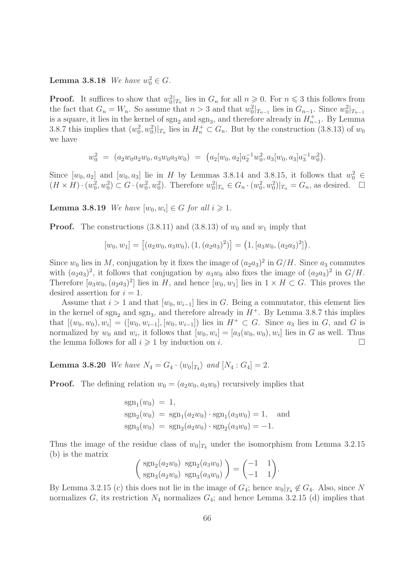# **Lemma 3.8.18** We have  $w_0^2 \in G$ .

**Proof.** It suffices to show that  $w_0^2|_{T_n}$  lies in  $G_n$  for all  $n \geq 0$ . For  $n \leq 3$  this follows from the fact that  $G_n = W_n$ . So assume that  $n > 3$  and that  $w_0^2|_{T_{n-1}}$  lies in  $G_{n-1}$ . Since  $w_0^2|_{T_{n-1}}$ is a square, it lies in the kernel of  $sgn_2$  and  $sgn_3$ , and therefore already in  $H_{n-1}^+$ . By Lemma 3.8.7 this implies that  $(w_0^2, w_0^2)|_{T_n}$  lies in  $H_n^+ \subset G_n$ . But by the construction (3.8.13) of  $w_0$ we have

$$
w_0^2 = (a_2w_0a_2w_0, a_3w_0a_3w_0) = (a_2[w_0, a_2]a_2^{-1}w_0^2, a_3[w_0, a_3]a_3^{-1}w_0^2).
$$

Since  $[w_0, a_2]$  and  $[w_0, a_3]$  lie in H by Lemmas 3.8.14 and 3.8.15, it follows that  $w_0^2 \in$  $(H \times H) \cdot (w_0^2, w_0^2) \subset G \cdot (w_0^2, w_0^2)$ . Therefore  $w_0^2 |_{T_n} \in G_n \cdot (w_0^2, w_0^2) |_{T_n} = G_n$ , as desired.  $\Box$ 

**Lemma 3.8.19** We have  $[w_0, w_i] \in G$  for all  $i \geq 1$ .

**Proof.** The constructions (3.8.11) and (3.8.13) of  $w_0$  and  $w_1$  imply that

$$
[w_0, w_1] = [(a_2w_0, a_3w_0), (1, (a_2a_3)^2)] = (1, [a_3w_0, (a_2a_3)^2]).
$$

Since  $w_0$  lies in M, conjugation by it fixes the image of  $(a_2a_3)^2$  in  $G/H$ . Since  $a_3$  commutes with  $(a_2a_3)^2$ , it follows that conjugation by  $a_3w_0$  also fixes the image of  $(a_2a_3)^2$  in  $G/H$ . Therefore  $[a_3w_0, (a_2a_3)^2]$  lies in H, and hence  $[w_0, w_1]$  lies in  $1 \times H \subset G$ . This proves the desired assertion for  $i = 1$ .

Assume that  $i > 1$  and that  $[w_0, w_{i-1}]$  lies in G. Being a commutator, this element lies in the kernel of  $sgn_2$  and  $sgn_3$ , and therefore already in  $H^+$ . By Lemma 3.8.7 this implies that  $[(w_0, w_0), w_i] = ([w_0, w_{i-1}], [w_0, w_{i-1}])$  lies in  $H^+ \subset G$ . Since  $a_3$  lies in  $G$ , and  $G$  is normalized by  $w_0$  and  $w_i$ , it follows that  $[w_0, w_i] = [a_3(w_0, w_0), w_i]$  lies in G as well. Thus the lemma follows for all  $i \geqslant 1$  by induction on i.

**Lemma 3.8.20** We have  $N_4 = G_4 \cdot \langle w_0 |_{T_4} \rangle$  and  $[N_4 : G_4] = 2$ .

**Proof.** The defining relation  $w_0 = (a_2w_0, a_3w_0)$  recursively implies that

$$
sgn_1(w_0) = 1,
$$
  
\n
$$
sgn_2(w_0) = sgn_1(a_2w_0) \cdot sgn_1(a_3w_0) = 1,
$$
 and  
\n
$$
sgn_3(w_0) = sgn_2(a_2w_0) \cdot sgn_2(a_3w_0) = -1.
$$

Thus the image of the residue class of  $w_0|_{T_4}$  under the isomorphism from Lemma 3.2.15 (b) is the matrix

$$
\begin{pmatrix} \text{sgn}_2(a_2w_0) & \text{sgn}_2(a_3w_0) \\ \text{sgn}_3(a_2w_0) & \text{sgn}_3(a_3w_0) \end{pmatrix} = \begin{pmatrix} -1 & 1 \\ -1 & 1 \end{pmatrix}.
$$

By Lemma 3.2.15 (c) this does not lie in the image of  $G_4$ ; hence  $w_0|_{T_4} \notin G_4$ . Also, since N normalizes  $G$ , its restriction  $N_4$  normalizes  $G_4$ ; and hence Lemma 3.2.15 (d) implies that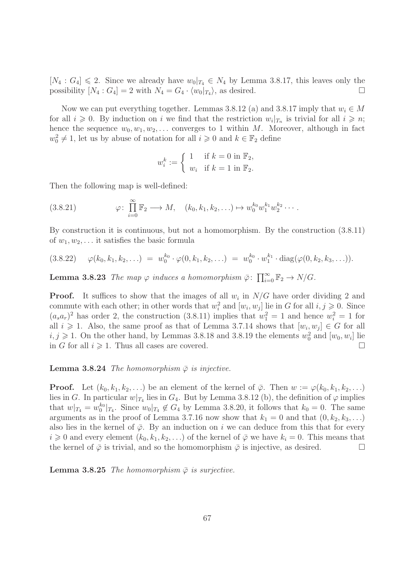$[N_4: G_4] \leq 2$ . Since we already have  $w_0|_{T_4} \in N_4$  by Lemma 3.8.17, this leaves only the possibility  $[N_4:G_4]=2$  with  $N_4=G_4\cdot \langle w_0|_{T_4}\rangle$ , as desired.

Now we can put everything together. Lemmas 3.8.12 (a) and 3.8.17 imply that  $w_i \in M$ for all  $i \geqslant 0$ . By induction on i we find that the restriction  $w_i|_{T_n}$  is trivial for all  $i \geqslant n$ ; hence the sequence  $w_0, w_1, w_2, \ldots$  converges to 1 within M. Moreover, although in fact  $w_0^2 \neq 1$ , let us by abuse of notation for all  $i \geq 0$  and  $k \in \mathbb{F}_2$  define

$$
w_i^k := \begin{cases} 1 & \text{if } k = 0 \text{ in } \mathbb{F}_2, \\ w_i & \text{if } k = 1 \text{ in } \mathbb{F}_2. \end{cases}
$$

Then the following map is well-defined:

$$
(3.8.21) \qquad \varphi: \prod_{i=0}^{\infty} \mathbb{F}_2 \longrightarrow M, \quad (k_0, k_1, k_2, \ldots) \mapsto w_0^{k_0} w_1^{k_1} w_2^{k_2} \cdots
$$

By construction it is continuous, but not a homomorphism. By the construction (3.8.11) of  $w_1, w_2, \ldots$  it satisfies the basic formula

$$
(3.8.22) \quad \varphi(k_0, k_1, k_2, \ldots) = w_0^{k_0} \cdot \varphi(0, k_1, k_2, \ldots) = w_0^{k_0} \cdot w_1^{k_1} \cdot \text{diag}(\varphi(0, k_2, k_3, \ldots)).
$$

**Lemma 3.8.23** The map  $\varphi$  induces a homomorphism  $\bar{\varphi}$ :  $\prod_{i=0}^{\infty} \mathbb{F}_2 \to N/G$ .

**Proof.** It suffices to show that the images of all  $w_i$  in  $N/G$  have order dividing 2 and commute with each other; in other words that  $w_i^2$  and  $[w_i, w_j]$  lie in G for all  $i, j \geqslant 0$ . Since  $(a_s a_r)^2$  has order 2, the construction (3.8.11) implies that  $w_1^2 = 1$  and hence  $w_i^2 = 1$  for all  $i \geqslant 1$ . Also, the same proof as that of Lemma 3.7.14 shows that  $[w_i, w_j] \in G$  for all  $i, j \geqslant 1$ . On the other hand, by Lemmas 3.8.18 and 3.8.19 the elements  $w_0^2$  and  $[w_0, w_i]$  lie in G for all  $i \geqslant 1$ . Thus all cases are covered.

**Lemma 3.8.24** The homomorphism  $\bar{\varphi}$  is injective.

**Proof.** Let  $(k_0, k_1, k_2, \ldots)$  be an element of the kernel of  $\overline{\varphi}$ . Then  $w := \varphi(k_0, k_1, k_2, \ldots)$ lies in G. In particular  $w|_{T_4}$  lies in  $G_4$ . But by Lemma 3.8.12 (b), the definition of  $\varphi$  implies that  $w|_{T_4} = w_0^{k_0}|_{T_4}$ . Since  $w_0|_{T_4} \notin G_4$  by Lemma 3.8.20, it follows that  $k_0 = 0$ . The same arguments as in the proof of Lemma 3.7.16 now show that  $k_1 = 0$  and that  $(0, k_2, k_3, ...)$ also lies in the kernel of  $\bar{\varphi}$ . By an induction on i we can deduce from this that for every  $i \geq 0$  and every element  $(k_0, k_1, k_2, ...)$  of the kernel of  $\overline{\varphi}$  we have  $k_i = 0$ . This means that the kernel of  $\bar{\varphi}$  is trivial, and so the homomorphism  $\bar{\varphi}$  is injective, as desired.

**Lemma 3.8.25** The homomorphism  $\bar{\varphi}$  is surjective.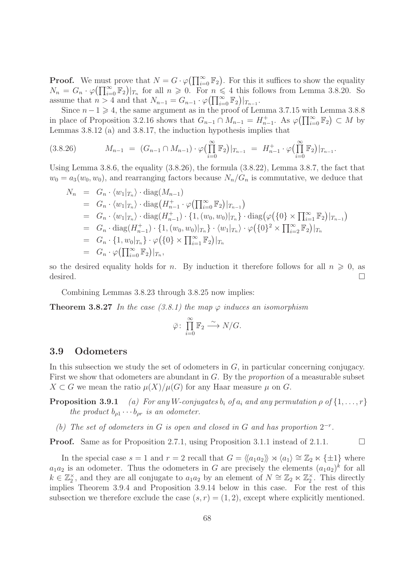**Proof.** We must prove that  $N = G \cdot \varphi(\prod_{i=0}^{\infty} \mathbb{F}_2)$ . For this it suffices to show the equality  $N_n = G_n \cdot \varphi(\prod_{i=0}^{\infty} \mathbb{F}_2)|_{T_n}$  for all  $n \geqslant 0$ . For  $n \leqslant 4$  this follows from Lemma 3.8.20. So assume that  $n > 4$  and that  $N_{n-1} = G_{n-1} \cdot \varphi(\prod_{i=0}^{\infty} \mathbb{F}_2)|_{T_{n-1}}$ .

Since  $n-1 \geq 4$ , the same argument as in the proof of Lemma 3.7.15 with Lemma 3.8.8 in place of Proposition 3.2.16 shows that  $G_{n-1} \cap M_{n-1} = H_{n-1}^+$ . As  $\varphi(\prod_{i=0}^{\infty} \mathbb{F}_2) \subset M$  by Lemmas 3.8.12 (a) and 3.8.17, the induction hypothesis implies that

$$
(3.8.26) \t\t M_{n-1} = (G_{n-1} \cap M_{n-1}) \cdot \varphi\left(\prod_{i=0}^{\infty} \mathbb{F}_2\right)|_{T_{n-1}} = H_{n-1}^+ \cdot \varphi\left(\prod_{i=0}^{\infty} \mathbb{F}_2\right)|_{T_{n-1}}.
$$

Using Lemma 3.8.6, the equality (3.8.26), the formula (3.8.22), Lemma 3.8.7, the fact that  $w_0 = a_3(w_0, w_0)$ , and rearranging factors because  $N_n/G_n$  is commutative, we deduce that

$$
N_n = G_n \cdot \langle w_1 |_{T_n} \rangle \cdot \text{diag}(M_{n-1})
$$
  
\n
$$
= G_n \cdot \langle w_1 |_{T_n} \rangle \cdot \text{diag}(H_{n-1}^+ \cdot \varphi(\prod_{i=0}^{\infty} \mathbb{F}_2) |_{T_{n-1}})
$$
  
\n
$$
= G_n \cdot \langle w_1 |_{T_n} \rangle \cdot \text{diag}(H_{n-1}^+) \cdot \{1, (w_0, w_0) |_{T_n}\} \cdot \text{diag}(\varphi(\{0\} \times \prod_{i=1}^{\infty} \mathbb{F}_2) |_{T_{n-1}})
$$
  
\n
$$
= G_n \cdot \text{diag}(H_{n-1}^+) \cdot \{1, (w_0, w_0) |_{T_n}\} \cdot \langle w_1 |_{T_n} \rangle \cdot \varphi(\{0\}^2 \times \prod_{i=2}^{\infty} \mathbb{F}_2) |_{T_n}
$$
  
\n
$$
= G_n \cdot \{1, w_0 |_{T_n}\} \cdot \varphi(\{0\} \times \prod_{i=1}^{\infty} \mathbb{F}_2) |_{T_n}
$$
  
\n
$$
= G_n \cdot \varphi(\prod_{i=0}^{\infty} \mathbb{F}_2) |_{T_n},
$$

so the desired equality holds for n. By induction it therefore follows for all  $n \geq 0$ , as desired.  $\Box$ 

Combining Lemmas 3.8.23 through 3.8.25 now implies:

**Theorem 3.8.27** In the case (3.8.1) the map  $\varphi$  induces an isomorphism

$$
\bar{\varphi} \colon \prod_{i=0}^{\infty} \mathbb{F}_2 \xrightarrow{\sim} N/G.
$$

### 3.9 Odometers

In this subsection we study the set of odometers in  $G$ , in particular concerning conjugacy. First we show that odometers are abundant in G. By the proportion of a measurable subset  $X \subset G$  we mean the ratio  $\mu(X)/\mu(G)$  for any Haar measure  $\mu$  on G.

**Proposition 3.9.1** (a) For any W-conjugates  $b_i$  of  $a_i$  and any permutation  $\rho$  of  $\{1, \ldots, r\}$ the product  $b_{\rho 1} \cdots b_{\rho r}$  is an odometer.

(b) The set of odometers in G is open and closed in G and has proportion  $2^{-r}$ .

**Proof.** Same as for Proposition 2.7.1, using Proposition 3.1.1 instead of 2.1.1.

In the special case  $s = 1$  and  $r = 2$  recall that  $G = \langle \langle a_1 a_2 \rangle \rangle \rtimes \langle a_1 \rangle \cong \mathbb{Z}_2 \ltimes \{\pm 1\}$  where  $a_1a_2$  is an odometer. Thus the odometers in G are precisely the elements  $(a_1a_2)^k$  for all  $k \in \mathbb{Z}_2^{\times}$ , and they are all conjugate to  $a_1a_2$  by an element of  $N \cong \mathbb{Z}_2 \ltimes \mathbb{Z}_2^{\times}$ . This directly implies Theorem 3.9.4 and Proposition 3.9.14 below in this case. For the rest of this subsection we therefore exclude the case  $(s, r) = (1, 2)$ , except where explicitly mentioned.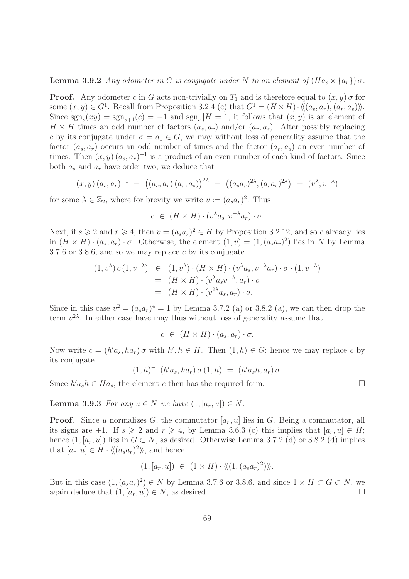**Lemma 3.9.2** Any odometer in G is conjugate under N to an element of  $(Ha_s \times \{a_r\})\sigma$ .

**Proof.** Any odometer c in G acts non-trivially on  $T_1$  and is therefore equal to  $(x, y)$  of for some  $(x, y) \in G^1$ . Recall from Proposition 3.2.4 (c) that  $G^1 = (H \times H) \cdot \langle (a_s, a_r), (a_r, a_s) \rangle$ . Since  $sgn_s(xy) = sgn_{s+1}(c) = -1$  and  $sgn_s$  |H = 1, it follows that  $(x, y)$  is an element of  $H \times H$  times an odd number of factors  $(a_s, a_r)$  and/or  $(a_r, a_s)$ . After possibly replacing c by its conjugate under  $\sigma = a_1 \in G$ , we may without loss of generality assume that the factor  $(a_s, a_r)$  occurs an odd number of times and the factor  $(a_r, a_s)$  an even number of times. Then  $(x, y)$   $(a_s, a_r)^{-1}$  is a product of an even number of each kind of factors. Since both  $a_s$  and  $a_r$  have order two, we deduce that

$$
(x, y) (a_s, a_r)^{-1} = ((a_s, a_r) (a_r, a_s))^{2\lambda} = ((a_s a_r)^{2\lambda}, (a_r a_s)^{2\lambda}) = (v^{\lambda}, v^{-\lambda})
$$

for some  $\lambda \in \mathbb{Z}_2$ , where for brevity we write  $v := (a_s a_r)^2$ . Thus

$$
c \in (H \times H) \cdot (v^{\lambda} a_s, v^{-\lambda} a_r) \cdot \sigma.
$$

Next, if  $s \geqslant 2$  and  $r \geqslant 4$ , then  $v = (a_s a_r)^2 \in H$  by Proposition 3.2.12, and so c already lies in  $(H \times H) \cdot (a_s, a_r) \cdot \sigma$ . Otherwise, the element  $(1, v) = (1, (a_s a_r)^2)$  lies in N by Lemma 3.7.6 or 3.8.6, and so we may replace c by its conjugate

$$
(1, v^{\lambda}) c (1, v^{-\lambda}) \in (1, v^{\lambda}) \cdot (H \times H) \cdot (v^{\lambda} a_s, v^{-\lambda} a_r) \cdot \sigma \cdot (1, v^{-\lambda})
$$
  
= 
$$
(H \times H) \cdot (v^{\lambda} a_s v^{-\lambda}, a_r) \cdot \sigma
$$
  
= 
$$
(H \times H) \cdot (v^{2\lambda} a_s, a_r) \cdot \sigma.
$$

Since in this case  $v^2 = (a_s a_r)^4 = 1$  by Lemma 3.7.2 (a) or 3.8.2 (a), we can then drop the term  $v^{2\lambda}$ . In either case have may thus without loss of generality assume that

$$
c \in (H \times H) \cdot (a_s, a_r) \cdot \sigma.
$$

Now write  $c = (h'a_s, ha_r)\sigma$  with  $h', h \in H$ . Then  $(1,h) \in G$ ; hence we may replace c by its conjugate

$$
(1,h)^{-1} (h'a_s, ha_r) \sigma (1,h) = (h'a_s h, a_r) \sigma.
$$

Since  $h'a_s h \in Ha_s$ , the element c then has the required form.

**Lemma 3.9.3** For any  $u \in N$  we have  $(1, [a_r, u]) \in N$ .

**Proof.** Since u normalizes G, the commutator  $[a_r, u]$  lies in G. Being a commutator, all its signs are +1. If  $s \ge 2$  and  $r \ge 4$ , by Lemma 3.6.3 (c) this implies that  $[a_r, u] \in H$ ; hence  $(1, [a_r, u])$  lies in  $G \subset N$ , as desired. Otherwise Lemma 3.7.2 (d) or 3.8.2 (d) implies that  $[a_r, u] \in H \cdot \langle \langle (a_s a_r)^2 \rangle \rangle$ , and hence

$$
(1,[a_r,u]) \in (1 \times H) \cdot \langle (1,(a_s a_r)^2) \rangle.
$$

But in this case  $(1, (a_s a_r)^2) \in N$  by Lemma 3.7.6 or 3.8.6, and since  $1 \times H \subset G \subset N$ , we again deduce that  $(1, [a_r, u]) \in N$ , as desired.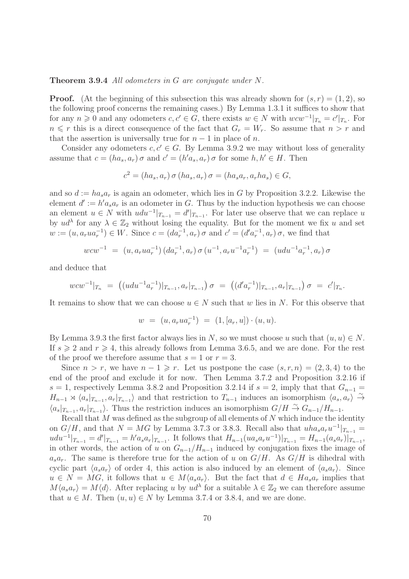#### Theorem 3.9.4 All odometers in G are conjugate under N.

**Proof.** (At the beginning of this subsection this was already shown for  $(s, r) = (1, 2)$ , so the following proof concerns the remaining cases.) By Lemma 1.3.1 it suffices to show that for any  $n \geq 0$  and any odometers  $c, c' \in G$ , there exists  $w \in N$  with  $wcw^{-1}|_{T_n} = c'|_{T_n}$ . For  $n \leq r$  this is a direct consequence of the fact that  $G_r = W_r$ . So assume that  $n > r$  and that the assertion is universally true for  $n-1$  in place of n.

Consider any odometers  $c, c' \in G$ . By Lemma 3.9.2 we may without loss of generality assume that  $c = (ha_s, a_r) \sigma$  and  $c' = (h'a_s, a_r) \sigma$  for some  $h, h' \in H$ . Then

$$
c2 = (has, ar) \sigma (has, ar) \sigma = (hasar, arhas) \in G,
$$

and so  $d := ha_s a_r$  is again an odometer, which lies in G by Proposition 3.2.2. Likewise the element  $d' := h' a_s a_r$  is an odometer in G. Thus by the induction hypothesis we can choose an element  $u \in N$  with  $udu^{-1}|_{T_{n-1}} = d'|_{T_{n-1}}$ . For later use observe that we can replace u by  $ud^{\lambda}$  for any  $\lambda \in \mathbb{Z}_2$  without losing the equality. But for the moment we fix u and set  $w := (u, a_r u a_r^{-1}) \in W$ . Since  $c = (da_r^{-1}, a_r) \sigma$  and  $c' = (d' a_r^{-1}, a_r) \sigma$ , we find that

$$
wcw^{-1} = (u, a_rua_r^{-1}) (da_r^{-1}, a_r) \sigma (u^{-1}, a_ru^{-1}a_r^{-1}) = (udu^{-1}a_r^{-1}, a_r) \sigma
$$

and deduce that

$$
wcw^{-1}|_{T_n} = ((udu^{-1}a_r^{-1})|_{T_{n-1}}, a_r|_{T_{n-1}}) \sigma = ((d'a_r^{-1})|_{T_{n-1}}, a_r|_{T_{n-1}}) \sigma = c'|_{T_n}.
$$

It remains to show that we can choose  $u \in N$  such that w lies in N. For this observe that

$$
w = (u, a_r u a_r^{-1}) = (1, [a_r, u]) \cdot (u, u).
$$

By Lemma 3.9.3 the first factor always lies in N, so we must choose u such that  $(u, u) \in N$ . If  $s \geqslant 2$  and  $r \geqslant 4$ , this already follows from Lemma 3.6.5, and we are done. For the rest of the proof we therefore assume that  $s = 1$  or  $r = 3$ .

Since  $n > r$ , we have  $n - 1 \geq r$ . Let us postpone the case  $(s, r, n) = (2, 3, 4)$  to the end of the proof and exclude it for now. Then Lemma 3.7.2 and Proposition 3.2.16 if s = 1, respectively Lemma 3.8.2 and Proposition 3.2.14 if  $s = 2$ , imply that that  $G_{n-1}$  =  $H_{n-1} \rtimes \langle a_s |_{T_{n-1}}, a_r |_{T_{n-1}} \rangle$  and that restriction to  $T_{n-1}$  induces an isomorphism  $\langle a_s, a_r \rangle \overset{\sim}{\rightarrow}$  $\langle a_s|_{T_{n-1}}, a_r|_{T_{n-1}}\rangle$ . Thus the restriction induces an isomorphism  $G/H \stackrel{\sim}{\rightarrow} G_{n-1}/H_{n-1}$ .

Recall that  $M$  was defined as the subgroup of all elements of  $N$  which induce the identity on  $G/H$ , and that  $N = MG$  by Lemma 3.7.3 or 3.8.3. Recall also that  $uha_sa_ru^{-1}|_{T_{n-1}} =$  $udu^{-1}|_{T_{n-1}} = d'|_{T_{n-1}} = h'a_s a_r|_{T_{n-1}}$ . It follows that  $H_{n-1}(ua_sa_ru^{-1})|_{T_{n-1}} = H_{n-1}(a_sa_r)|_{T_{n-1}}$ , in other words, the action of u on  $G_{n-1}/H_{n-1}$  induced by conjugation fixes the image of  $a_s a_r$ . The same is therefore true for the action of u on  $G/H$ . As  $G/H$  is dihedral with cyclic part  $\langle a_s a_r \rangle$  of order 4, this action is also induced by an element of  $\langle a_s a_r \rangle$ . Since  $u \in N = MG$ , it follows that  $u \in M\langle a_s a_r \rangle$ . But the fact that  $d \in Ha_s a_r$  implies that  $M\langle a_s a_r\rangle = M\langle d\rangle$ . After replacing u by  $ud^{\lambda}$  for a suitable  $\lambda \in \mathbb{Z}_2$  we can therefore assume that  $u \in M$ . Then  $(u, u) \in N$  by Lemma 3.7.4 or 3.8.4, and we are done.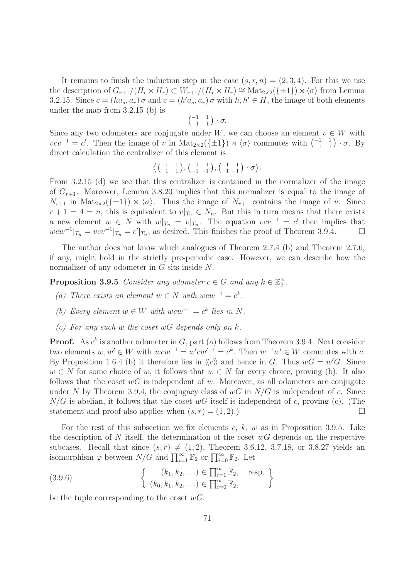It remains to finish the induction step in the case  $(s, r, n) = (2, 3, 4)$ . For this we use the description of  $G_{r+1}/(H_r \times H_r) \subset W_{r+1}/(H_r \times H_r) \cong \text{Mat}_{2 \times 2}(\{\pm 1\}) \rtimes \langle \sigma \rangle$  from Lemma 3.2.15. Since  $c = (ha_s, a_r) \sigma$  and  $c = (h'a_s, a_r) \sigma$  with  $h, h' \in H$ , the image of both elements under the map from 3.2.15 (b) is

$$
\begin{pmatrix} -1 & 1 \\ 1 & -1 \end{pmatrix} \cdot \sigma.
$$

Since any two odometers are conjugate under W, we can choose an element  $v \in W$  with  $vcv^{-1} = c'$ . Then the image of v in Mat<sub>2×2</sub>({ $\pm 1$ })  $\rtimes \langle \sigma \rangle$  commutes with  $\begin{pmatrix} -1 & 1 \\ 1 & -1 \end{pmatrix} \cdot \sigma$ . By direct calculation the centralizer of this element is

$$
\left\langle \begin{pmatrix} -1 & -1 \\ 1 & 1 \end{pmatrix}, \begin{pmatrix} 1 & 1 \\ -1 & -1 \end{pmatrix}, \begin{pmatrix} -1 & 1 \\ 1 & -1 \end{pmatrix} \cdot \sigma \right\rangle.
$$

From 3.2.15 (d) we see that this centralizer is contained in the normalizer of the image of  $G_{r+1}$ . Moreover, Lemma 3.8.20 implies that this normalizer is equal to the image of  $N_{r+1}$  in  $\text{Mat}_{2\times 2}(\{\pm 1\}) \rtimes \langle \sigma \rangle$ . Thus the image of  $N_{r+1}$  contains the image of v. Since  $r + 1 = 4 = n$ , this is equivalent to  $v|_{T_n} \in N_n$ . But this in turn means that there exists a new element  $w \in N$  with  $w|_{T_n} = v|_{T_n}$ . The equation  $vcv^{-1} = c'$  then implies that  $wcw^{-1}|_{T_n} = vcv^{-1}|_{T_n} = c'|_{T_n}$ , as desired. This finishes the proof of Theorem 3.9.4.  $\Box$ 

The author does not know which analogues of Theorem 2.7.4 (b) and Theorem 2.7.6, if any, might hold in the strictly pre-periodic case. However, we can describe how the normalizer of any odometer in G sits inside N.

**Proposition 3.9.5** Consider any odometer  $c \in G$  and any  $k \in \mathbb{Z}_2^{\times}$ .

- (a) There exists an element  $w \in N$  with  $wcw^{-1} = c^k$ .
- (b) Every element  $w \in W$  with  $wcw^{-1} = c^k$  lies in N.
- (c) For any such w the coset  $wG$  depends only on k.

**Proof.** As  $c^k$  is another odometer in  $G$ , part (a) follows from Theorem 3.9.4. Next consider two elements  $w, w' \in W$  with  $wcw^{-1} = w'cw'^{-1} = c^k$ . Then  $w^{-1}w' \in W$  commutes with c. By Proposition 1.6.4 (b) it therefore lies in  $\langle c \rangle$  and hence in G. Thus  $wG = w'G$ . Since  $w \in N$  for some choice of w, it follows that  $w \in N$  for every choice, proving (b). It also follows that the coset  $wG$  is independent of w. Moreover, as all odometers are conjugate under N by Theorem 3.9.4, the conjugacy class of  $wG$  in  $N/G$  is independent of c. Since  $N/G$  is abelian, it follows that the coset wG itself is independent of c, proving (c). (The statement and proof also applies when  $(s, r) = (1, 2)$ .

For the rest of this subsection we fix elements c, k, w as in Proposition 3.9.5. Like the description of N itself, the determination of the coset  $wG$  depends on the respective subcases. Recall that since  $(s, r) \neq (1, 2)$ , Theorem 3.6.12, 3.7.18, or 3.8.27 yields an isomorphism  $\bar{\varphi}$  between  $N/G$  and  $\prod_{i=1}^{\infty} \mathbb{F}_2$  or  $\prod_{i=0}^{\infty} \mathbb{F}_2$ . Let

(3.9.6) 
$$
\begin{cases} (k_1, k_2, \ldots) \in \prod_{i=1}^{\infty} \mathbb{F}_2, & \text{resp.} \\ (k_0, k_1, k_2, \ldots) \in \prod_{i=0}^{\infty} \mathbb{F}_2, \end{cases}
$$

be the tuple corresponding to the coset  $wG$ .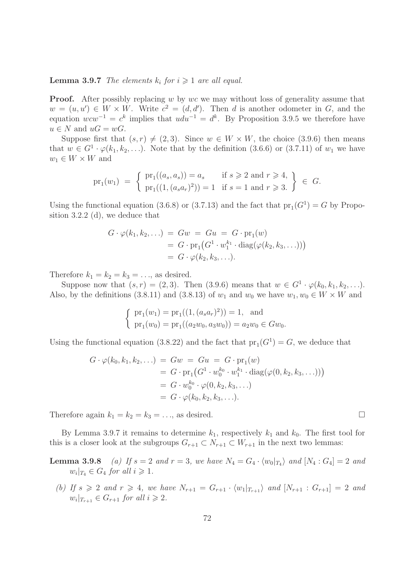# **Lemma 3.9.7** The elements  $k_i$  for  $i \geq 1$  are all equal.

**Proof.** After possibly replacing w by wc we may without loss of generality assume that  $w = (u, u') \in W \times W$ . Write  $c^2 = (d, d')$ . Then d is another odometer in G, and the equation  $wcw^{-1} = c^k$  implies that  $udu^{-1} = d^k$ . By Proposition 3.9.5 we therefore have  $u \in N$  and  $uG = wG$ .

Suppose first that  $(s, r) \neq (2, 3)$ . Since  $w \in W \times W$ , the choice (3.9.6) then means that  $w \in G^1 \cdot \varphi(k_1, k_2, \ldots)$ . Note that by the definition (3.6.6) or (3.7.11) of  $w_1$  we have  $w_1 \in W \times W$  and

$$
\text{pr}_1(w_1) = \left\{ \begin{array}{ll} \text{pr}_1((a_s, a_s)) = a_s & \text{if } s \geq 2 \text{ and } r \geq 4, \\ \text{pr}_1((1, (a_s a_r)^2)) = 1 & \text{if } s = 1 \text{ and } r \geq 3. \end{array} \right\} \in G.
$$

Using the functional equation (3.6.8) or (3.7.13) and the fact that  $pr_1(G^1) = G$  by Proposition 3.2.2 (d), we deduce that

$$
G \cdot \varphi(k_1, k_2, \ldots) = Gw = Gu = G \cdot \text{pr}_1(w)
$$
  
=  $G \cdot \text{pr}_1(G^1 \cdot w_1^{k_1} \cdot \text{diag}(\varphi(k_2, k_3, \ldots)))$   
=  $G \cdot \varphi(k_2, k_3, \ldots).$ 

Therefore  $k_1 = k_2 = k_3 = \ldots$ , as desired.

Suppose now that  $(s, r) = (2, 3)$ . Then  $(3.9.6)$  means that  $w \in G^1 \cdot \varphi(k_0, k_1, k_2, \ldots)$ . Also, by the definitions (3.8.11) and (3.8.13) of  $w_1$  and  $w_0$  we have  $w_1, w_0 \in W \times W$  and

$$
\begin{cases} \n\text{pr}_1(w_1) = \text{pr}_1((1, (a_s a_r)^2)) = 1, \text{ and} \\ \n\text{pr}_1(w_0) = \text{pr}_1((a_2 w_0, a_3 w_0)) = a_2 w_0 \in G w_0. \n\end{cases}
$$

Using the functional equation (3.8.22) and the fact that  $pr_1(G^1) = G$ , we deduce that

$$
G \cdot \varphi(k_0, k_1, k_2, \ldots) = Gw = Gu = G \cdot \text{pr}_1(w)
$$
  
=  $G \cdot \text{pr}_1(G^1 \cdot w_0^{k_0} \cdot w_1^{k_1} \cdot \text{diag}(\varphi(0, k_2, k_3, \ldots)))$   
=  $G \cdot w_0^{k_0} \cdot \varphi(0, k_2, k_3, \ldots)$   
=  $G \cdot \varphi(k_0, k_2, k_3, \ldots).$ 

Therefore again  $k_1 = k_2 = k_3 = \ldots$ , as desired.

By Lemma 3.9.7 it remains to determine  $k_1$ , respectively  $k_1$  and  $k_0$ . The first tool for this is a closer look at the subgroups  $G_{r+1} \subset N_{r+1} \subset W_{r+1}$  in the next two lemmas:

**Lemma 3.9.8** (a) If  $s = 2$  and  $r = 3$ , we have  $N_4 = G_4 \cdot \langle w_0 |_{T_4} \rangle$  and  $[N_4 : G_4] = 2$  and  $w_i|_{T_4} \in G_4$  for all  $i \geqslant 1$ .

(b) If  $s \geq 2$  and  $r \geq 4$ , we have  $N_{r+1} = G_{r+1} \cdot \langle w_1 |_{T_{r+1}} \rangle$  and  $[N_{r+1} : G_{r+1}] = 2$  and  $w_i|_{T_{r+1}} \in G_{r+1}$  for all  $i \geqslant 2$ .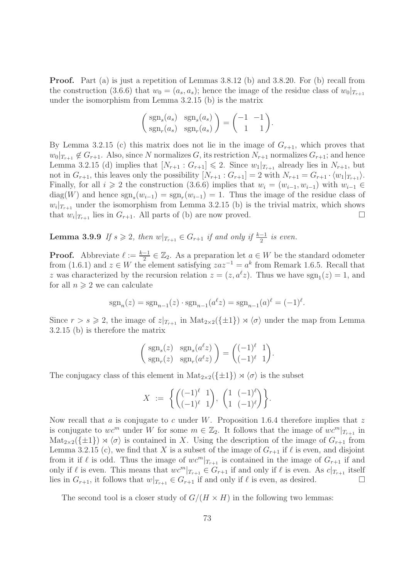Proof. Part (a) is just a repetition of Lemmas 3.8.12 (b) and 3.8.20. For (b) recall from the construction (3.6.6) that  $w_0 = (a_s, a_s)$ ; hence the image of the residue class of  $w_0|_{T_{r+1}}$ under the isomorphism from Lemma 3.2.15 (b) is the matrix

$$
\begin{pmatrix} \operatorname{sgn}_s(a_s) & \operatorname{sgn}_s(a_s) \\ \operatorname{sgn}_r(a_s) & \operatorname{sgn}_r(a_s) \end{pmatrix} = \begin{pmatrix} -1 & -1 \\ 1 & 1 \end{pmatrix}.
$$

By Lemma 3.2.15 (c) this matrix does not lie in the image of  $G_{r+1}$ , which proves that  $w_0|_{T_{r+1}} \notin G_{r+1}$ . Also, since N normalizes G, its restriction  $N_{r+1}$  normalizes  $G_{r+1}$ ; and hence Lemma 3.2.15 (d) implies that  $[N_{r+1}: G_{r+1}] \leq 2$ . Since  $w_1|_{T_{r+1}}$  already lies in  $N_{r+1}$ , but not in  $G_{r+1}$ , this leaves only the possibility  $[N_{r+1} : G_{r+1}] = 2$  with  $N_{r+1} = G_{r+1} \cdot \langle w_1 |_{T_{r+1}} \rangle$ . Finally, for all  $i \geq 2$  the construction (3.6.6) implies that  $w_i = (w_{i-1}, w_{i-1})$  with  $w_{i-1} \in$  $diag(W)$  and hence  $sgn_s(w_{i-1}) = sgn_r(w_{i-1}) = 1$ . Thus the image of the residue class of  $w_i|_{T_{r+1}}$  under the isomorphism from Lemma 3.2.15 (b) is the trivial matrix, which shows that  $w_i|_{T_{r+1}}$  lies in  $G_{r+1}$ . All parts of (b) are now proved.

**Lemma 3.9.9** If  $s \geq 2$ , then  $w|_{T_{r+1}} \in G_{r+1}$  if and only if  $\frac{k-1}{2}$  is even.

**Proof.** Abbreviate  $\ell := \frac{k-1}{2} \in \mathbb{Z}_2$ . As a preparation let  $a \in W$  be the standard odometer from (1.6.1) and  $z \in W$  the element satisfying  $zaz^{-1} = a^k$  from Remark 1.6.5. Recall that z was characterized by the recursion relation  $z = (z, a^{\ell}z)$ . Thus we have  $sgn_1(z) = 1$ , and for all  $n \geqslant 2$  we can calculate

$$
sgn_n(z) = sgn_{n-1}(z) \cdot sgn_{n-1}(a^{\ell}z) = sgn_{n-1}(a)^{\ell} = (-1)^{\ell}.
$$

Since  $r > s \geq 2$ , the image of  $z|_{T_{r+1}}$  in  $\text{Mat}_{2\times 2}(\{\pm 1\}) \rtimes \langle \sigma \rangle$  under the map from Lemma 3.2.15 (b) is therefore the matrix

$$
\begin{pmatrix} \operatorname{sgn}_s(z) & \operatorname{sgn}_s(a^{\ell}z) \\ \operatorname{sgn}_r(z) & \operatorname{sgn}_r(a^{\ell}z) \end{pmatrix} = \begin{pmatrix} (-1)^{\ell} & 1 \\ (-1)^{\ell} & 1 \end{pmatrix}.
$$

The conjugacy class of this element in  $\text{Mat}_{2\times 2}(\{\pm 1\}) \rtimes \langle \sigma \rangle$  is the subset

$$
X := \left\{ \begin{pmatrix} (-1)^{\ell} & 1 \\ (-1)^{\ell} & 1 \end{pmatrix}, \begin{pmatrix} 1 & (-1)^{\ell} \\ 1 & (-1)^{\ell} \end{pmatrix} \right\}.
$$

Now recall that a is conjugate to c under W. Proposition 1.6.4 therefore implies that  $z$ is conjugate to wc<sup>m</sup> under W for some  $m \in \mathbb{Z}_2$ . It follows that the image of  $wc^m|_{T_{r+1}}$  in  $\text{Mat}_{2\times 2}(\{\pm 1\}) \rtimes \langle \sigma \rangle$  is contained in X. Using the description of the image of  $G_{r+1}$  from Lemma 3.2.15 (c), we find that X is a subset of the image of  $G_{r+1}$  if  $\ell$  is even, and disjoint from it if  $\ell$  is odd. Thus the image of  $wc^{m}|_{T_{r+1}}$  is contained in the image of  $G_{r+1}$  if and only if  $\ell$  is even. This means that  $wc^m|_{T_{r+1}} \in G_{r+1}$  if and only if  $\ell$  is even. As  $c|_{T_{r+1}}$  itself lies in  $G_{r+1}$ , it follows that  $w|_{T_{r+1}} \in G_{r+1}$  if and only if  $\ell$  is even, as desired.

The second tool is a closer study of  $G/(H \times H)$  in the following two lemmas: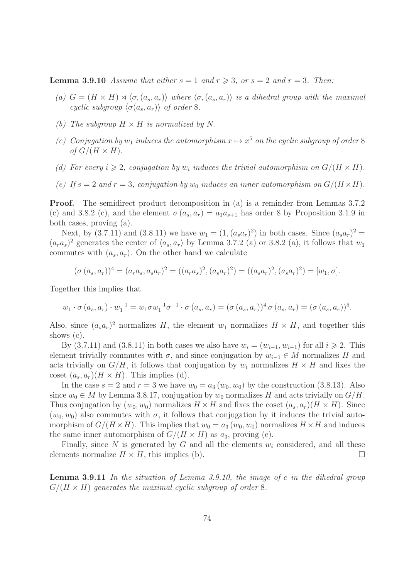**Lemma 3.9.10** Assume that either  $s = 1$  and  $r \ge 3$ , or  $s = 2$  and  $r = 3$ . Then:

- (a)  $G = (H \times H) \rtimes \langle \sigma, (a_s, a_r) \rangle$  where  $\langle \sigma, (a_s, a_r) \rangle$  is a dihedral group with the maximal cyclic subgroup  $\langle \sigma(a_s, a_r) \rangle$  of order 8.
- (b) The subgroup  $H \times H$  is normalized by N.
- (c) Conjugation by  $w_1$  induces the automorphism  $x \mapsto x^5$  on the cyclic subgroup of order 8 of  $G/(H \times H)$ .
- (d) For every  $i \geqslant 2$ , conjugation by  $w_i$  induces the trivial automorphism on  $G/(H \times H)$ .
- (e) If  $s = 2$  and  $r = 3$ , conjugation by  $w_0$  induces an inner automorphism on  $G/(H \times H)$ .

Proof. The semidirect product decomposition in (a) is a reminder from Lemmas 3.7.2 (c) and 3.8.2 (c), and the element  $\sigma(a_s, a_r) = a_1 a_{s+1}$  has order 8 by Proposition 3.1.9 in both cases, proving (a).

Next, by (3.7.11) and (3.8.11) we have  $w_1 = (1, (a_s a_r)^2)$  in both cases. Since  $(a_s a_r)^2$  =  $(a_ra_s)^2$  generates the center of  $\langle a_s, a_r \rangle$  by Lemma 3.7.2 (a) or 3.8.2 (a), it follows that  $w_1$ commutes with  $(a_s, a_r)$ . On the other hand we calculate

$$
(\sigma (a_s, a_r))^4 = (a_r a_s, a_s a_r)^2 = ((a_r a_s)^2, (a_s a_r)^2) = ((a_s a_r)^2, (a_s a_r)^2) = [w_1, \sigma].
$$

Together this implies that

$$
w_1 \cdot \sigma(a_s, a_r) \cdot w_1^{-1} = w_1 \sigma w_1^{-1} \sigma^{-1} \cdot \sigma(a_s, a_r) = (\sigma(a_s, a_r))^4 \sigma(a_s, a_r) = (\sigma(a_s, a_r))^5.
$$

Also, since  $(a_s a_r)^2$  normalizes H, the element  $w_1$  normalizes  $H \times H$ , and together this shows (c).

By (3.7.11) and (3.8.11) in both cases we also have  $w_i = (w_{i-1}, w_{i-1})$  for all  $i \ge 2$ . This element trivially commutes with  $\sigma$ , and since conjugation by  $w_{i-1} \in M$  normalizes H and acts trivially on  $G/H$ , it follows that conjugation by  $w_i$  normalizes  $H \times H$  and fixes the coset  $(a_s, a_r)$   $(H \times H)$ . This implies (d).

In the case  $s = 2$  and  $r = 3$  we have  $w_0 = a_3(w_0, w_0)$  by the construction (3.8.13). Also since  $w_0 \in M$  by Lemma 3.8.17, conjugation by  $w_0$  normalizes H and acts trivially on  $G/H$ . Thus conjugation by  $(w_0, w_0)$  normalizes  $H \times H$  and fixes the coset  $(a_s, a_r)(H \times H)$ . Since  $(w_0, w_0)$  also commutes with  $\sigma$ , it follows that conjugation by it induces the trivial automorphism of  $G/(H \times H)$ . This implies that  $w_0 = a_3(w_0, w_0)$  normalizes  $H \times H$  and induces the same inner automorphism of  $G/(H \times H)$  as  $a_3$ , proving (e).

Finally, since N is generated by G and all the elements  $w_i$  considered, and all these elements normalize  $H \times H$ , this implies (b).

**Lemma 3.9.11** In the situation of Lemma 3.9.10, the image of c in the dihedral group  $G/(H \times H)$  generates the maximal cyclic subgroup of order 8.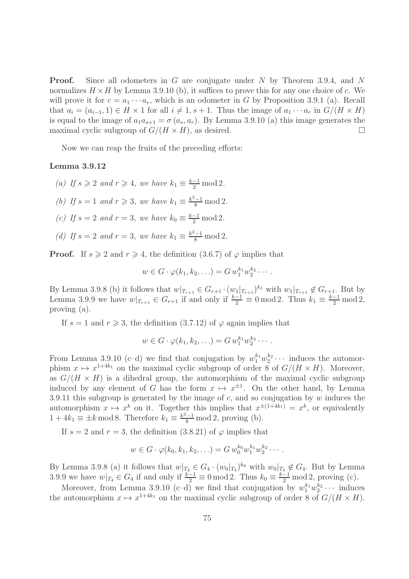**Proof.** Since all odometers in G are conjugate under N by Theorem 3.9.4, and N normalizes  $H \times H$  by Lemma 3.9.10 (b), it suffices to prove this for any one choice of c. We will prove it for  $c = a_1 \cdots a_r$ , which is an odometer in G by Proposition 3.9.1 (a). Recall that  $a_i = (a_{i-1}, 1) \in H \times 1$  for all  $i \neq 1, s + 1$ . Thus the image of  $a_1 \cdots a_r$  in  $G/(H \times H)$ is equal to the image of  $a_1a_{s+1} = \sigma(a_s, a_r)$ . By Lemma 3.9.10 (a) this image generates the maximal cyclic subgroup of  $G/(H \times H)$ , as desired.

Now we can reap the fruits of the preceding efforts:

## Lemma 3.9.12

- (a) If  $s \geqslant 2$  and  $r \geqslant 4$ , we have  $k_1 \equiv \frac{k-1}{2} \mod 2$ .
- (b) If  $s = 1$  and  $r \geqslant 3$ , we have  $k_1 \equiv \frac{k^2 1}{8} \mod 2$ .
- (c) If  $s = 2$  and  $r = 3$ , we have  $k_0 \equiv \frac{k-1}{2} \mod 2$ .
- (d) If  $s = 2$  and  $r = 3$ , we have  $k_1 \equiv \frac{k^2 1}{8} \mod 2$ .

**Proof.** If  $s \ge 2$  and  $r \ge 4$ , the definition (3.6.7) of  $\varphi$  implies that

$$
w\in G\cdot\varphi(k_1,k_2,\ldots)=G\,w_1^{k_1}w_2^{k_2}\cdots.
$$

By Lemma 3.9.8 (b) it follows that  $w|_{T_{r+1}} \in G_{r+1} \cdot (w_1|_{T_{r+1}})^{k_1}$  with  $w_1|_{T_{r+1}} \notin G_{r+1}$ . But by Lemma 3.9.9 we have  $w|_{T_{r+1}} \in G_{r+1}$  if and only if  $\frac{k-1}{2} \equiv 0 \mod 2$ . Thus  $k_1 \equiv \frac{k-1}{2} \mod 2$ , proving (a).

If  $s = 1$  and  $r \geq 3$ , the definition (3.7.12) of  $\varphi$  again implies that

$$
w\in G\cdot\varphi(k_1,k_2,\ldots)=G\,w_1^{k_1}w_2^{k_2}\cdots.
$$

From Lemma 3.9.10 (c-d) we find that conjugation by  $w_1^{k_1} w_2^{k_2} \cdots$  induces the automorphism  $x \mapsto x^{1+4k_1}$  on the maximal cyclic subgroup of order 8 of  $G/(H \times H)$ . Moreover, as  $G/(H \times H)$  is a dihedral group, the automorphism of the maximal cyclic subgroup induced by any element of G has the form  $x \mapsto x^{\pm 1}$ . On the other hand, by Lemma 3.9.11 this subgroup is generated by the image of  $c$ , and so conjugation by  $w$  induces the automorphism  $x \mapsto x^k$  on it. Together this implies that  $x^{\pm (1+4k_1)} = x^k$ , or equivalently  $1 + 4k_1 \equiv \pm k \mod 8$ . Therefore  $k_1 \equiv \frac{k^2 - 1}{8} \mod 2$ , proving (b).

If  $s = 2$  and  $r = 3$ , the definition  $(3.8.21)$  of  $\varphi$  implies that

$$
w \in G \cdot \varphi(k_0, k_1, k_2, \ldots) = G w_0^{k_0} w_1^{k_1} w_2^{k_2} \cdots
$$

By Lemma 3.9.8 (a) it follows that  $w|_{T_4} \in G_4 \cdot (w_0|_{T_4})^{k_0}$  with  $w_0|_{T_4} \notin G_4$ . But by Lemma 3.9.9 we have  $w|_{T_4} \in G_4$  if and only if  $\frac{k-1}{2} \equiv 0 \mod 2$ . Thus  $k_0 \equiv \frac{k-1}{2} \mod 2$ , proving (c).

Moreover, from Lemma 3.9.10 (c-d) we find that conjugation by  $w_1^{k_1}w_2^{k_2}\cdots$  induces the automorphism  $x \mapsto x^{1+4k_1}$  on the maximal cyclic subgroup of order 8 of  $G/(H \times H)$ .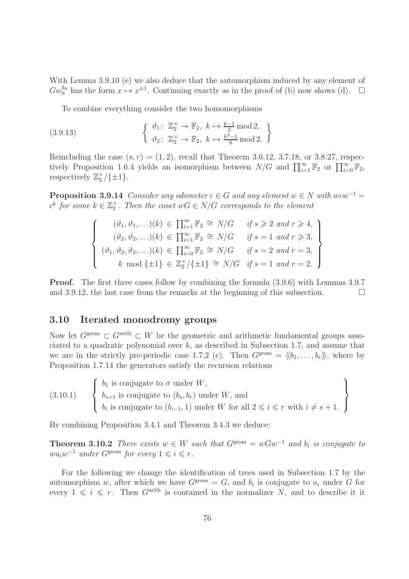With Lemma 3.9.10 (e) we also deduce that the automorphism induced by any element of  $Gw_0^{k_0}$  has the form  $x \mapsto x^{\pm 1}$ . Continuing exactly as in the proof of (b) now shows (d).  $\Box$ 

To combine everything consider the two homomorphisms

(3.9.13) 
$$
\begin{cases} \n\vartheta_1: \mathbb{Z}_2^{\times} \to \mathbb{F}_2, \ k \mapsto \frac{k-1}{2} \mod 2, \\ \n\vartheta_2: \mathbb{Z}_2^{\times} \to \mathbb{F}_2, \ k \mapsto \frac{k^2-1}{8} \mod 2. \n\end{cases}
$$

Reincluding the case  $(s, r) = (1, 2)$ , recall that Theorem 3.6.12, 3.7.18, or 3.8.27, respectively Proposition 1.6.4 yields an isomorphism between  $N/G$  and  $\prod_{i=1}^{\infty} \mathbb{F}_2$  or  $\prod_{i=0}^{\infty} \mathbb{F}_2$ , respectively  $\mathbb{Z}_2^{\times}/\{\pm 1\}.$ 

**Proposition 3.9.14** Consider any odometer  $c \in G$  and any element  $w \in N$  with  $wcw^{-1} =$  $c^k$  for some  $k \in \mathbb{Z}_2^{\times}$ . Then the coset  $wG \in N/G$  corresponds to the element

$$
\begin{cases}\n(\vartheta_1, \vartheta_1, \ldots)(k) \in \prod_{i=1}^{\infty} \mathbb{F}_2 \cong N/G & \text{if } s \geqslant 2 \text{ and } r \geqslant 4, \\
(\vartheta_2, \vartheta_2, \ldots)(k) \in \prod_{i=1}^{\infty} \mathbb{F}_2 \cong N/G & \text{if } s = 1 \text{ and } r \geqslant 3, \\
(\vartheta_1, \vartheta_2, \vartheta_2, \ldots)(k) \in \prod_{i=0}^{\infty} \mathbb{F}_2 \cong N/G & \text{if } s = 2 \text{ and } r = 3, \\
k \mod \{\pm 1\} \in \mathbb{Z}_2^{\times}/\{\pm 1\} \cong N/G & \text{if } s = 1 \text{ and } r = 2.\n\end{cases}
$$

Proof. The first three cases follow by combining the formula (3.9.6) with Lemmas 3.9.7 and 3.9.12, the last case from the remarks at the beginning of this subsection.  $\Box$ 

## 3.10 Iterated monodromy groups

Now let  $G^{\text{geom}} \subset G^{\text{arith}} \subset W$  be the geometric and arithmetic fundamental groups associated to a quadratic polynomial over  $k$ , as described in Subsection 1.7, and assume that we are in the strictly pre-periodic case 1.7.2 (c). Then  $G^{\text{geom}} = \langle b_1, \ldots, b_r \rangle$ , where by Proposition 1.7.14 the generators satisfy the recursion relations

(3.10.1) 
$$
\begin{Bmatrix} b_1 \text{ is conjugate to } \sigma \text{ under } W, \\ b_{s+1} \text{ is conjugate to } (b_s, b_r) \text{ under } W, \text{ and} \\ b_i \text{ is conjugate to } (b_{i-1}, 1) \text{ under } W \text{ for all } 2 \leqslant i \leqslant r \text{ with } i \neq s+1. \end{Bmatrix}
$$

By combining Proposition 3.4.1 and Theorem 3.4.3 we deduce:

**Theorem 3.10.2** There exists  $w \in W$  such that  $G^{\text{geom}} = wGw^{-1}$  and  $b_i$  is conjugate to  $wa_iw^{-1}$  under  $G^{geom}$  for every  $1 \leqslant i \leqslant r$ .

For the following we change the identification of trees used in Subsection 1.7 by the automorphism w, after which we have  $G^{\text{geom}} = G$ , and  $b_i$  is conjugate to  $a_i$  under G for every  $1 \leq i \leq r$ . Then  $G^{\text{arith}}$  is contained in the normalizer N, and to describe it it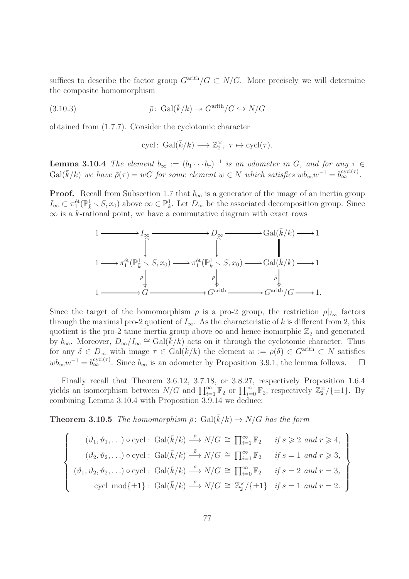suffices to describe the factor group  $G^{\text{arith}}/G \subset N/G$ . More precisely we will determine the composite homomorphism

(3.10.3) 
$$
\bar{\rho} \colon \operatorname{Gal}(\bar{k}/k) \to G^{\operatorname{arith}}/G \hookrightarrow N/G
$$

obtained from (1.7.7). Consider the cyclotomic character

$$
cycl\colon \, \text{Gal}(\bar{k}/k) \longrightarrow \mathbb{Z}_2^{\times}, \ \tau \mapsto \text{cycl}(\tau).
$$

**Lemma 3.10.4** The element  $b_{\infty} := (b_1 \cdots b_r)^{-1}$  is an odometer in G, and for any  $\tau \in$  $Gal(\bar{k}/k)$  we have  $\bar{\rho}(\tau) = wG$  for some element  $w \in N$  which satisfies  $wb_{\infty}w^{-1} = b_{\infty}^{\text{cycl}(\tau)}$ .

**Proof.** Recall from Subsection 1.7 that  $b_{\infty}$  is a generator of the image of an inertia group  $I_{\infty} \subset \pi_1^{\text{\'et}}(\mathbb{P}_{\bar{k}}^1 \setminus S, x_0)$  above  $\infty \in \mathbb{P}_{k}^1$ . Let  $D_{\infty}$  be the associated decomposition group. Since  $\infty$  is a k-rational point, we have a commutative diagram with exact rows



Since the target of the homomorphism  $\rho$  is a pro-2 group, the restriction  $\rho|_{I_{\infty}}$  factors through the maximal pro-2 quotient of  $I_{\infty}$ . As the characteristic of k is different from 2, this quotient is the pro-2 tame inertia group above  $\infty$  and hence isomorphic  $\mathbb{Z}_2$  and generated by  $b_{\infty}$ . Moreover,  $D_{\infty}/I_{\infty} \cong \text{Gal}(\tilde{k}/k)$  acts on it through the cyclotomic character. Thus for any  $\delta \in D_{\infty}$  with image  $\tau \in \text{Gal}(\bar{k}/k)$  the element  $w := \rho(\delta) \in G^{\text{arith}} \subset N$  satisfies  $wb_{\infty}w^{-1} = b_{\infty}^{\text{cycl}(\tau)}$ . Since  $b_{\infty}$  is an odometer by Proposition 3.9.1, the lemma follows.  $\square$ 

Finally recall that Theorem 3.6.12, 3.7.18, or 3.8.27, respectively Proposition 1.6.4 yields an isomorphism between  $N/G$  and  $\prod_{i=1}^{\infty} \mathbb{F}_2$  or  $\prod_{i=0}^{\infty} \mathbb{F}_2$ , respectively  $\mathbb{Z}_2^{\times}/\{\pm 1\}$ . By combining Lemma 3.10.4 with Proposition 3.9.14 we deduce:

**Theorem 3.10.5** The homomorphism  $\bar{\rho}$ : Gal( $\bar{k}/k$ )  $\rightarrow N/G$  has the form

$$
\begin{cases}\n(\vartheta_1, \vartheta_1, \ldots) \circ \text{cycl}: \text{Gal}(\bar{k}/k) \stackrel{\bar{\rho}}{\longrightarrow} N/G \cong \prod_{i=1}^{\infty} \mathbb{F}_2 & \text{if } s \geqslant 2 \text{ and } r \geqslant 4, \\
(\vartheta_2, \vartheta_2, \ldots) \circ \text{cycl}: \text{Gal}(\bar{k}/k) \stackrel{\bar{\rho}}{\longrightarrow} N/G \cong \prod_{i=1}^{\infty} \mathbb{F}_2 & \text{if } s = 1 \text{ and } r \geqslant 3, \\
(\vartheta_1, \vartheta_2, \vartheta_2, \ldots) \circ \text{cycl}: \text{Gal}(\bar{k}/k) \stackrel{\bar{\rho}}{\longrightarrow} N/G \cong \prod_{i=0}^{\infty} \mathbb{F}_2 & \text{if } s = 2 \text{ and } r = 3, \\
\text{cycl mod}\{\pm 1\}: \text{Gal}(\bar{k}/k) \stackrel{\bar{\rho}}{\longrightarrow} N/G \cong \mathbb{Z}_2^{\times}/\{\pm 1\} & \text{if } s = 1 \text{ and } r = 2.\n\end{cases}
$$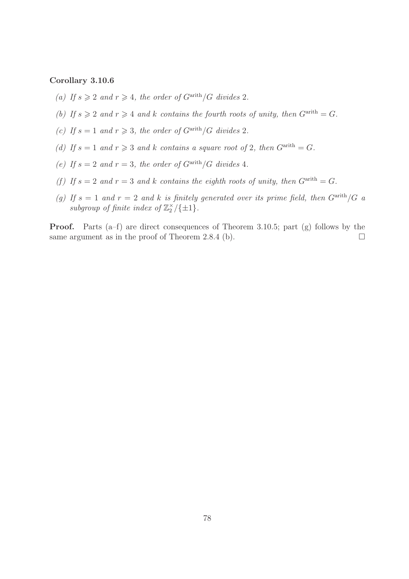## Corollary 3.10.6

- (a) If  $s \geqslant 2$  and  $r \geqslant 4$ , the order of  $G^{\text{arith}}/G$  divides 2.
- (b) If  $s \geq 2$  and  $r \geq 4$  and k contains the fourth roots of unity, then  $G^{\text{arith}} = G$ .
- (c) If  $s = 1$  and  $r \geq 3$ , the order of  $G^{\text{arith}}/G$  divides 2.
- (d) If  $s = 1$  and  $r \geq 3$  and k contains a square root of 2, then  $G^{\text{arith}} = G$ .
- (e) If  $s = 2$  and  $r = 3$ , the order of  $G^{\text{arith}}/G$  divides 4.
- (f) If  $s = 2$  and  $r = 3$  and k contains the eighth roots of unity, then  $G^{\text{arith}} = G$ .
- (g) If  $s = 1$  and  $r = 2$  and k is finitely generated over its prime field, then  $G^{\text{arith}}/G$  a subgroup of finite index of  $\mathbb{Z}_2^{\times}/\{\pm 1\}$ .

Proof. Parts (a–f) are direct consequences of Theorem 3.10.5; part (g) follows by the same argument as in the proof of Theorem 2.8.4 (b).  $\Box$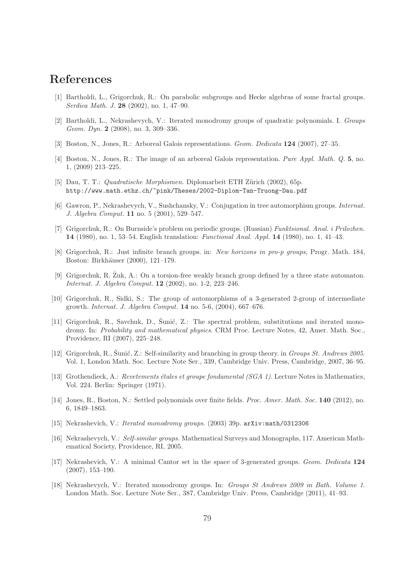## References

- [1] Bartholdi, L., Grigorchuk, R.: On parabolic subgroups and Hecke algebras of some fractal groups. Serdica Math. J. 28 (2002), no. 1, 47–90.
- [2] Bartholdi, L., Nekrashevych, V.: Iterated monodromy groups of quadratic polynomials. I. Groups Geom. Dyn. **2** (2008), no. 3, 309–336.
- [3] Boston, N., Jones, R.: Arboreal Galois representations. Geom. Dedicata 124 (2007), 27–35.
- [4] Boston, N., Jones, R.: The image of an arboreal Galois representation. Pure Appl. Math. Q. 5, no. 1, (2009) 213–225.
- [5] Dau, T. T.: *Quadratische Morphismen.* Diplomarbeit ETH Zürich (2002), 65p. http://www.math.ethz.ch/~pink/Theses/2002-Diplom-Tan-Truong-Dau.pdf
- [6] Gawron, P., Nekrashevych, V., Sushchansky, V.: Conjugation in tree automorphism groups. Internat. J. Algebra Comput. 11 no. 5 (2001), 529–547.
- [7] Grigorchuk, R.: On Burnside's problem on periodic groups. (Russian) Funktsional. Anal. i Prilozhen. 14 (1980), no. 1, 53–54. English translation: Functional Anal. Appl. 14 (1980), no. 1, 41–43.
- [8] Grigorchuk, R.: Just infinite branch groups. in: New horizons in pro-p groups, Progr. Math. 184, Boston: Birkhäuser (2000), 121–179.
- [9] Grigorchuk, R. Zuk, A.: On a torsion-free weakly branch group defined by a three state automaton. Internat. J. Algebra Comput. 12 (2002), no. 1-2, 223–246.
- [10] Grigorchuk, R., Sidki, S.: The group of automorphisms of a 3-generated 2-group of intermediate growth. Internat. J. Algebra Comput. 14 no. 5-6, (2004), 667–676.
- [11] Grigorchuk, R., Savchuk, D., Sunić, Z.: The spectral problem, substitutions and iterated monodromy. In: Probability and mathematical physics. CRM Proc. Lecture Notes, 42, Amer. Math. Soc., Providence, RI (2007), 225–248.
- [12] Grigorchuk, R., Šunić, Z.: Self-similarity and branching in group theory. in *Groups St. Andrews 2005*. Vol. 1, London Math. Soc. Lecture Note Ser., 339, Cambridge Univ. Press, Cambridge, 2007, 36–95.
- [13] Grothendieck, A.: Revetements étales et groupe fondamental ( $SGA$  1). Lecture Notes in Mathematics, Vol. 224. Berlin: Springer (1971).
- [14] Jones, R., Boston, N.: Settled polynomials over finite fields. Proc. Amer. Math. Soc. 140 (2012), no. 6, 1849–1863.
- [15] Nekrashevich, V.: Iterated monodromy groups. (2003) 39p. arXiv:math/0312306
- [16] Nekrashevych, V.: Self-similar groups. Mathematical Surveys and Monographs, 117. American Mathematical Society, Providence, RI, 2005.
- [17] Nekrashevich, V.: A minimal Cantor set in the space of 3-generated groups. Geom. Dedicata 124 (2007), 153–190.
- [18] Nekrashevych, V.: Iterated monodromy groups. In: Groups St Andrews 2009 in Bath. Volume 1. London Math. Soc. Lecture Note Ser., 387, Cambridge Univ. Press, Cambridge (2011), 41–93.